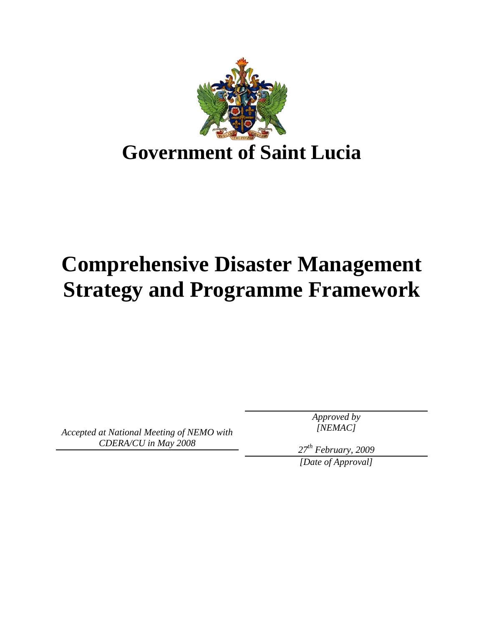

# **Comprehensive Disaster Management Strategy and Programme Framework**

*Accepted at National Meeting of NEMO with CDERA/CU in May 2008*

*Approved by [NEMAC]* 

*27th February, 2009* 

*[Date of Approval]*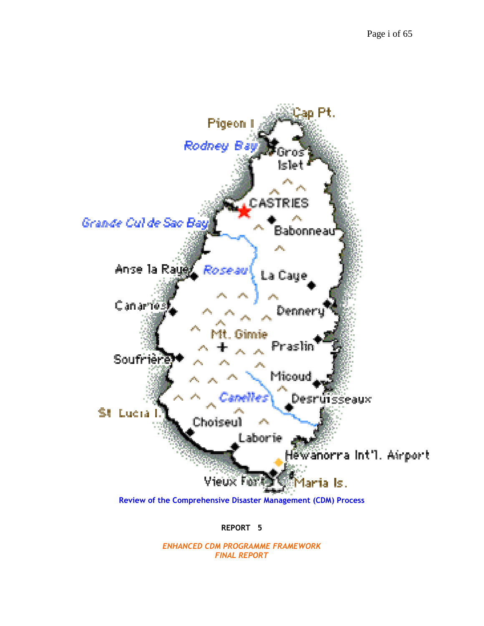

**REPORT 5** 

*ENHANCED CDM PROGRAMME FRAMEWORK FINAL REPORT*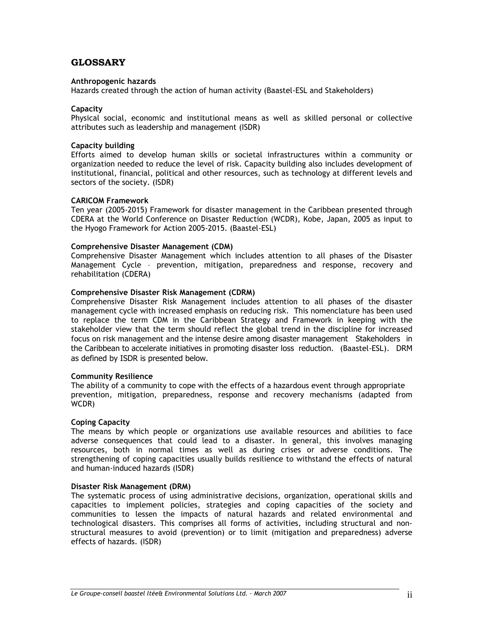# **GLOSSARY**

#### **Anthropogenic hazards**

Hazards created through the action of human activity (Baastel-ESL and Stakeholders)

#### **Capacity**

Physical social, economic and institutional means as well as skilled personal or collective attributes such as leadership and management (ISDR)

#### **Capacity building**

Efforts aimed to develop human skills or societal infrastructures within a community or organization needed to reduce the level of risk. Capacity building also includes development of institutional, financial, political and other resources, such as technology at different levels and sectors of the society. (ISDR)

#### **CARICOM Framework**

Ten year (2005-2015) Framework for disaster management in the Caribbean presented through CDERA at the World Conference on Disaster Reduction (WCDR), Kobe, Japan, 2005 as input to the Hyogo Framework for Action 2005-2015. (Baastel-ESL)

#### **Comprehensive Disaster Management (CDM)**

Comprehensive Disaster Management which includes attention to all phases of the Disaster Management Cycle – prevention, mitigation, preparedness and response, recovery and rehabilitation (CDERA)

#### **Comprehensive Disaster Risk Management (CDRM)**

Comprehensive Disaster Risk Management includes attention to all phases of the disaster management cycle with increased emphasis on reducing risk. This nomenclature has been used to replace the term CDM in the Caribbean Strategy and Framework in keeping with the stakeholder view that the term should reflect the global trend in the discipline for increased focus on risk management and the intense desire among disaster management Stakeholders in the Caribbean to accelerate initiatives in promoting disaster loss reduction. (Baastel-ESL). DRM as defined by ISDR is presented below.

#### **Community Resilience**

The ability of a community to cope with the effects of a hazardous event through appropriate prevention, mitigation, preparedness, response and recovery mechanisms (adapted from WCDR)

#### **Coping Capacity**

The means by which people or organizations use available resources and abilities to face adverse consequences that could lead to a disaster. In general, this involves managing resources, both in normal times as well as during crises or adverse conditions. The strengthening of coping capacities usually builds resilience to withstand the effects of natural and human-induced hazards (ISDR)

#### **Disaster Risk Management (DRM)**

The systematic process of using administrative decisions, organization, operational skills and capacities to implement policies, strategies and coping capacities of the society and communities to lessen the impacts of natural hazards and related environmental and technological disasters. This comprises all forms of activities, including structural and nonstructural measures to avoid (prevention) or to limit (mitigation and preparedness) adverse effects of hazards. (ISDR)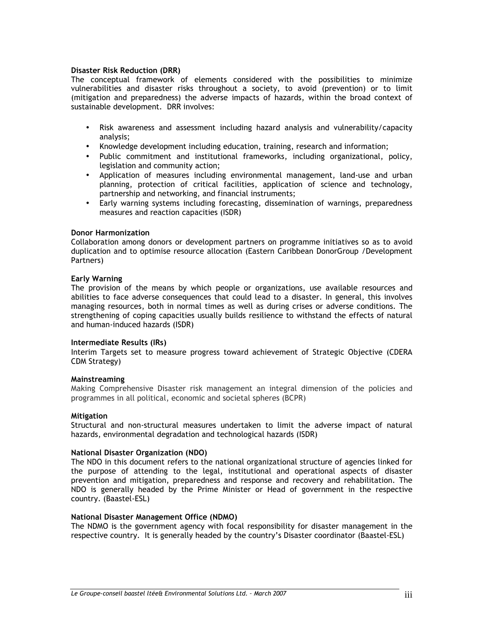#### **Disaster Risk Reduction (DRR)**

The conceptual framework of elements considered with the possibilities to minimize vulnerabilities and disaster risks throughout a society, to avoid (prevention) or to limit (mitigation and preparedness) the adverse impacts of hazards, within the broad context of sustainable development. DRR involves:

- Risk awareness and assessment including hazard analysis and vulnerability/capacity analysis;
- Knowledge development including education, training, research and information;
- Public commitment and institutional frameworks, including organizational, policy, legislation and community action;
- Application of measures including environmental management, land-use and urban planning, protection of critical facilities, application of science and technology, partnership and networking, and financial instruments;
- Early warning systems including forecasting, dissemination of warnings, preparedness measures and reaction capacities (ISDR)

#### **Donor Harmonization**

Collaboration among donors or development partners on programme initiatives so as to avoid duplication and to optimise resource allocation (Eastern Caribbean DonorGroup /Development Partners)

#### **Early Warning**

The provision of the means by which people or organizations, use available resources and abilities to face adverse consequences that could lead to a disaster. In general, this involves managing resources, both in normal times as well as during crises or adverse conditions. The strengthening of coping capacities usually builds resilience to withstand the effects of natural and human-induced hazards (ISDR)

#### **Intermediate Results (IRs)**

Interim Targets set to measure progress toward achievement of Strategic Objective (CDERA CDM Strategy)

#### **Mainstreaming**

Making Comprehensive Disaster risk management an integral dimension of the policies and programmes in all political, economic and societal spheres (BCPR)

#### **Mitigation**

Structural and non-structural measures undertaken to limit the adverse impact of natural hazards, environmental degradation and technological hazards (ISDR)

#### **National Disaster Organization (NDO)**

The NDO in this document refers to the national organizational structure of agencies linked for the purpose of attending to the legal, institutional and operational aspects of disaster prevention and mitigation, preparedness and response and recovery and rehabilitation. The NDO is generally headed by the Prime Minister or Head of government in the respective country. (Baastel-ESL)

#### **National Disaster Management Office (NDMO)**

The NDMO is the government agency with focal responsibility for disaster management in the respective country. It is generally headed by the country's Disaster coordinator (Baastel-ESL)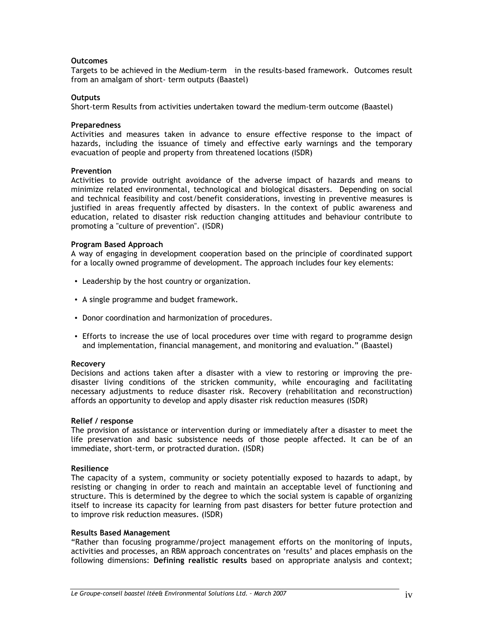#### **Outcomes**

Targets to be achieved in the Medium-term in the results-based framework. Outcomes result from an amalgam of short- term outputs (Baastel)

#### **Outputs**

Short-term Results from activities undertaken toward the medium-term outcome (Baastel)

#### **Preparedness**

Activities and measures taken in advance to ensure effective response to the impact of hazards, including the issuance of timely and effective early warnings and the temporary evacuation of people and property from threatened locations (ISDR)

#### **Prevention**

Activities to provide outright avoidance of the adverse impact of hazards and means to minimize related environmental, technological and biological disasters. Depending on social and technical feasibility and cost/benefit considerations, investing in preventive measures is justified in areas frequently affected by disasters. In the context of public awareness and education, related to disaster risk reduction changing attitudes and behaviour contribute to promoting a "culture of prevention". (ISDR)

#### **Program Based Approach**

A way of engaging in development cooperation based on the principle of coordinated support for a locally owned programme of development. The approach includes four key elements:

- Leadership by the host country or organization.
- A single programme and budget framework.
- Donor coordination and harmonization of procedures.
- Efforts to increase the use of local procedures over time with regard to programme design and implementation, financial management, and monitoring and evaluation." (Baastel)

#### **Recovery**

Decisions and actions taken after a disaster with a view to restoring or improving the predisaster living conditions of the stricken community, while encouraging and facilitating necessary adjustments to reduce disaster risk. Recovery (rehabilitation and reconstruction) affords an opportunity to develop and apply disaster risk reduction measures (ISDR)

#### **Relief / response**

The provision of assistance or intervention during or immediately after a disaster to meet the life preservation and basic subsistence needs of those people affected. It can be of an immediate, short-term, or protracted duration. (ISDR)

#### **Resilience**

The capacity of a system, community or society potentially exposed to hazards to adapt, by resisting or changing in order to reach and maintain an acceptable level of functioning and structure. This is determined by the degree to which the social system is capable of organizing itself to increase its capacity for learning from past disasters for better future protection and to improve risk reduction measures. (ISDR)

#### **Results Based Management**

"Rather than focusing programme/project management efforts on the monitoring of inputs, activities and processes, an RBM approach concentrates on 'results' and places emphasis on the following dimensions: **Defining realistic results** based on appropriate analysis and context;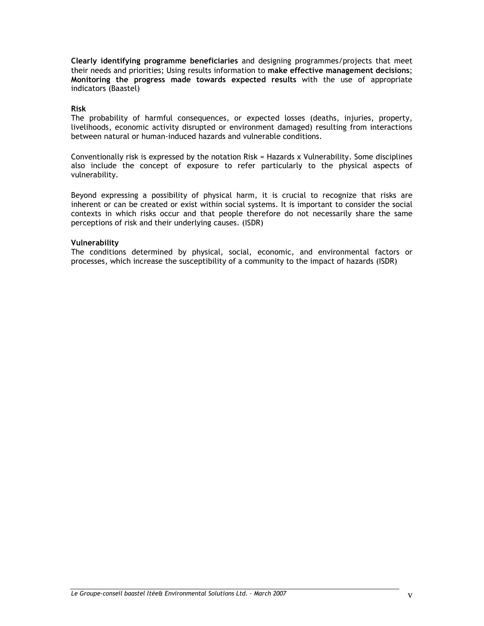**Clearly identifying programme beneficiaries** and designing programmes/projects that meet their needs and priorities; Using results information to **make effective management decisions**; **Monitoring the progress made towards expected results** with the use of appropriate indicators (Baastel)

#### **Risk**

The probability of harmful consequences, or expected losses (deaths, injuries, property, livelihoods, economic activity disrupted or environment damaged) resulting from interactions between natural or human-induced hazards and vulnerable conditions.

Conventionally risk is expressed by the notation Risk = Hazards x Vulnerability. Some disciplines also include the concept of exposure to refer particularly to the physical aspects of vulnerability.

Beyond expressing a possibility of physical harm, it is crucial to recognize that risks are inherent or can be created or exist within social systems. It is important to consider the social contexts in which risks occur and that people therefore do not necessarily share the same perceptions of risk and their underlying causes. (ISDR)

#### **Vulnerability**

The conditions determined by physical, social, economic, and environmental factors or processes, which increase the susceptibility of a community to the impact of hazards (ISDR)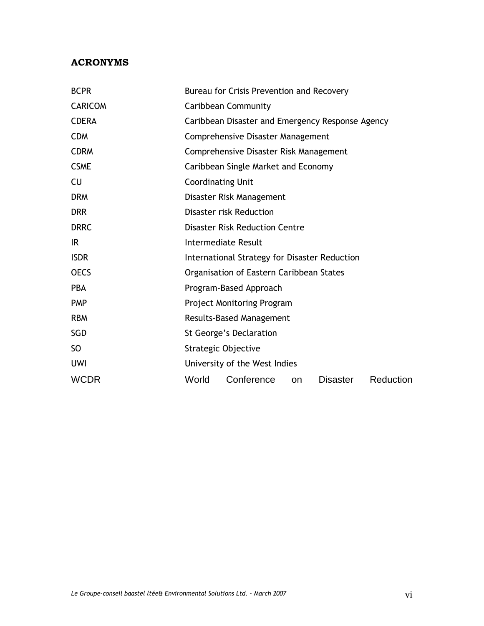# **ACRONYMS**

| <b>BCPR</b>    | Bureau for Crisis Prevention and Recovery                        |  |  |  |  |  |  |
|----------------|------------------------------------------------------------------|--|--|--|--|--|--|
| <b>CARICOM</b> | Caribbean Community                                              |  |  |  |  |  |  |
| <b>CDERA</b>   | Caribbean Disaster and Emergency Response Agency                 |  |  |  |  |  |  |
| <b>CDM</b>     | Comprehensive Disaster Management                                |  |  |  |  |  |  |
| <b>CDRM</b>    | Comprehensive Disaster Risk Management                           |  |  |  |  |  |  |
| <b>CSME</b>    | Caribbean Single Market and Economy                              |  |  |  |  |  |  |
| CU             | <b>Coordinating Unit</b>                                         |  |  |  |  |  |  |
| <b>DRM</b>     | Disaster Risk Management                                         |  |  |  |  |  |  |
| <b>DRR</b>     | Disaster risk Reduction                                          |  |  |  |  |  |  |
| <b>DRRC</b>    | <b>Disaster Risk Reduction Centre</b>                            |  |  |  |  |  |  |
| IR.            | Intermediate Result                                              |  |  |  |  |  |  |
| <b>ISDR</b>    | International Strategy for Disaster Reduction                    |  |  |  |  |  |  |
| <b>OECS</b>    | Organisation of Eastern Caribbean States                         |  |  |  |  |  |  |
| <b>PBA</b>     | Program-Based Approach                                           |  |  |  |  |  |  |
| <b>PMP</b>     | <b>Project Monitoring Program</b>                                |  |  |  |  |  |  |
| <b>RBM</b>     | <b>Results-Based Management</b>                                  |  |  |  |  |  |  |
| <b>SGD</b>     | St George's Declaration                                          |  |  |  |  |  |  |
| SO.            | Strategic Objective                                              |  |  |  |  |  |  |
| <b>UWI</b>     | University of the West Indies                                    |  |  |  |  |  |  |
| <b>WCDR</b>    | Conference<br>World<br>Reduction<br><b>Disaster</b><br><b>on</b> |  |  |  |  |  |  |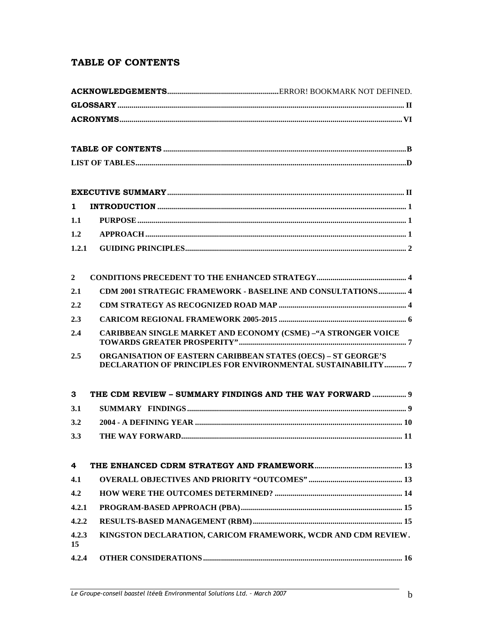# **TABLE OF CONTENTS**

| 1              |                                                                                                                              |
|----------------|------------------------------------------------------------------------------------------------------------------------------|
| 1.1            |                                                                                                                              |
| 1.2            |                                                                                                                              |
| 1.2.1          |                                                                                                                              |
| $\overline{2}$ |                                                                                                                              |
| 2.1            | CDM 2001 STRATEGIC FRAMEWORK - BASELINE AND CONSULTATIONS 4                                                                  |
| 2.2            |                                                                                                                              |
| 2.3            |                                                                                                                              |
| 2.4            | <b>CARIBBEAN SINGLE MARKET AND ECONOMY (CSME) -"A STRONGER VOICE</b>                                                         |
| 2.5            | ORGANISATION OF EASTERN CARIBBEAN STATES (OECS) - ST GEORGE'S<br>DECLARATION OF PRINCIPLES FOR ENVIRONMENTAL SUSTAINABILITY7 |
| 3              | THE CDM REVIEW - SUMMARY FINDINGS AND THE WAY FORWARD  9                                                                     |
| 3.1            |                                                                                                                              |
| 3.2            |                                                                                                                              |
| 3.3            |                                                                                                                              |
| 4              |                                                                                                                              |
| 4.1            |                                                                                                                              |
| 4.2            |                                                                                                                              |
| 4.2.1          |                                                                                                                              |
| 4.2.2          |                                                                                                                              |
| 4.2.3<br>15    | KINGSTON DECLARATION, CARICOM FRAMEWORK, WCDR AND CDM REVIEW.                                                                |
| 4.2.4          |                                                                                                                              |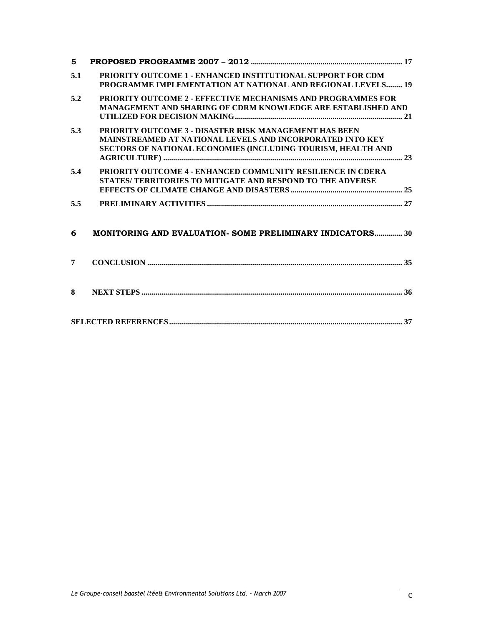| 5              |                                                                                                                                                                                                   |
|----------------|---------------------------------------------------------------------------------------------------------------------------------------------------------------------------------------------------|
| 5.1            | PRIORITY OUTCOME 1 - ENHANCED INSTITUTIONAL SUPPORT FOR CDM<br>PROGRAMME IMPLEMENTATION AT NATIONAL AND REGIONAL LEVELS 19                                                                        |
| 5.2            | <b>PRIORITY OUTCOME 2 - EFFECTIVE MECHANISMS AND PROGRAMMES FOR</b><br><b>MANAGEMENT AND SHARING OF CDRM KNOWLEDGE ARE ESTABLISHED AND</b>                                                        |
| 5.3            | <b>PRIORITY OUTCOME 3 - DISASTER RISK MANAGEMENT HAS BEEN</b><br><b>MAINSTREAMED AT NATIONAL LEVELS AND INCORPORATED INTO KEY</b><br>SECTORS OF NATIONAL ECONOMIES (INCLUDING TOURISM, HEALTH AND |
| 5.4            | PRIORITY OUTCOME 4 - ENHANCED COMMUNITY RESILIENCE IN CDERA<br>STATES/ TERRITORIES TO MITIGATE AND RESPOND TO THE ADVERSE                                                                         |
| 5.5            |                                                                                                                                                                                                   |
| 6              | MONITORING AND EVALUATION- SOME PRELIMINARY INDICATORS 30                                                                                                                                         |
| $\overline{7}$ |                                                                                                                                                                                                   |
| 8              |                                                                                                                                                                                                   |
|                |                                                                                                                                                                                                   |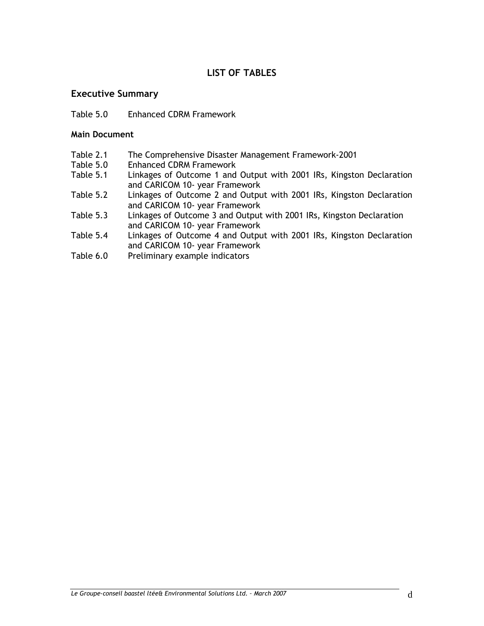# **LIST OF TABLES**

# **Executive Summary**

Table 5.0 Enhanced CDRM Framework

# **Main Document**

- Table 2.1 The Comprehensive Disaster Management Framework-2001
- Table 5.0 Enhanced CDRM Framework<br>Table 5.1 Linkages of Outcome 1 and
- Linkages of Outcome 1 and Output with 2001 IRs, Kingston Declaration and CARICOM 10- year Framework
- Table 5.2 Linkages of Outcome 2 and Output with 2001 IRs, Kingston Declaration and CARICOM 10- year Framework
- Table 5.3 Linkages of Outcome 3 and Output with 2001 IRs, Kingston Declaration and CARICOM 10- year Framework
- Table 5.4 Linkages of Outcome 4 and Output with 2001 IRs, Kingston Declaration and CARICOM 10- year Framework
- Table 6.0 Preliminary example indicators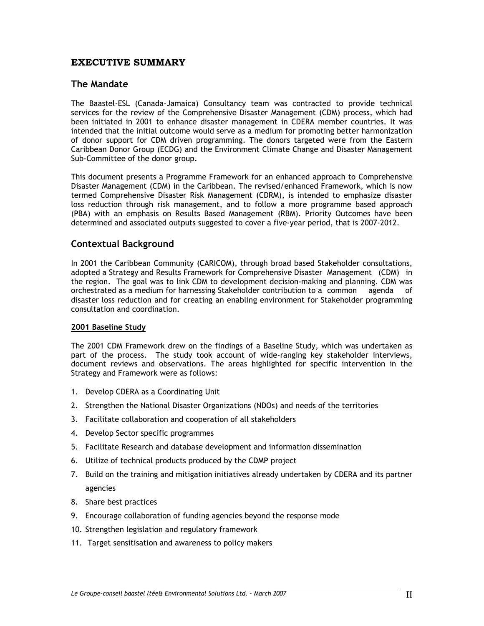# **EXECUTIVE SUMMARY**

## **The Mandate**

The Baastel-ESL (Canada-Jamaica) Consultancy team was contracted to provide technical services for the review of the Comprehensive Disaster Management (CDM) process, which had been initiated in 2001 to enhance disaster management in CDERA member countries. It was intended that the initial outcome would serve as a medium for promoting better harmonization of donor support for CDM driven programming. The donors targeted were from the Eastern Caribbean Donor Group (ECDG) and the Environment Climate Change and Disaster Management Sub-Committee of the donor group.

This document presents a Programme Framework for an enhanced approach to Comprehensive Disaster Management (CDM) in the Caribbean. The revised/enhanced Framework, which is now termed Comprehensive Disaster Risk Management (CDRM), is intended to emphasize disaster loss reduction through risk management, and to follow a more programme based approach (PBA) with an emphasis on Results Based Management (RBM). Priority Outcomes have been determined and associated outputs suggested to cover a five-year period, that is 2007-2012.

# **Contextual Background**

In 2001 the Caribbean Community (CARICOM), through broad based Stakeholder consultations, adopted a Strategy and Results Framework for Comprehensive Disaster Management (CDM) in the region. The goal was to link CDM to development decision-making and planning. CDM was orchestrated as a medium for harnessing Stakeholder contribution to a common agenda of disaster loss reduction and for creating an enabling environment for Stakeholder programming consultation and coordination.

#### **2001 Baseline Study**

The 2001 CDM Framework drew on the findings of a Baseline Study, which was undertaken as part of the process. The study took account of wide-ranging key stakeholder interviews, document reviews and observations. The areas highlighted for specific intervention in the Strategy and Framework were as follows:

- 1. Develop CDERA as a Coordinating Unit
- 2. Strengthen the National Disaster Organizations (NDOs) and needs of the territories
- 3. Facilitate collaboration and cooperation of all stakeholders
- 4. Develop Sector specific programmes
- 5. Facilitate Research and database development and information dissemination
- 6. Utilize of technical products produced by the CDMP project
- 7. Build on the training and mitigation initiatives already undertaken by CDERA and its partner agencies
- 8. Share best practices
- 9. Encourage collaboration of funding agencies beyond the response mode
- 10. Strengthen legislation and regulatory framework
- 11. Target sensitisation and awareness to policy makers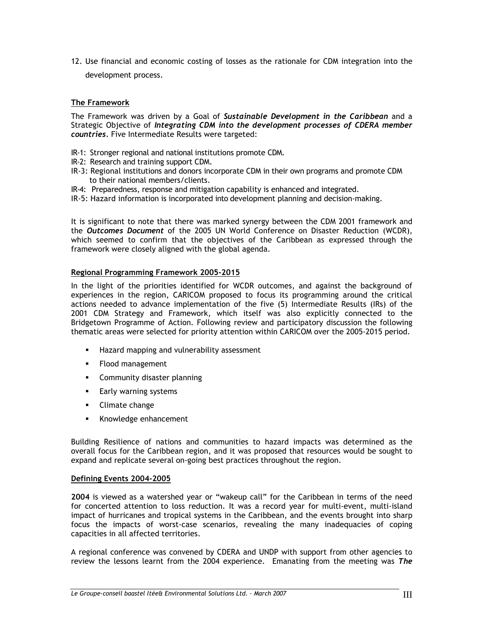12. Use financial and economic costing of losses as the rationale for CDM integration into the development process.

### **The Framework**

The Framework was driven by a Goal of *Sustainable Development in the Caribbean* and a Strategic Objective of *Integrating CDM into the development processes of CDERA member countries.* Five Intermediate Results were targeted:

- IR-1: Stronger regional and national institutions promote CDM.
- IR-2: Research and training support CDM.
- IR-3: Regional institutions and donors incorporate CDM in their own programs and promote CDM to their national members/clients.
- IR-4: Preparedness, response and mitigation capability is enhanced and integrated.
- IR-5: Hazard information is incorporated into development planning and decision-making.

It is significant to note that there was marked synergy between the CDM 2001 framework and the *Outcomes Document* of the 2005 UN World Conference on Disaster Reduction (WCDR), which seemed to confirm that the objectives of the Caribbean as expressed through the framework were closely aligned with the global agenda.

#### **Regional Programming Framework 2005-2015**

In the light of the priorities identified for WCDR outcomes, and against the background of experiences in the region, CARICOM proposed to focus its programming around the critical actions needed to advance implementation of the five (5) Intermediate Results (IRs) of the 2001 CDM Strategy and Framework, which itself was also explicitly connected to the Bridgetown Programme of Action. Following review and participatory discussion the following thematic areas were selected for priority attention within CARICOM over the 2005-2015 period.

- **Hazard mapping and vulnerability assessment**
- **Flood management**
- **Community disaster planning**
- **Early warning systems**
- **Climate change**
- Knowledge enhancement

Building Resilience of nations and communities to hazard impacts was determined as the overall focus for the Caribbean region, and it was proposed that resources would be sought to expand and replicate several on-going best practices throughout the region.

#### **Defining Events 2004-2005**

**2004** is viewed as a watershed year or "wakeup call" for the Caribbean in terms of the need for concerted attention to loss reduction. It was a record year for multi-event, multi-island impact of hurricanes and tropical systems in the Caribbean, and the events brought into sharp focus the impacts of worst-case scenarios, revealing the many inadequacies of coping capacities in all affected territories.

A regional conference was convened by CDERA and UNDP with support from other agencies to review the lessons learnt from the 2004 experience. Emanating from the meeting was *The*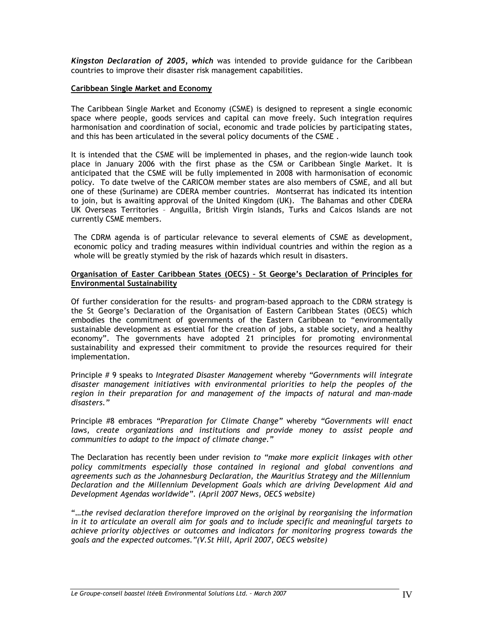*Kingston Declaration of 2005, which* was intended to provide guidance for the Caribbean countries to improve their disaster risk management capabilities.

#### **Caribbean Single Market and Economy**

The Caribbean Single Market and Economy (CSME) is designed to represent a single economic space where people, goods services and capital can move freely. Such integration requires harmonisation and coordination of social, economic and trade policies by participating states, and this has been articulated in the several policy documents of the CSME .

It is intended that the CSME will be implemented in phases, and the region-wide launch took place in January 2006 with the first phase as the CSM or Caribbean Single Market. It is anticipated that the CSME will be fully implemented in 2008 with harmonisation of economic policy. To date twelve of the CARICOM member states are also members of CSME, and all but one of these (Suriname) are CDERA member countries. Montserrat has indicated its intention to join, but is awaiting approval of the United Kingdom (UK). The Bahamas and other CDERA UK Overseas Territories – Anguilla, British Virgin Islands, Turks and Caicos Islands are not currently CSME members.

The CDRM agenda is of particular relevance to several elements of CSME as development, economic policy and trading measures within individual countries and within the region as a whole will be greatly stymied by the risk of hazards which result in disasters.

#### **Organisation of Easter Caribbean States (OECS) – St George's Declaration of Principles for Environmental Sustainability**

Of further consideration for the results- and program-based approach to the CDRM strategy is the St George's Declaration of the Organisation of Eastern Caribbean States (OECS) which embodies the commitment of governments of the Eastern Caribbean to "environmentally sustainable development as essential for the creation of jobs, a stable society, and a healthy economy". The governments have adopted 21 principles for promoting environmental sustainability and expressed their commitment to provide the resources required for their implementation.

Principle # 9 speaks to *Integrated Disaster Management* whereby *"Governments will integrate disaster management initiatives with environmental priorities to help the peoples of the region in their preparation for and management of the impacts of natural and man-made disasters."* 

Principle #8 embraces *"Preparation for Climate Change"* whereby *"Governments will enact laws, create organizations and institutions and provide money to assist people and communities to adapt to the impact of climate change."* 

The Declaration has recently been under revision *to "make more explicit linkages with other policy commitments especially those contained in regional and global conventions and agreements such as the Johannesburg Declaration, the Mauritius Strategy and the Millennium Declaration and the Millennium Development Goals which are driving Development Aid and Development Agendas worldwide". (April 2007 News, OECS website)* 

"…*the revised declaration therefore improved on the original by reorganising the information in it to articulate an overall aim for goals and to include specific and meaningful targets to achieve priority objectives or outcomes and indicators for monitoring progress towards the goals and the expected outcomes."(V.St Hill, April 2007, OECS website)*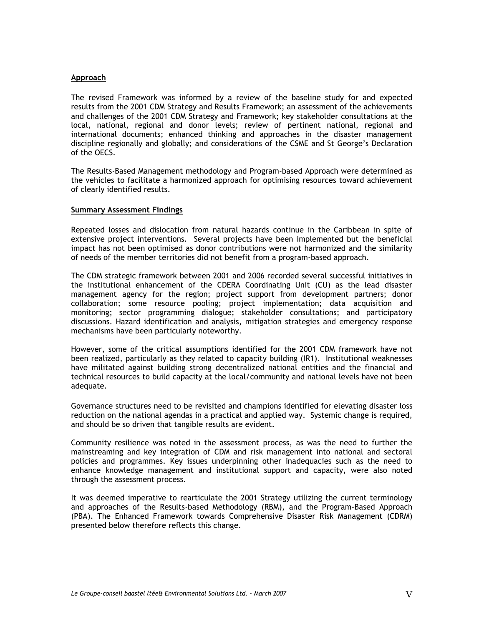#### **Approach**

The revised Framework was informed by a review of the baseline study for and expected results from the 2001 CDM Strategy and Results Framework; an assessment of the achievements and challenges of the 2001 CDM Strategy and Framework; key stakeholder consultations at the local, national, regional and donor levels; review of pertinent national, regional and international documents; enhanced thinking and approaches in the disaster management discipline regionally and globally; and considerations of the CSME and St George's Declaration of the OECS.

The Results-Based Management methodology and Program-based Approach were determined as the vehicles to facilitate a harmonized approach for optimising resources toward achievement of clearly identified results.

#### **Summary Assessment Findings**

Repeated losses and dislocation from natural hazards continue in the Caribbean in spite of extensive project interventions. Several projects have been implemented but the beneficial impact has not been optimised as donor contributions were not harmonized and the similarity of needs of the member territories did not benefit from a program-based approach.

The CDM strategic framework between 2001 and 2006 recorded several successful initiatives in the institutional enhancement of the CDERA Coordinating Unit (CU) as the lead disaster management agency for the region; project support from development partners; donor collaboration; some resource pooling; project implementation; data acquisition and monitoring; sector programming dialogue; stakeholder consultations; and participatory discussions. Hazard identification and analysis, mitigation strategies and emergency response mechanisms have been particularly noteworthy.

However, some of the critical assumptions identified for the 2001 CDM framework have not been realized, particularly as they related to capacity building (IR1). Institutional weaknesses have militated against building strong decentralized national entities and the financial and technical resources to build capacity at the local/community and national levels have not been adequate.

Governance structures need to be revisited and champions identified for elevating disaster loss reduction on the national agendas in a practical and applied way. Systemic change is required, and should be so driven that tangible results are evident.

Community resilience was noted in the assessment process, as was the need to further the mainstreaming and key integration of CDM and risk management into national and sectoral policies and programmes. Key issues underpinning other inadequacies such as the need to enhance knowledge management and institutional support and capacity, were also noted through the assessment process.

It was deemed imperative to rearticulate the 2001 Strategy utilizing the current terminology and approaches of the Results-based Methodology (RBM), and the Program-Based Approach (PBA). The Enhanced Framework towards Comprehensive Disaster Risk Management (CDRM) presented below therefore reflects this change.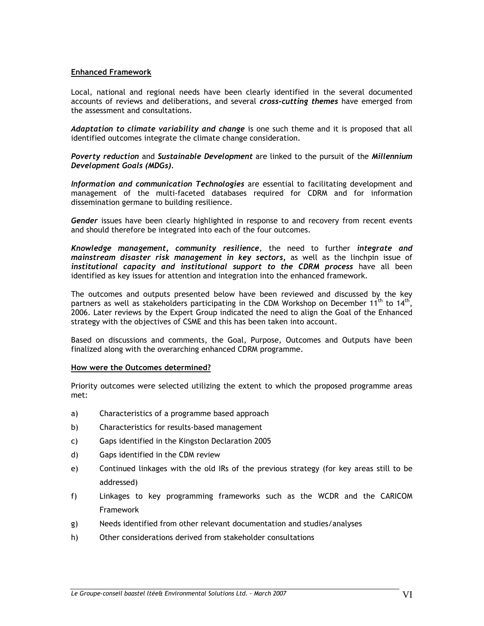#### **Enhanced Framework**

Local, national and regional needs have been clearly identified in the several documented accounts of reviews and deliberations, and several *cross-cutting themes* have emerged from the assessment and consultations.

*Adaptation to climate variability and change* is one such theme and it is proposed that all identified outcomes integrate the climate change consideration.

*Poverty reduction* and *Sustainable Development* are linked to the pursuit of the *Millennium Development Goals (MDGs).* 

*Information and communication Technologies* are essential to facilitating development and management of the multi-faceted databases required for CDRM and for information dissemination germane to building resilience.

*Gender* issues have been clearly highlighted in response to and recovery from recent events and should therefore be integrated into each of the four outcomes.

*Knowledge management, community resilience*, the need to further *integrate and mainstream disaster risk management in key sectors,* as well as the linchpin issue of *institutional capacity and institutional support to the CDRM process* have all been identified as key issues for attention and integration into the enhanced framework.

The outcomes and outputs presented below have been reviewed and discussed by the key partners as well as stakeholders participating in the CDM Workshop on December 11<sup>th</sup> to 14<sup>th</sup>, 2006. Later reviews by the Expert Group indicated the need to align the Goal of the Enhanced strategy with the objectives of CSME and this has been taken into account.

Based on discussions and comments, the Goal, Purpose, Outcomes and Outputs have been finalized along with the overarching enhanced CDRM programme.

#### **How were the Outcomes determined?**

Priority outcomes were selected utilizing the extent to which the proposed programme areas met:

- a) Characteristics of a programme based approach
- b) Characteristics for results-based management
- c) Gaps identified in the Kingston Declaration 2005
- d) Gaps identified in the CDM review
- e) Continued linkages with the old IRs of the previous strategy (for key areas still to be addressed)
- f) Linkages to key programming frameworks such as the WCDR and the CARICOM Framework
- g) Needs identified from other relevant documentation and studies/analyses
- h) Other considerations derived from stakeholder consultations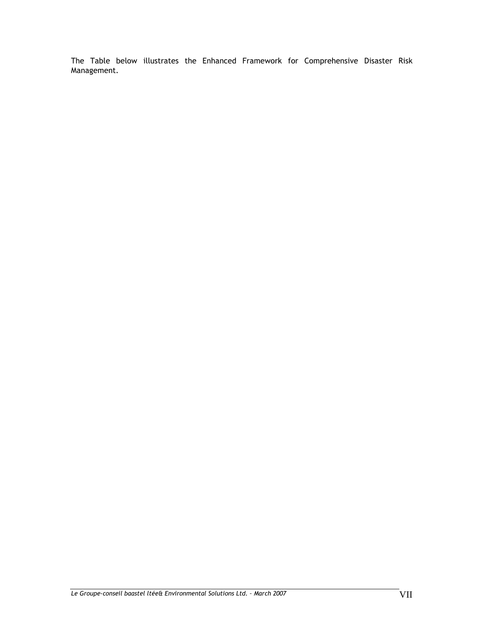The Table below illustrates the Enhanced Framework for Comprehensive Disaster Risk Management.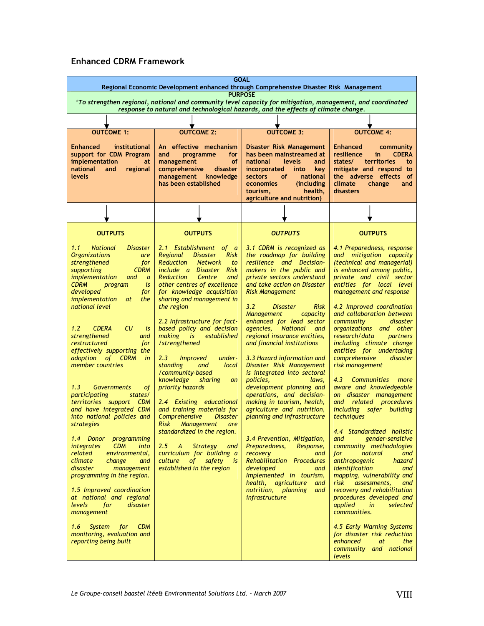# **Enhanced CDRM Framework**

| 'To strengthen regional, national and community level capacity for mitigation, management, and coordinated                                                                                                                                                                                                                                                                                                                                                                                                                                                                                                                                                                                                                                                                                                                                                                                                                                                                                                     | <b>PURPOSE</b>                                                                                                                                                                                                                                                                                                                                                                                                                                                                                                                                                                                                                                                                                                                                                                                                                                   | Regional Economic Development enhanced through Comprehensive Disaster Risk Management<br>response to natural and technological hazards, and the effects of climate change.                                                                                                                                                                                                                                                                                                                                                                                                                                                                                                                                                                                                                                                                                                                                             |                                                                                                                                                                                                                                                                                                                                                                                                                                                                                                                                                                                                                                                                                                                                                                                                                                                                                                                                                                                                                                                                       |
|----------------------------------------------------------------------------------------------------------------------------------------------------------------------------------------------------------------------------------------------------------------------------------------------------------------------------------------------------------------------------------------------------------------------------------------------------------------------------------------------------------------------------------------------------------------------------------------------------------------------------------------------------------------------------------------------------------------------------------------------------------------------------------------------------------------------------------------------------------------------------------------------------------------------------------------------------------------------------------------------------------------|--------------------------------------------------------------------------------------------------------------------------------------------------------------------------------------------------------------------------------------------------------------------------------------------------------------------------------------------------------------------------------------------------------------------------------------------------------------------------------------------------------------------------------------------------------------------------------------------------------------------------------------------------------------------------------------------------------------------------------------------------------------------------------------------------------------------------------------------------|------------------------------------------------------------------------------------------------------------------------------------------------------------------------------------------------------------------------------------------------------------------------------------------------------------------------------------------------------------------------------------------------------------------------------------------------------------------------------------------------------------------------------------------------------------------------------------------------------------------------------------------------------------------------------------------------------------------------------------------------------------------------------------------------------------------------------------------------------------------------------------------------------------------------|-----------------------------------------------------------------------------------------------------------------------------------------------------------------------------------------------------------------------------------------------------------------------------------------------------------------------------------------------------------------------------------------------------------------------------------------------------------------------------------------------------------------------------------------------------------------------------------------------------------------------------------------------------------------------------------------------------------------------------------------------------------------------------------------------------------------------------------------------------------------------------------------------------------------------------------------------------------------------------------------------------------------------------------------------------------------------|
|                                                                                                                                                                                                                                                                                                                                                                                                                                                                                                                                                                                                                                                                                                                                                                                                                                                                                                                                                                                                                |                                                                                                                                                                                                                                                                                                                                                                                                                                                                                                                                                                                                                                                                                                                                                                                                                                                  |                                                                                                                                                                                                                                                                                                                                                                                                                                                                                                                                                                                                                                                                                                                                                                                                                                                                                                                        |                                                                                                                                                                                                                                                                                                                                                                                                                                                                                                                                                                                                                                                                                                                                                                                                                                                                                                                                                                                                                                                                       |
|                                                                                                                                                                                                                                                                                                                                                                                                                                                                                                                                                                                                                                                                                                                                                                                                                                                                                                                                                                                                                |                                                                                                                                                                                                                                                                                                                                                                                                                                                                                                                                                                                                                                                                                                                                                                                                                                                  |                                                                                                                                                                                                                                                                                                                                                                                                                                                                                                                                                                                                                                                                                                                                                                                                                                                                                                                        |                                                                                                                                                                                                                                                                                                                                                                                                                                                                                                                                                                                                                                                                                                                                                                                                                                                                                                                                                                                                                                                                       |
|                                                                                                                                                                                                                                                                                                                                                                                                                                                                                                                                                                                                                                                                                                                                                                                                                                                                                                                                                                                                                |                                                                                                                                                                                                                                                                                                                                                                                                                                                                                                                                                                                                                                                                                                                                                                                                                                                  |                                                                                                                                                                                                                                                                                                                                                                                                                                                                                                                                                                                                                                                                                                                                                                                                                                                                                                                        |                                                                                                                                                                                                                                                                                                                                                                                                                                                                                                                                                                                                                                                                                                                                                                                                                                                                                                                                                                                                                                                                       |
| <b>OUTCOME 1:</b>                                                                                                                                                                                                                                                                                                                                                                                                                                                                                                                                                                                                                                                                                                                                                                                                                                                                                                                                                                                              | <b>OUTCOME 2:</b>                                                                                                                                                                                                                                                                                                                                                                                                                                                                                                                                                                                                                                                                                                                                                                                                                                | <b>OUTCOME 3:</b>                                                                                                                                                                                                                                                                                                                                                                                                                                                                                                                                                                                                                                                                                                                                                                                                                                                                                                      | <b>OUTCOME 4:</b>                                                                                                                                                                                                                                                                                                                                                                                                                                                                                                                                                                                                                                                                                                                                                                                                                                                                                                                                                                                                                                                     |
| institutional<br><b>Enhanced</b><br>support for CDM Program<br>implementation<br>at<br>national<br>and<br>regional<br>levels                                                                                                                                                                                                                                                                                                                                                                                                                                                                                                                                                                                                                                                                                                                                                                                                                                                                                   | An effective mechanism<br>for<br>and<br>programme<br><b>of</b><br>management<br>comprehensive<br>disaster<br>management<br>knowledge<br>has been established                                                                                                                                                                                                                                                                                                                                                                                                                                                                                                                                                                                                                                                                                     | Disaster Risk Management<br>has been mainstreamed at<br><b>levels</b><br>national<br>and<br>incorporated<br>into<br>key<br>national<br>sectors<br><b>of</b><br>economies<br>(including)<br>health,<br>tourism,<br>agriculture and nutrition)                                                                                                                                                                                                                                                                                                                                                                                                                                                                                                                                                                                                                                                                           | <b>Enhanced</b><br>community<br>resilience<br><b>CDERA</b><br>in.<br>states/<br>territories<br>to<br>mitigate and respond to<br>the adverse effects<br>of<br>climate<br>change<br>and<br>disasters                                                                                                                                                                                                                                                                                                                                                                                                                                                                                                                                                                                                                                                                                                                                                                                                                                                                    |
|                                                                                                                                                                                                                                                                                                                                                                                                                                                                                                                                                                                                                                                                                                                                                                                                                                                                                                                                                                                                                |                                                                                                                                                                                                                                                                                                                                                                                                                                                                                                                                                                                                                                                                                                                                                                                                                                                  |                                                                                                                                                                                                                                                                                                                                                                                                                                                                                                                                                                                                                                                                                                                                                                                                                                                                                                                        |                                                                                                                                                                                                                                                                                                                                                                                                                                                                                                                                                                                                                                                                                                                                                                                                                                                                                                                                                                                                                                                                       |
| <b>OUTPUTS</b>                                                                                                                                                                                                                                                                                                                                                                                                                                                                                                                                                                                                                                                                                                                                                                                                                                                                                                                                                                                                 | <b>OUTPUTS</b>                                                                                                                                                                                                                                                                                                                                                                                                                                                                                                                                                                                                                                                                                                                                                                                                                                   | <b>OUTPUTS</b>                                                                                                                                                                                                                                                                                                                                                                                                                                                                                                                                                                                                                                                                                                                                                                                                                                                                                                         | <b>OUTPUTS</b>                                                                                                                                                                                                                                                                                                                                                                                                                                                                                                                                                                                                                                                                                                                                                                                                                                                                                                                                                                                                                                                        |
| 1.1<br><b>National</b><br><b>Disaster</b><br><b>Organizations</b><br>are<br>strengthened<br>for<br>supporting<br><b>CDRM</b><br><i>implementation</i><br>and<br>$\overline{a}$<br><b>CDRM</b><br>is<br>program<br>developed<br>for<br>implementation<br>at<br>the<br>national level<br>CU<br>1.2<br><b>CDERA</b><br>is<br>strengthened<br>and<br>restructured<br>for<br>effectively supporting the<br>adoption of CDRM<br>in<br>member countries<br>1.3<br><b>Governments</b><br>οf<br>participating<br>states/<br>territories support CDM<br>and have integrated CDM<br>into national policies and<br>strategies<br>1.4 Donor programming<br><i>integrates</i><br><b>CDM</b><br>into<br>related<br>environmental,<br>climate<br>change<br>and<br>disaster<br>management<br>programming in the region.<br>1.5 Improved coordination<br>at national and regional<br>levels<br>for<br>disaster<br>management<br><b>CDM</b><br>1.6<br><b>System</b><br>for<br>monitoring, evaluation and<br>reporting being built | 2.1 Establishment of a<br>Regional<br><b>Disaster</b><br><b>Risk</b><br>Reduction<br><b>Network</b><br>to<br>include a Disaster Risk<br><b>Reduction</b><br>Centre<br>and<br>other centres of excellence<br>for knowledge acquisition<br>sharing and management in<br>the region<br>2.2 Infrastructure for fact-<br>based policy and decision<br>making<br>established<br>is<br>/strengthened<br>2.3<br><i>Improved</i><br>under-<br>standing<br>and<br>local<br>/community-based<br>knowledge<br>sharing<br>on<br>priority hazards<br>2.4 Existing educational<br>and training materials for<br>Comprehensive<br><b>Disaster</b><br><b>Risk</b><br><b>Management</b><br>are<br>standardized in the region.<br>$2.5^{\circ}$<br><b>Strategy</b><br>and<br>A<br>curriculum for building a<br>safety is<br>culture of<br>established in the region | 3.1 CDRM is recognized as<br>the roadmap for building<br>resilience and Decision-<br>makers in the public and<br>private sectors understand<br>and take action on Disaster<br><b>Risk Management</b><br>3.2<br><b>Risk</b><br><b>Disaster</b><br><b>Management</b><br>capacity<br>enhanced for lead sector<br>agencies, National<br>and<br>regional insurance entities,<br>and financial institutions<br>3.3 Hazard information and<br>Disaster Risk Management<br>is integrated into sectoral<br>policies,<br>laws.<br>development planning and<br>operations, and decision-<br>making in tourism, health,<br>agriculture and nutrition,<br>planning and infrastructure<br>3.4 Prevention, Mitigation,<br>Preparedness, Response,<br>recovery<br>and<br><b>Rehabilitation Procedures</b><br>developed<br>and<br>Implemented in tourism,<br>health, agriculture<br>and<br>nutrition, planning<br>and<br>infrastructure | 4.1 Preparedness, response<br>and mitigation capacity<br>(technical and managerial)<br>is enhanced among public,<br>private and civil sector<br>entities for local level<br>management and response<br>4.2 Improved coordination<br>and collaboration between<br>community<br>disaster<br>organizations and other<br>research/data<br>partners<br>including climate change<br>entities for undertaking<br>comprehensive<br>disaster<br>risk management<br>4.3<br>Communities more<br>aware and knowledgeable<br>on disaster management<br>and related procedures<br>including safer building<br>techniques<br>4.4 Standardized holistic<br>gender-sensitive<br>and<br>community methodologies<br>for<br>natural<br>and<br>anthropogenic<br>hazard<br>identification<br>and<br>mapping, vulnerability and<br>risk<br>assessments,<br>and<br>recovery and rehabilitation<br>procedures developed and<br>applied<br>in<br>selected<br>communities.<br>4.5 Early Warning Systems<br>for disaster risk reduction<br>enhanced<br>the<br><i>at</i><br>community and national |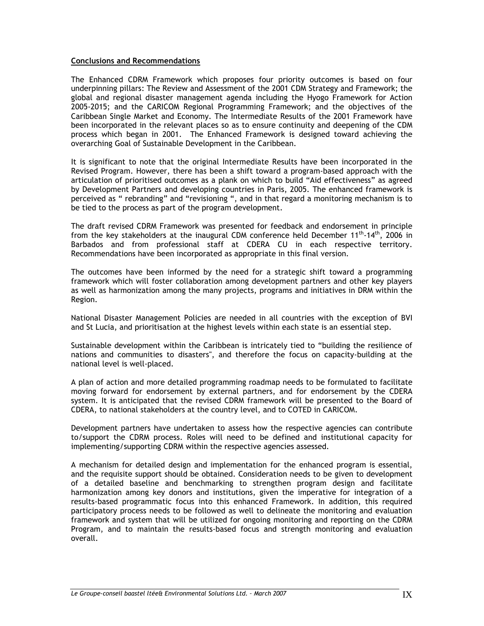#### **Conclusions and Recommendations**

The Enhanced CDRM Framework which proposes four priority outcomes is based on four underpinning pillars: The Review and Assessment of the 2001 CDM Strategy and Framework; the global and regional disaster management agenda including the Hyogo Framework for Action 2005-2015; and the CARICOM Regional Programming Framework; and the objectives of the Caribbean Single Market and Economy. The Intermediate Results of the 2001 Framework have been incorporated in the relevant places so as to ensure continuity and deepening of the CDM process which began in 2001. The Enhanced Framework is designed toward achieving the overarching Goal of Sustainable Development in the Caribbean.

It is significant to note that the original Intermediate Results have been incorporated in the Revised Program. However, there has been a shift toward a program-based approach with the articulation of prioritised outcomes as a plank on which to build "Aid effectiveness" as agreed by Development Partners and developing countries in Paris, 2005. The enhanced framework is perceived as " rebranding" and "revisioning ", and in that regard a monitoring mechanism is to be tied to the process as part of the program development.

The draft revised CDRM Framework was presented for feedback and endorsement in principle from the key stakeholders at the inaugural CDM conference held December  $11<sup>th</sup>·14<sup>th</sup>$ , 2006 in Barbados and from professional staff at CDERA CU in each respective territory. Recommendations have been incorporated as appropriate in this final version.

The outcomes have been informed by the need for a strategic shift toward a programming framework which will foster collaboration among development partners and other key players as well as harmonization among the many projects, programs and initiatives in DRM within the Region.

National Disaster Management Policies are needed in all countries with the exception of BVI and St Lucia, and prioritisation at the highest levels within each state is an essential step.

Sustainable development within the Caribbean is intricately tied to "building the resilience of nations and communities to disasters", and therefore the focus on capacity-building at the national level is well-placed.

A plan of action and more detailed programming roadmap needs to be formulated to facilitate moving forward for endorsement by external partners, and for endorsement by the CDERA system. It is anticipated that the revised CDRM framework will be presented to the Board of CDERA, to national stakeholders at the country level, and to COTED in CARICOM.

Development partners have undertaken to assess how the respective agencies can contribute to/support the CDRM process. Roles will need to be defined and institutional capacity for implementing/supporting CDRM within the respective agencies assessed.

A mechanism for detailed design and implementation for the enhanced program is essential, and the requisite support should be obtained. Consideration needs to be given to development of a detailed baseline and benchmarking to strengthen program design and facilitate harmonization among key donors and institutions, given the imperative for integration of a results-based programmatic focus into this enhanced Framework. In addition, this required participatory process needs to be followed as well to delineate the monitoring and evaluation framework and system that will be utilized for ongoing monitoring and reporting on the CDRM Program, and to maintain the results-based focus and strength monitoring and evaluation overall.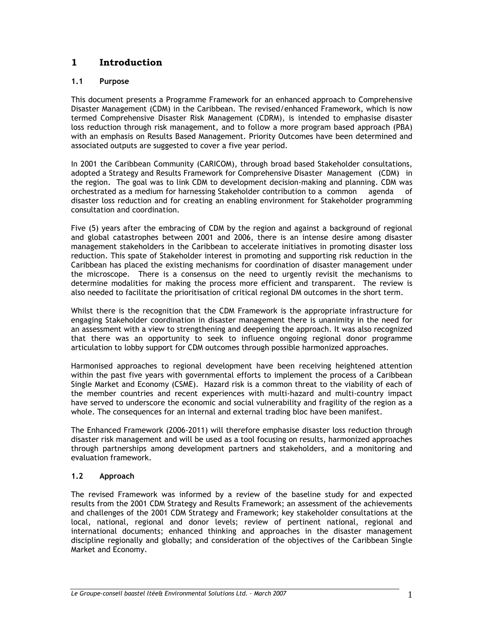# **1 Introduction**

# **1.1 Purpose**

This document presents a Programme Framework for an enhanced approach to Comprehensive Disaster Management (CDM) in the Caribbean. The revised/enhanced Framework, which is now termed Comprehensive Disaster Risk Management (CDRM), is intended to emphasise disaster loss reduction through risk management, and to follow a more program based approach (PBA) with an emphasis on Results Based Management. Priority Outcomes have been determined and associated outputs are suggested to cover a five year period.

In 2001 the Caribbean Community (CARICOM), through broad based Stakeholder consultations, adopted a Strategy and Results Framework for Comprehensive Disaster Management (CDM) in the region. The goal was to link CDM to development decision-making and planning. CDM was orchestrated as a medium for harnessing Stakeholder contribution to a common agenda of disaster loss reduction and for creating an enabling environment for Stakeholder programming consultation and coordination.

Five (5) years after the embracing of CDM by the region and against a background of regional and global catastrophes between 2001 and 2006, there is an intense desire among disaster management stakeholders in the Caribbean to accelerate initiatives in promoting disaster loss reduction. This spate of Stakeholder interest in promoting and supporting risk reduction in the Caribbean has placed the existing mechanisms for coordination of disaster management under the microscope. There is a consensus on the need to urgently revisit the mechanisms to determine modalities for making the process more efficient and transparent. The review is also needed to facilitate the prioritisation of critical regional DM outcomes in the short term.

Whilst there is the recognition that the CDM Framework is the appropriate infrastructure for engaging Stakeholder coordination in disaster management there is unanimity in the need for an assessment with a view to strengthening and deepening the approach. It was also recognized that there was an opportunity to seek to influence ongoing regional donor programme articulation to lobby support for CDM outcomes through possible harmonized approaches.

Harmonised approaches to regional development have been receiving heightened attention within the past five years with governmental efforts to implement the process of a Caribbean Single Market and Economy (CSME). Hazard risk is a common threat to the viability of each of the member countries and recent experiences with multi-hazard and multi-country impact have served to underscore the economic and social vulnerability and fragility of the region as a whole. The consequences for an internal and external trading bloc have been manifest.

The Enhanced Framework (2006-2011) will therefore emphasise disaster loss reduction through disaster risk management and will be used as a tool focusing on results, harmonized approaches through partnerships among development partners and stakeholders, and a monitoring and evaluation framework.

# **1.2 Approach**

The revised Framework was informed by a review of the baseline study for and expected results from the 2001 CDM Strategy and Results Framework; an assessment of the achievements and challenges of the 2001 CDM Strategy and Framework; key stakeholder consultations at the local, national, regional and donor levels; review of pertinent national, regional and international documents; enhanced thinking and approaches in the disaster management discipline regionally and globally; and consideration of the objectives of the Caribbean Single Market and Economy.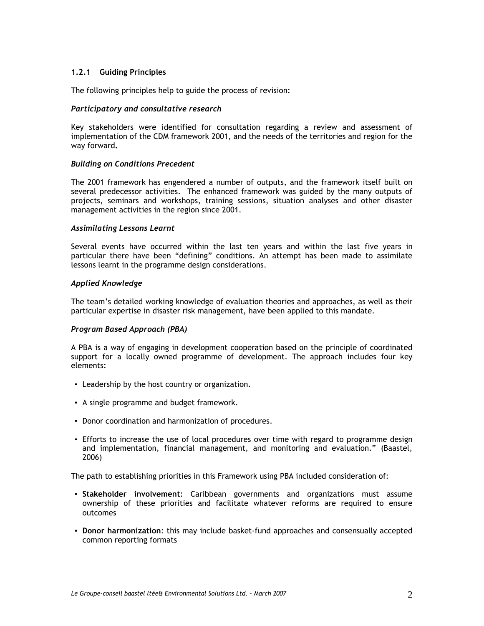#### **1.2.1 Guiding Principles**

The following principles help to guide the process of revision:

#### *Participatory and consultative research*

Key stakeholders were identified for consultation regarding a review and assessment of implementation of the CDM framework 2001, and the needs of the territories and region for the way forward**.** 

#### *Building on Conditions Precedent*

The 2001 framework has engendered a number of outputs, and the framework itself built on several predecessor activities. The enhanced framework was guided by the many outputs of projects, seminars and workshops, training sessions, situation analyses and other disaster management activities in the region since 2001.

#### *Assimilating Lessons Learnt*

Several events have occurred within the last ten years and within the last five years in particular there have been "defining" conditions. An attempt has been made to assimilate lessons learnt in the programme design considerations.

#### *Applied Knowledge*

The team's detailed working knowledge of evaluation theories and approaches, as well as their particular expertise in disaster risk management, have been applied to this mandate.

#### *Program Based Approach (PBA)*

A PBA is a way of engaging in development cooperation based on the principle of coordinated support for a locally owned programme of development. The approach includes four key elements:

- Leadership by the host country or organization.
- A single programme and budget framework.
- Donor coordination and harmonization of procedures.
- Efforts to increase the use of local procedures over time with regard to programme design and implementation, financial management, and monitoring and evaluation." (Baastel, 2006)

The path to establishing priorities in this Framework using PBA included consideration of:

- **Stakeholder involvement**: Caribbean governments and organizations must assume ownership of these priorities and facilitate whatever reforms are required to ensure outcomes
- **Donor harmonization**: this may include basket-fund approaches and consensually accepted common reporting formats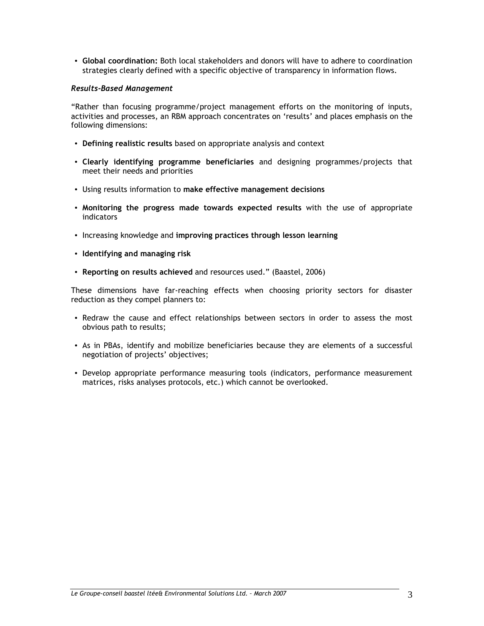• **Global coordination:** Both local stakeholders and donors will have to adhere to coordination strategies clearly defined with a specific objective of transparency in information flows.

#### *Results-Based Management*

"Rather than focusing programme/project management efforts on the monitoring of inputs, activities and processes, an RBM approach concentrates on 'results' and places emphasis on the following dimensions:

- **Defining realistic results** based on appropriate analysis and context
- **Clearly identifying programme beneficiaries** and designing programmes/projects that meet their needs and priorities
- Using results information to **make effective management decisions**
- **Monitoring the progress made towards expected results** with the use of appropriate indicators
- Increasing knowledge and **improving practices through lesson learning**
- **Identifying and managing risk**
- **Reporting on results achieved** and resources used." (Baastel, 2006)

These dimensions have far-reaching effects when choosing priority sectors for disaster reduction as they compel planners to:

- Redraw the cause and effect relationships between sectors in order to assess the most obvious path to results;
- As in PBAs, identify and mobilize beneficiaries because they are elements of a successful negotiation of projects' objectives;
- Develop appropriate performance measuring tools (indicators, performance measurement matrices, risks analyses protocols, etc.) which cannot be overlooked.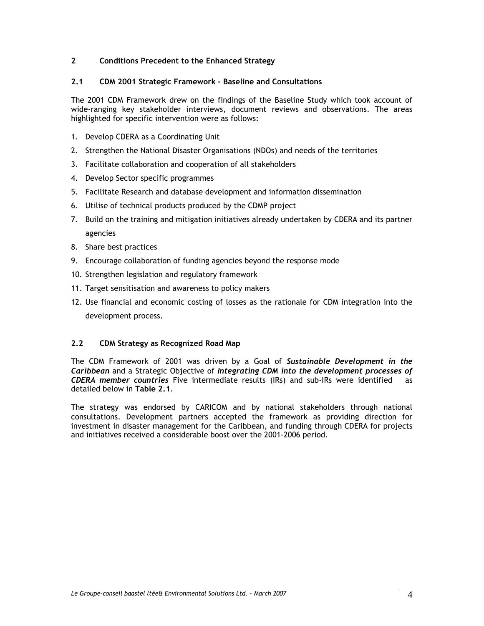# **2 Conditions Precedent to the Enhanced Strategy**

#### **2.1 CDM 2001 Strategic Framework - Baseline and Consultations**

The 2001 CDM Framework drew on the findings of the Baseline Study which took account of wide-ranging key stakeholder interviews, document reviews and observations. The areas highlighted for specific intervention were as follows:

- 1. Develop CDERA as a Coordinating Unit
- 2. Strengthen the National Disaster Organisations (NDOs) and needs of the territories
- 3. Facilitate collaboration and cooperation of all stakeholders
- 4. Develop Sector specific programmes
- 5. Facilitate Research and database development and information dissemination
- 6. Utilise of technical products produced by the CDMP project
- 7. Build on the training and mitigation initiatives already undertaken by CDERA and its partner agencies
- 8. Share best practices
- 9. Encourage collaboration of funding agencies beyond the response mode
- 10. Strengthen legislation and regulatory framework
- 11. Target sensitisation and awareness to policy makers
- 12. Use financial and economic costing of losses as the rationale for CDM integration into the development process.

## **2.2 CDM Strategy as Recognized Road Map**

The CDM Framework of 2001 was driven by a Goal of *Sustainable Development in the Caribbean* and a Strategic Objective of *Integrating CDM into the development processes of CDERA member countries* Five intermediate results (IRs) and sub-IRs were identified as detailed below in **Table 2.1**.

The strategy was endorsed by CARICOM and by national stakeholders through national consultations. Development partners accepted the framework as providing direction for investment in disaster management for the Caribbean, and funding through CDERA for projects and initiatives received a considerable boost over the 2001-2006 period.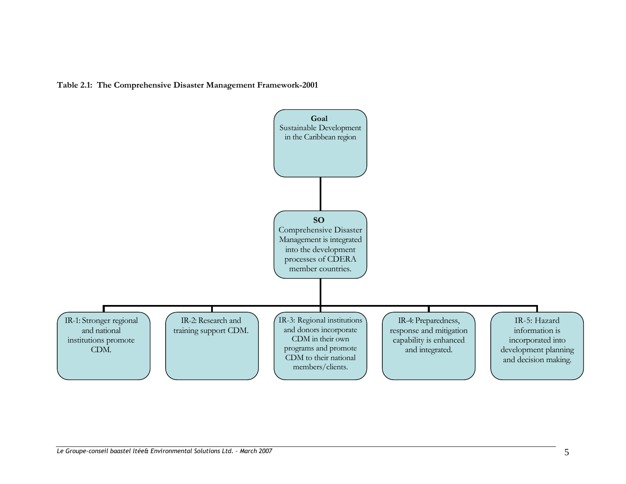**Table 2.1: The Comprehensive Disaster Management Framework-2001** 

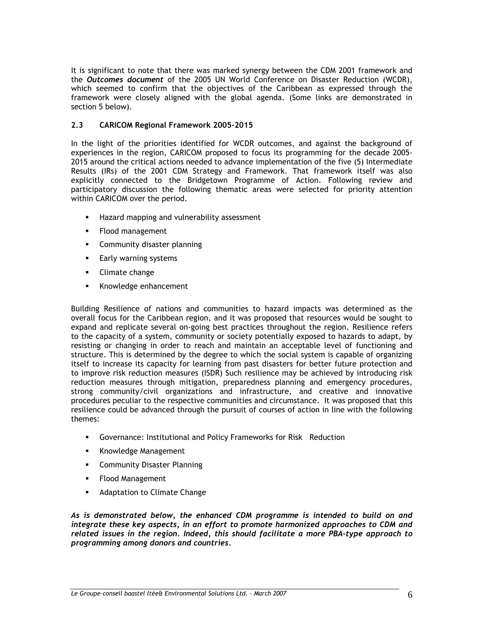It is significant to note that there was marked synergy between the CDM 2001 framework and the *Outcomes document* of the 2005 UN World Conference on Disaster Reduction (WCDR), which seemed to confirm that the objectives of the Caribbean as expressed through the framework were closely aligned with the global agenda. (Some links are demonstrated in section 5 below).

## **2.3 CARICOM Regional Framework 2005-2015**

In the light of the priorities identified for WCDR outcomes, and against the background of experiences in the region, CARICOM proposed to focus its programming for the decade 2005- 2015 around the critical actions needed to advance implementation of the five (5) Intermediate Results (IRs) of the 2001 CDM Strategy and Framework. That framework itself was also explicitly connected to the Bridgetown Programme of Action. Following review and participatory discussion the following thematic areas were selected for priority attention within CARICOM over the period.

- **Hazard mapping and vulnerability assessment**
- **Flood management**
- **Community disaster planning**
- **Early warning systems**
- **Climate change**
- Knowledge enhancement

Building Resilience of nations and communities to hazard impacts was determined as the overall focus for the Caribbean region, and it was proposed that resources would be sought to expand and replicate several on-going best practices throughout the region. Resilience refers to the capacity of a system, community or society potentially exposed to hazards to adapt, by resisting or changing in order to reach and maintain an acceptable level of functioning and structure. This is determined by the degree to which the social system is capable of organizing itself to increase its capacity for learning from past disasters for better future protection and to improve risk reduction measures (ISDR) Such resilience may be achieved by introducing risk reduction measures through mitigation, preparedness planning and emergency procedures, strong community/civil organizations and infrastructure, and creative and innovative procedures peculiar to the respective communities and circumstance. It was proposed that this resilience could be advanced through the pursuit of courses of action in line with the following themes:

- Governance: Institutional and Policy Frameworks for Risk Reduction
- **Knowledge Management**
- **EXECOMMUNITY Disaster Planning**
- **Flood Management**
- **Adaptation to Climate Change**

*As is demonstrated below, the enhanced CDM programme is intended to build on and integrate these key aspects, in an effort to promote harmonized approaches to CDM and related issues in the region. Indeed, this should facilitate a more PBA-type approach to programming among donors and countries.*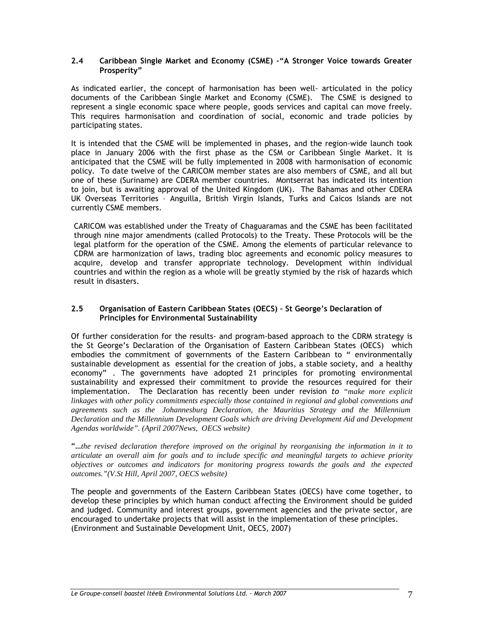#### **2.4 Caribbean Single Market and Economy (CSME) –"A Stronger Voice towards Greater Prosperity"**

As indicated earlier, the concept of harmonisation has been well- articulated in the policy documents of the Caribbean Single Market and Economy (CSME). The CSME is designed to represent a single economic space where people, goods services and capital can move freely. This requires harmonisation and coordination of social, economic and trade policies by participating states.

It is intended that the CSME will be implemented in phases, and the region-wide launch took place in January 2006 with the first phase as the CSM or Caribbean Single Market. It is anticipated that the CSME will be fully implemented in 2008 with harmonisation of economic policy. To date twelve of the CARICOM member states are also members of CSME, and all but one of these (Suriname) are CDERA member countries. Montserrat has indicated its intention to join, but is awaiting approval of the United Kingdom (UK). The Bahamas and other CDERA UK Overseas Territories – Anguilla, British Virgin Islands, Turks and Caicos Islands are not currently CSME members.

CARICOM was established under the Treaty of Chaguaramas and the CSME has been facilitated through nine major amendments (called Protocols) to the Treaty. These Protocols will be the legal platform for the operation of the CSME. Among the elements of particular relevance to CDRM are harmonization of laws, trading bloc agreements and economic policy measures to acquire, develop and transfer appropriate technology. Development within individual countries and within the region as a whole will be greatly stymied by the risk of hazards which result in disasters.

## **2.5 Organisation of Eastern Caribbean States (OECS) – St George's Declaration of Principles for Environmental Sustainability**

Of further consideration for the results- and program-based approach to the CDRM strategy is the St George's Declaration of the Organisation of Eastern Caribbean States (OECS) which embodies the commitment of governments of the Eastern Caribbean to " environmentally sustainable development as essential for the creation of jobs, a stable society, and a healthy economy" . The governments have adopted 21 principles for promoting environmental sustainability and expressed their commitment to provide the resources required for their implementation. The Declaration has recently been under revision *to "make more explicit linkages with other policy commitments especially those contained in regional and global conventions and agreements such as the Johannesburg Declaration, the Mauritius Strategy and the Millennium Declaration and the Millennium Development Goals which are driving Development Aid and Development Agendas worldwide". (April 2007News, OECS website)*

"…*the revised declaration therefore improved on the original by reorganising the information in it to articulate an overall aim for goals and to include specific and meaningful targets to achieve priority objectives or outcomes and indicators for monitoring progress towards the goals and the expected outcomes."(V.St Hill, April 2007, OECS website)* 

The people and governments of the Eastern Caribbean States (OECS) have come together, to develop these principles by which human conduct affecting the Environment should be guided and judged. Community and interest groups, government agencies and the private sector, are encouraged to undertake projects that will assist in the implementation of these principles. (Environment and Sustainable Development Unit, OECS, 2007)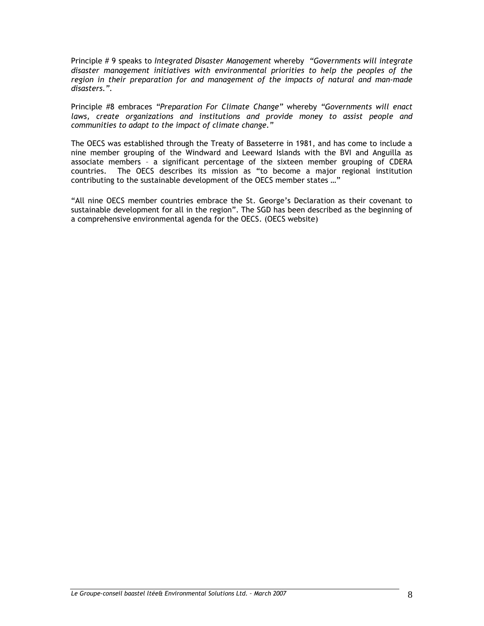Principle # 9 speaks to *Integrated Disaster Management* whereby *"Governments will integrate disaster management initiatives with environmental priorities to help the peoples of the region in their preparation for and management of the impacts of natural and man-made disasters.".* 

Principle #8 embraces *"Preparation For Climate Change"* whereby *"Governments will enact*  laws, create organizations and institutions and provide money to assist people and *communities to adapt to the impact of climate change."* 

The OECS was established through the Treaty of Basseterre in 1981, and has come to include a nine member grouping of the Windward and Leeward Islands with the BVI and Anguilla as associate members – a significant percentage of the sixteen member grouping of CDERA countries. The OECS describes its mission as "to become a major regional institution contributing to the sustainable development of the OECS member states …"

"All nine OECS member countries embrace the St. George's Declaration as their covenant to sustainable development for all in the region". The SGD has been described as the beginning of a comprehensive environmental agenda for the OECS. (OECS website)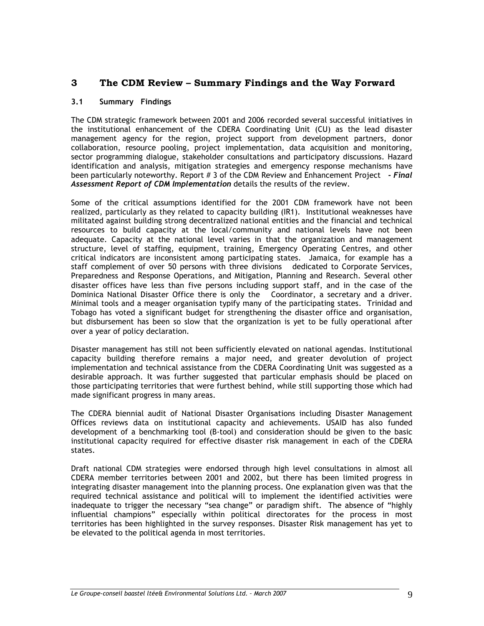# **3 The CDM Review – Summary Findings and the Way Forward**

### **3.1 Summary Findings**

The CDM strategic framework between 2001 and 2006 recorded several successful initiatives in the institutional enhancement of the CDERA Coordinating Unit (CU) as the lead disaster management agency for the region, project support from development partners, donor collaboration, resource pooling, project implementation, data acquisition and monitoring, sector programming dialogue, stakeholder consultations and participatory discussions. Hazard identification and analysis, mitigation strategies and emergency response mechanisms have been particularly noteworthy. Report # 3 of the CDM Review and Enhancement Project *- Final Assessment Report of CDM Implementation* details the results of the review.

Some of the critical assumptions identified for the 2001 CDM framework have not been realized, particularly as they related to capacity building (IR1). Institutional weaknesses have militated against building strong decentralized national entities and the financial and technical resources to build capacity at the local/community and national levels have not been adequate. Capacity at the national level varies in that the organization and management structure, level of staffing, equipment, training, Emergency Operating Centres, and other critical indicators are inconsistent among participating states. Jamaica, for example has a staff complement of over 50 persons with three divisions dedicated to Corporate Services, Preparedness and Response Operations, and Mitigation, Planning and Research. Several other disaster offices have less than five persons including support staff, and in the case of the Dominica National Disaster Office there is only the Coordinator, a secretary and a driver. Minimal tools and a meager organisation typify many of the participating states. Trinidad and Tobago has voted a significant budget for strengthening the disaster office and organisation, but disbursement has been so slow that the organization is yet to be fully operational after over a year of policy declaration.

Disaster management has still not been sufficiently elevated on national agendas. Institutional capacity building therefore remains a major need, and greater devolution of project implementation and technical assistance from the CDERA Coordinating Unit was suggested as a desirable approach. It was further suggested that particular emphasis should be placed on those participating territories that were furthest behind, while still supporting those which had made significant progress in many areas.

The CDERA biennial audit of National Disaster Organisations including Disaster Management Offices reviews data on institutional capacity and achievements. USAID has also funded development of a benchmarking tool (B-tool) and consideration should be given to the basic institutional capacity required for effective disaster risk management in each of the CDERA states.

Draft national CDM strategies were endorsed through high level consultations in almost all CDERA member territories between 2001 and 2002, but there has been limited progress in integrating disaster management into the planning process. One explanation given was that the required technical assistance and political will to implement the identified activities were inadequate to trigger the necessary "sea change" or paradigm shift. The absence of "highly influential champions" especially within political directorates for the process in most territories has been highlighted in the survey responses. Disaster Risk management has yet to be elevated to the political agenda in most territories.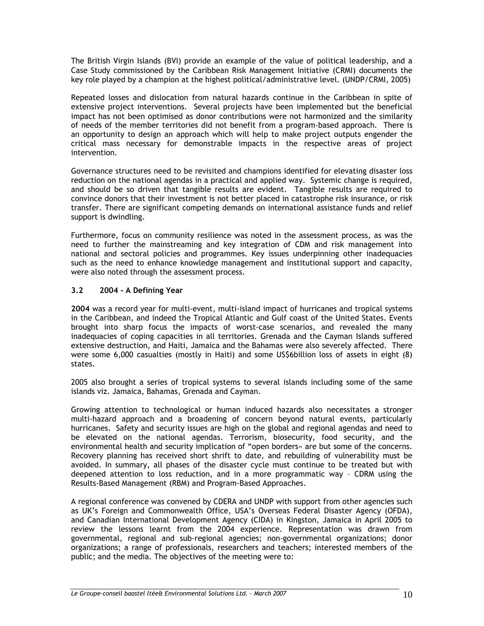The British Virgin Islands (BVI) provide an example of the value of political leadership, and a Case Study commissioned by the Caribbean Risk Management Initiative (CRMI) documents the key role played by a champion at the highest political/administrative level. (UNDP/CRMI, 2005)

Repeated losses and dislocation from natural hazards continue in the Caribbean in spite of extensive project interventions. Several projects have been implemented but the beneficial impact has not been optimised as donor contributions were not harmonized and the similarity of needs of the member territories did not benefit from a program-based approach. There is an opportunity to design an approach which will help to make project outputs engender the critical mass necessary for demonstrable impacts in the respective areas of project intervention.

Governance structures need to be revisited and champions identified for elevating disaster loss reduction on the national agendas in a practical and applied way. Systemic change is required, and should be so driven that tangible results are evident. Tangible results are required to convince donors that their investment is not better placed in catastrophe risk insurance, or risk transfer. There are significant competing demands on international assistance funds and relief support is dwindling.

Furthermore, focus on community resilience was noted in the assessment process, as was the need to further the mainstreaming and key integration of CDM and risk management into national and sectoral policies and programmes. Key issues underpinning other inadequacies such as the need to enhance knowledge management and institutional support and capacity, were also noted through the assessment process.

### **3.2 2004 - A Defining Year**

**2004** was a record year for multi-event, multi-island impact of hurricanes and tropical systems in the Caribbean, and indeed the Tropical Atlantic and Gulf coast of the United States. Events brought into sharp focus the impacts of worst-case scenarios, and revealed the many inadequacies of coping capacities in all territories. Grenada and the Cayman Islands suffered extensive destruction, and Haiti, Jamaica and the Bahamas were also severely affected. There were some 6,000 casualties (mostly in Haiti) and some US\$6billion loss of assets in eight (8) states.

2005 also brought a series of tropical systems to several islands including some of the same islands viz. Jamaica, Bahamas, Grenada and Cayman.

Growing attention to technological or human induced hazards also necessitates a stronger multi-hazard approach and a broadening of concern beyond natural events, particularly hurricanes. Safety and security issues are high on the global and regional agendas and need to be elevated on the national agendas. Terrorism, biosecurity, food security, and the environmental health and security implication of "open borders» are but some of the concerns. Recovery planning has received short shrift to date, and rebuilding of vulnerability must be avoided. In summary, all phases of the disaster cycle must continue to be treated but with deepened attention to loss reduction, and in a more programmatic way – CDRM using the Results-Based Management (RBM) and Program-Based Approaches.

A regional conference was convened by CDERA and UNDP with support from other agencies such as UK's Foreign and Commonwealth Office, USA's Overseas Federal Disaster Agency (OFDA), and Canadian International Development Agency (CIDA) in Kingston, Jamaica in April 2005 to review the lessons learnt from the 2004 experience. Representation was drawn from governmental, regional and sub-regional agencies; non-governmental organizations; donor organizations; a range of professionals, researchers and teachers; interested members of the public; and the media. The objectives of the meeting were to: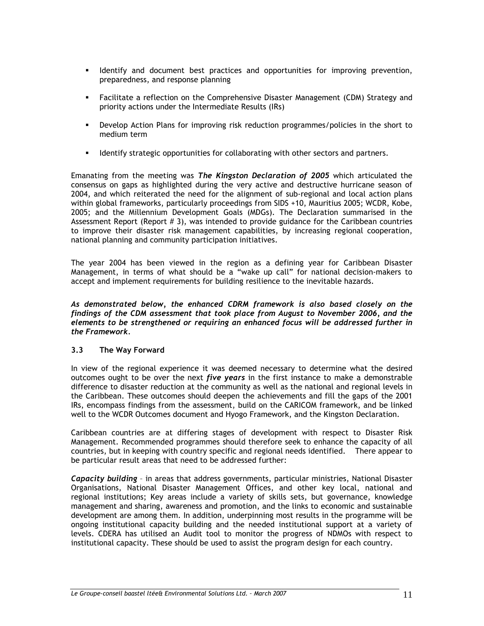- **IDENTIFY and document best practices and opportunities for improving prevention,** preparedness, and response planning
- Facilitate a reflection on the Comprehensive Disaster Management (CDM) Strategy and priority actions under the Intermediate Results (IRs)
- Develop Action Plans for improving risk reduction programmes/policies in the short to medium term
- **IDENTIFY IDENTIFY STRATEGIC OPPORTIONS IS COLLAD FOR ALGO FOR THE STATE ISON CONTENTS FOR STATE STATE FOR STATE ISON CONTENTS.**

Emanating from the meeting was *The Kingston Declaration of 2005* which articulated the consensus on gaps as highlighted during the very active and destructive hurricane season of 2004, and which reiterated the need for the alignment of sub-regional and local action plans within global frameworks, particularly proceedings from SIDS +10, Mauritius 2005; WCDR, Kobe, 2005; and the Millennium Development Goals (MDGs). The Declaration summarised in the Assessment Report (Report  $# 3$ ), was intended to provide guidance for the Caribbean countries to improve their disaster risk management capabilities, by increasing regional cooperation, national planning and community participation initiatives.

The year 2004 has been viewed in the region as a defining year for Caribbean Disaster Management, in terms of what should be a "wake up call" for national decision-makers to accept and implement requirements for building resilience to the inevitable hazards.

*As demonstrated below, the enhanced CDRM framework is also based closely on the findings of the CDM assessment that took place from August to November 2006, and the elements to be strengthened or requiring an enhanced focus will be addressed further in the Framework.* 

## **3.3 The Way Forward**

In view of the regional experience it was deemed necessary to determine what the desired outcomes ought to be over the next *five years* in the first instance to make a demonstrable difference to disaster reduction at the community as well as the national and regional levels in the Caribbean. These outcomes should deepen the achievements and fill the gaps of the 2001 IRs, encompass findings from the assessment, build on the CARICOM framework, and be linked well to the WCDR Outcomes document and Hyogo Framework, and the Kingston Declaration.

Caribbean countries are at differing stages of development with respect to Disaster Risk Management. Recommended programmes should therefore seek to enhance the capacity of all countries, but in keeping with country specific and regional needs identified. There appear to be particular result areas that need to be addressed further:

*Capacity building* – in areas that address governments, particular ministries, National Disaster Organisations, National Disaster Management Offices, and other key local, national and regional institutions; Key areas include a variety of skills sets, but governance, knowledge management and sharing, awareness and promotion, and the links to economic and sustainable development are among them. In addition, underpinning most results in the programme will be ongoing institutional capacity building and the needed institutional support at a variety of levels. CDERA has utilised an Audit tool to monitor the progress of NDMOs with respect to institutional capacity. These should be used to assist the program design for each country.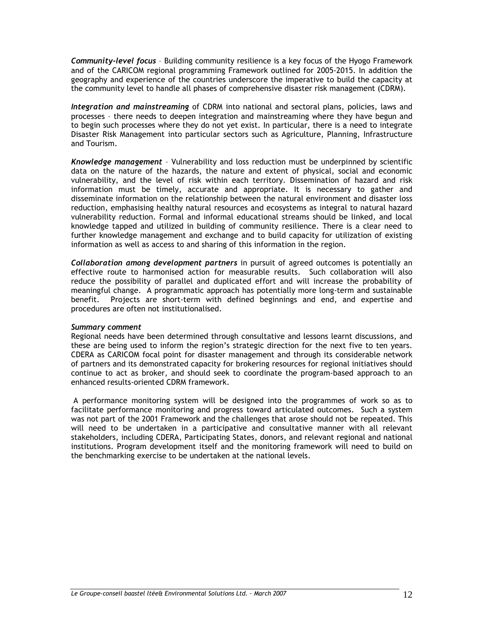*Community-level focus* – Building community resilience is a key focus of the Hyogo Framework and of the CARICOM regional programming Framework outlined for 2005-2015. In addition the geography and experience of the countries underscore the imperative to build the capacity at the community level to handle all phases of comprehensive disaster risk management (CDRM).

*Integration and mainstreaming* of CDRM into national and sectoral plans, policies, laws and processes – there needs to deepen integration and mainstreaming where they have begun and to begin such processes where they do not yet exist. In particular, there is a need to integrate Disaster Risk Management into particular sectors such as Agriculture, Planning, Infrastructure and Tourism.

*Knowledge management* – Vulnerability and loss reduction must be underpinned by scientific data on the nature of the hazards, the nature and extent of physical, social and economic vulnerability, and the level of risk within each territory. Dissemination of hazard and risk information must be timely, accurate and appropriate. It is necessary to gather and disseminate information on the relationship between the natural environment and disaster loss reduction, emphasising healthy natural resources and ecosystems as integral to natural hazard vulnerability reduction. Formal and informal educational streams should be linked, and local knowledge tapped and utilized in building of community resilience. There is a clear need to further knowledge management and exchange and to build capacity for utilization of existing information as well as access to and sharing of this information in the region.

*Collaboration among development partners* in pursuit of agreed outcomes is potentially an effective route to harmonised action for measurable results. Such collaboration will also reduce the possibility of parallel and duplicated effort and will increase the probability of meaningful change. A programmatic approach has potentially more long-term and sustainable benefit. Projects are short-term with defined beginnings and end, and expertise and procedures are often not institutionalised.

#### *Summary comment*

Regional needs have been determined through consultative and lessons learnt discussions, and these are being used to inform the region's strategic direction for the next five to ten years. CDERA as CARICOM focal point for disaster management and through its considerable network of partners and its demonstrated capacity for brokering resources for regional initiatives should continue to act as broker, and should seek to coordinate the program-based approach to an enhanced results-oriented CDRM framework.

 A performance monitoring system will be designed into the programmes of work so as to facilitate performance monitoring and progress toward articulated outcomes. Such a system was not part of the 2001 Framework and the challenges that arose should not be repeated. This will need to be undertaken in a participative and consultative manner with all relevant stakeholders, including CDERA, Participating States, donors, and relevant regional and national institutions. Program development itself and the monitoring framework will need to build on the benchmarking exercise to be undertaken at the national levels.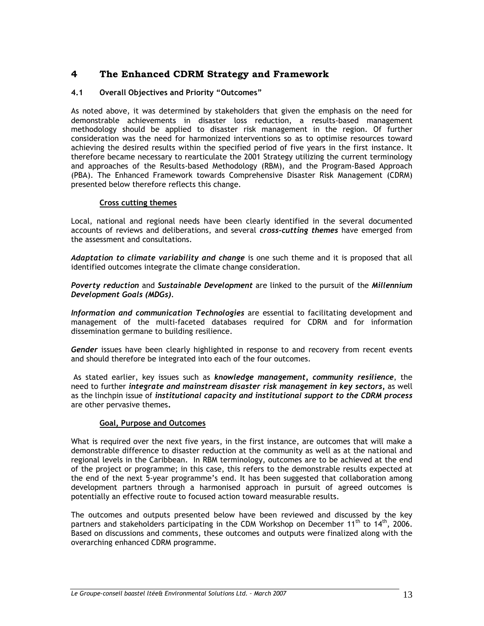# **4 The Enhanced CDRM Strategy and Framework**

# **4.1 Overall Objectives and Priority "Outcomes"**

As noted above, it was determined by stakeholders that given the emphasis on the need for demonstrable achievements in disaster loss reduction, a results-based management methodology should be applied to disaster risk management in the region. Of further consideration was the need for harmonized interventions so as to optimise resources toward achieving the desired results within the specified period of five years in the first instance. It therefore became necessary to rearticulate the 2001 Strategy utilizing the current terminology and approaches of the Results-based Methodology (RBM), and the Program-Based Approach (PBA). The Enhanced Framework towards Comprehensive Disaster Risk Management (CDRM) presented below therefore reflects this change.

### **Cross cutting themes**

Local, national and regional needs have been clearly identified in the several documented accounts of reviews and deliberations, and several *cross-cutting themes* have emerged from the assessment and consultations.

*Adaptation to climate variability and change* is one such theme and it is proposed that all identified outcomes integrate the climate change consideration.

*Poverty reduction* and *Sustainable Development* are linked to the pursuit of the *Millennium Development Goals (MDGs).* 

*Information and communication Technologies* are essential to facilitating development and management of the multi-faceted databases required for CDRM and for information dissemination germane to building resilience.

*Gender* issues have been clearly highlighted in response to and recovery from recent events and should therefore be integrated into each of the four outcomes.

 As stated earlier, key issues such as *knowledge management, community resilience*, the need to further *integrate and mainstream disaster risk management in key sectors,* as well as the linchpin issue of *institutional capacity and institutional support to the CDRM process* are other pervasive themes**.** 

### **Goal, Purpose and Outcomes**

What is required over the next five years, in the first instance, are outcomes that will make a demonstrable difference to disaster reduction at the community as well as at the national and regional levels in the Caribbean. In RBM terminology, outcomes are to be achieved at the end of the project or programme; in this case, this refers to the demonstrable results expected at the end of the next 5-year programme's end. It has been suggested that collaboration among development partners through a harmonised approach in pursuit of agreed outcomes is potentially an effective route to focused action toward measurable results.

The outcomes and outputs presented below have been reviewed and discussed by the key partners and stakeholders participating in the CDM Workshop on December  $11<sup>th</sup>$  to  $14<sup>th</sup>$ , 2006. Based on discussions and comments, these outcomes and outputs were finalized along with the overarching enhanced CDRM programme.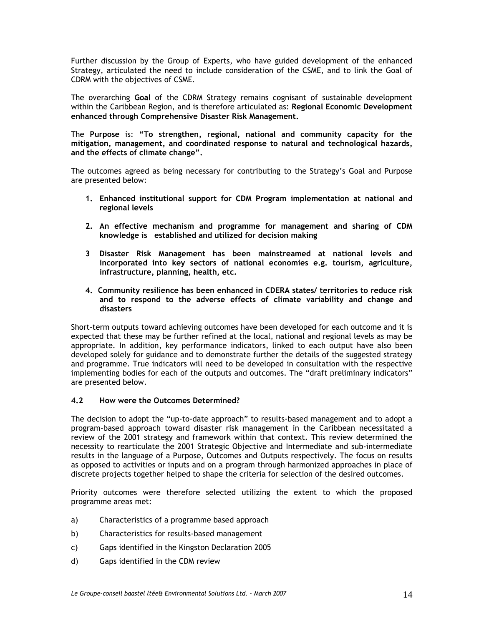Further discussion by the Group of Experts, who have guided development of the enhanced Strategy, articulated the need to include consideration of the CSME, and to link the Goal of CDRM with the objectives of CSME.

The overarching **Goal** of the CDRM Strategy remains cognisant of sustainable development within the Caribbean Region, and is therefore articulated as: **Regional Economic Development enhanced through Comprehensive Disaster Risk Management.**

The **Purpose** is: **"To strengthen, regional, national and community capacity for the mitigation, management, and coordinated response to natural and technological hazards, and the effects of climate change".** 

The outcomes agreed as being necessary for contributing to the Strategy's Goal and Purpose are presented below:

- **1. Enhanced institutional support for CDM Program implementation at national and regional levels**
- **2. An effective mechanism and programme for management and sharing of CDM knowledge is established and utilized for decision making**
- **3 Disaster Risk Management has been mainstreamed at national levels and incorporated into key sectors of national economies e.g. tourism, agriculture, infrastructure, planning, health, etc.**
- **4. Community resilience has been enhanced in CDERA states/ territories to reduce risk and to respond to the adverse effects of climate variability and change and disasters**

Short-term outputs toward achieving outcomes have been developed for each outcome and it is expected that these may be further refined at the local, national and regional levels as may be appropriate. In addition, key performance indicators, linked to each output have also been developed solely for guidance and to demonstrate further the details of the suggested strategy and programme. True indicators will need to be developed in consultation with the respective implementing bodies for each of the outputs and outcomes. The "draft preliminary indicators" are presented below.

#### **4.2 How were the Outcomes Determined?**

The decision to adopt the "up-to-date approach" to results-based management and to adopt a program-based approach toward disaster risk management in the Caribbean necessitated a review of the 2001 strategy and framework within that context. This review determined the necessity to rearticulate the 2001 Strategic Objective and Intermediate and sub-intermediate results in the language of a Purpose, Outcomes and Outputs respectively. The focus on results as opposed to activities or inputs and on a program through harmonized approaches in place of discrete projects together helped to shape the criteria for selection of the desired outcomes.

Priority outcomes were therefore selected utilizing the extent to which the proposed programme areas met:

- a) Characteristics of a programme based approach
- b) Characteristics for results-based management
- c) Gaps identified in the Kingston Declaration 2005
- d) Gaps identified in the CDM review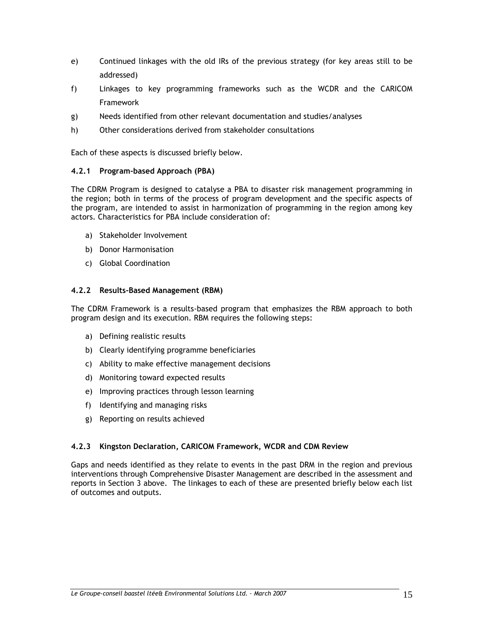- e) Continued linkages with the old IRs of the previous strategy (for key areas still to be addressed)
- f) Linkages to key programming frameworks such as the WCDR and the CARICOM Framework
- g) Needs identified from other relevant documentation and studies/analyses
- h) Other considerations derived from stakeholder consultations

Each of these aspects is discussed briefly below.

# **4.2.1 Program-based Approach (PBA)**

The CDRM Program is designed to catalyse a PBA to disaster risk management programming in the region; both in terms of the process of program development and the specific aspects of the program, are intended to assist in harmonization of programming in the region among key actors. Characteristics for PBA include consideration of:

- a) Stakeholder Involvement
- b) Donor Harmonisation
- c) Global Coordination

# **4.2.2 Results-Based Management (RBM)**

The CDRM Framework is a results-based program that emphasizes the RBM approach to both program design and its execution. RBM requires the following steps:

- a) Defining realistic results
- b) Clearly identifying programme beneficiaries
- c) Ability to make effective management decisions
- d) Monitoring toward expected results
- e) Improving practices through lesson learning
- f) Identifying and managing risks
- g) Reporting on results achieved

# **4.2.3 Kingston Declaration, CARICOM Framework, WCDR and CDM Review**

Gaps and needs identified as they relate to events in the past DRM in the region and previous interventions through Comprehensive Disaster Management are described in the assessment and reports in Section 3 above. The linkages to each of these are presented briefly below each list of outcomes and outputs.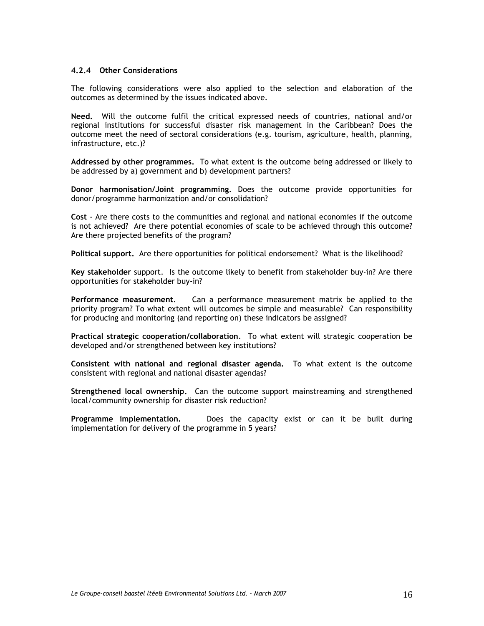#### **4.2.4 Other Considerations**

The following considerations were also applied to the selection and elaboration of the outcomes as determined by the issues indicated above.

**Need.** Will the outcome fulfil the critical expressed needs of countries, national and/or regional institutions for successful disaster risk management in the Caribbean? Does the outcome meet the need of sectoral considerations (e.g. tourism, agriculture, health, planning, infrastructure, etc.)?

**Addressed by other programmes.** To what extent is the outcome being addressed or likely to be addressed by a) government and b) development partners?

**Donor harmonisation/Joint programming**. Does the outcome provide opportunities for donor/programme harmonization and/or consolidation?

**Cost** - Are there costs to the communities and regional and national economies if the outcome is not achieved? Are there potential economies of scale to be achieved through this outcome? Are there projected benefits of the program?

**Political support.** Are there opportunities for political endorsement? What is the likelihood?

**Key stakeholder** support. Is the outcome likely to benefit from stakeholder buy-in? Are there opportunities for stakeholder buy-in?

**Performance measurement**. Can a performance measurement matrix be applied to the priority program? To what extent will outcomes be simple and measurable? Can responsibility for producing and monitoring (and reporting on) these indicators be assigned?

**Practical strategic cooperation/collaboration**. To what extent will strategic cooperation be developed and/or strengthened between key institutions?

**Consistent with national and regional disaster agenda.** To what extent is the outcome consistent with regional and national disaster agendas?

**Strengthened local ownership.** Can the outcome support mainstreaming and strengthened local/community ownership for disaster risk reduction?

**Programme implementation.** Does the capacity exist or can it be built during implementation for delivery of the programme in 5 years?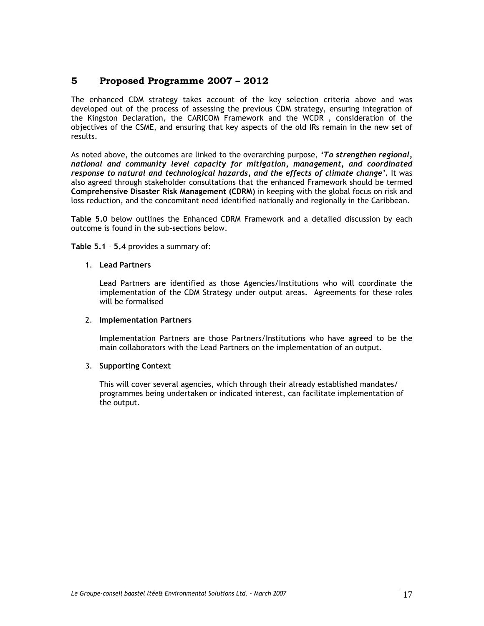# **5 Proposed Programme 2007 – 2012**

The enhanced CDM strategy takes account of the key selection criteria above and was developed out of the process of assessing the previous CDM strategy, ensuring integration of the Kingston Declaration, the CARICOM Framework and the WCDR , consideration of the objectives of the CSME, and ensuring that key aspects of the old IRs remain in the new set of results.

As noted above, the outcomes are linked to the overarching purpose, *'To strengthen regional, national and community level capacity for mitigation, management, and coordinated response to natural and technological hazards, and the effects of climate change'.* It was also agreed through stakeholder consultations that the enhanced Framework should be termed **Comprehensive Disaster Risk Management (CDRM)** in keeping with the global focus on risk and loss reduction, and the concomitant need identified nationally and regionally in the Caribbean.

**Table 5.0** below outlines the Enhanced CDRM Framework and a detailed discussion by each outcome is found in the sub-sections below.

#### **Table 5.1** – **5.4** provides a summary of:

#### 1. **Lead Partners**

Lead Partners are identified as those Agencies/Institutions who will coordinate the implementation of the CDM Strategy under output areas. Agreements for these roles will be formalised

#### 2. **Implementation Partners**

Implementation Partners are those Partners/Institutions who have agreed to be the main collaborators with the Lead Partners on the implementation of an output.

### 3. **Supporting Context**

This will cover several agencies, which through their already established mandates/ programmes being undertaken or indicated interest, can facilitate implementation of the output.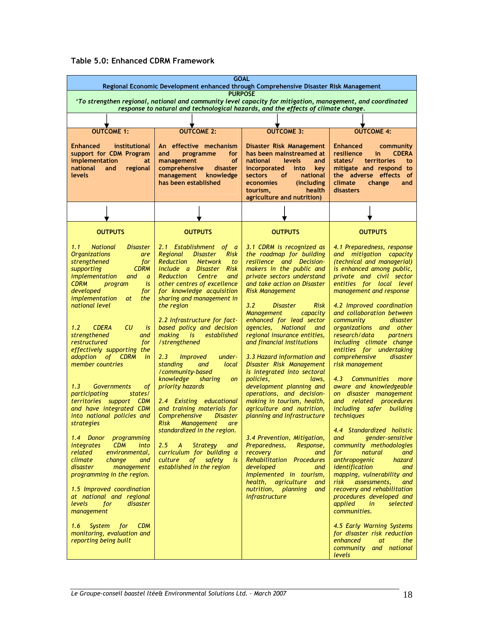|  |  |  | Table 5.0: Enhanced CDRM Framework |
|--|--|--|------------------------------------|
|--|--|--|------------------------------------|

| <b>GOAL</b><br>Regional Economic Development enhanced through Comprehensive Disaster Risk Management                                                                                                                                                                                                                                                                                                                                                                                                                                                                                                                                                                                                                                                                                                                                                                                                                                                                                     |                                                                                                                                                                                                                                                                                                                                                                                                                                                                                                                                                                                                                                                                                                                                                                                                                                                  |                                                                                                                                                                                                                                                                                                                                                                                                                                                                                                                                                                                                                                                                                                                                                                                                                                                                                                                           |                                                                                                                                                                                                                                                                                                                                                                                                                                                                                                                                                                                                                                                                                                                                                                                                                                                                                                                                                                                                                    |  |  |  |  |
|------------------------------------------------------------------------------------------------------------------------------------------------------------------------------------------------------------------------------------------------------------------------------------------------------------------------------------------------------------------------------------------------------------------------------------------------------------------------------------------------------------------------------------------------------------------------------------------------------------------------------------------------------------------------------------------------------------------------------------------------------------------------------------------------------------------------------------------------------------------------------------------------------------------------------------------------------------------------------------------|--------------------------------------------------------------------------------------------------------------------------------------------------------------------------------------------------------------------------------------------------------------------------------------------------------------------------------------------------------------------------------------------------------------------------------------------------------------------------------------------------------------------------------------------------------------------------------------------------------------------------------------------------------------------------------------------------------------------------------------------------------------------------------------------------------------------------------------------------|---------------------------------------------------------------------------------------------------------------------------------------------------------------------------------------------------------------------------------------------------------------------------------------------------------------------------------------------------------------------------------------------------------------------------------------------------------------------------------------------------------------------------------------------------------------------------------------------------------------------------------------------------------------------------------------------------------------------------------------------------------------------------------------------------------------------------------------------------------------------------------------------------------------------------|--------------------------------------------------------------------------------------------------------------------------------------------------------------------------------------------------------------------------------------------------------------------------------------------------------------------------------------------------------------------------------------------------------------------------------------------------------------------------------------------------------------------------------------------------------------------------------------------------------------------------------------------------------------------------------------------------------------------------------------------------------------------------------------------------------------------------------------------------------------------------------------------------------------------------------------------------------------------------------------------------------------------|--|--|--|--|
| <b>PURPOSE</b><br>'To strengthen regional, national and community level capacity for mitigation, management, and coordinated<br>response to natural and technological hazards, and the effects of climate change.                                                                                                                                                                                                                                                                                                                                                                                                                                                                                                                                                                                                                                                                                                                                                                        |                                                                                                                                                                                                                                                                                                                                                                                                                                                                                                                                                                                                                                                                                                                                                                                                                                                  |                                                                                                                                                                                                                                                                                                                                                                                                                                                                                                                                                                                                                                                                                                                                                                                                                                                                                                                           |                                                                                                                                                                                                                                                                                                                                                                                                                                                                                                                                                                                                                                                                                                                                                                                                                                                                                                                                                                                                                    |  |  |  |  |
|                                                                                                                                                                                                                                                                                                                                                                                                                                                                                                                                                                                                                                                                                                                                                                                                                                                                                                                                                                                          |                                                                                                                                                                                                                                                                                                                                                                                                                                                                                                                                                                                                                                                                                                                                                                                                                                                  |                                                                                                                                                                                                                                                                                                                                                                                                                                                                                                                                                                                                                                                                                                                                                                                                                                                                                                                           |                                                                                                                                                                                                                                                                                                                                                                                                                                                                                                                                                                                                                                                                                                                                                                                                                                                                                                                                                                                                                    |  |  |  |  |
| OUTCOME 1:                                                                                                                                                                                                                                                                                                                                                                                                                                                                                                                                                                                                                                                                                                                                                                                                                                                                                                                                                                               | <b>OUTCOME 2:</b>                                                                                                                                                                                                                                                                                                                                                                                                                                                                                                                                                                                                                                                                                                                                                                                                                                | <b>OUTCOME 3:</b>                                                                                                                                                                                                                                                                                                                                                                                                                                                                                                                                                                                                                                                                                                                                                                                                                                                                                                         | <b>OUTCOME 4:</b>                                                                                                                                                                                                                                                                                                                                                                                                                                                                                                                                                                                                                                                                                                                                                                                                                                                                                                                                                                                                  |  |  |  |  |
| <b>Enhanced</b><br>institutional<br>support for CDM Program<br>implementation<br>at<br>national<br>and<br>regional<br><b>levels</b>                                                                                                                                                                                                                                                                                                                                                                                                                                                                                                                                                                                                                                                                                                                                                                                                                                                      | An effective mechanism<br>for<br>and<br>programme<br><b>of</b><br>management<br>comprehensive<br>disaster<br>management<br>knowledge<br>has been established                                                                                                                                                                                                                                                                                                                                                                                                                                                                                                                                                                                                                                                                                     | Disaster Risk Management<br>has been mainstreamed at<br>national<br>levels<br>and<br>incorporated<br>into<br>key<br>of<br>national<br><b>sectors</b><br>economies<br>(including)<br>health<br>tourism,<br>agriculture and nutrition)                                                                                                                                                                                                                                                                                                                                                                                                                                                                                                                                                                                                                                                                                      | <b>Enhanced</b><br>community<br>resilience<br><b>CDERA</b><br>in.<br>states/<br>territories<br>to<br>mitigate and respond to<br>the adverse effects<br>of<br>climate<br>change<br>and<br>disasters                                                                                                                                                                                                                                                                                                                                                                                                                                                                                                                                                                                                                                                                                                                                                                                                                 |  |  |  |  |
|                                                                                                                                                                                                                                                                                                                                                                                                                                                                                                                                                                                                                                                                                                                                                                                                                                                                                                                                                                                          |                                                                                                                                                                                                                                                                                                                                                                                                                                                                                                                                                                                                                                                                                                                                                                                                                                                  |                                                                                                                                                                                                                                                                                                                                                                                                                                                                                                                                                                                                                                                                                                                                                                                                                                                                                                                           |                                                                                                                                                                                                                                                                                                                                                                                                                                                                                                                                                                                                                                                                                                                                                                                                                                                                                                                                                                                                                    |  |  |  |  |
| <b>OUTPUTS</b>                                                                                                                                                                                                                                                                                                                                                                                                                                                                                                                                                                                                                                                                                                                                                                                                                                                                                                                                                                           | <b>OUTPUTS</b>                                                                                                                                                                                                                                                                                                                                                                                                                                                                                                                                                                                                                                                                                                                                                                                                                                   | <b>OUTPUTS</b>                                                                                                                                                                                                                                                                                                                                                                                                                                                                                                                                                                                                                                                                                                                                                                                                                                                                                                            | <b>OUTPUTS</b>                                                                                                                                                                                                                                                                                                                                                                                                                                                                                                                                                                                                                                                                                                                                                                                                                                                                                                                                                                                                     |  |  |  |  |
| 1.1<br><b>National</b><br><i>Disaster</i><br><b>Organizations</b><br>are<br>strengthened<br>for<br>supporting<br><b>CDRM</b><br><i>implementation</i><br>and<br>$\overline{a}$<br><b>CDRM</b><br>is<br>program<br>developed<br>for<br><i>implementation</i><br>the<br>at<br>national level<br>CU<br>1.2<br><b>CDERA</b><br>is<br>strengthened<br>and<br>restructured<br>for<br>effectively supporting the<br>adoption of CDRM<br>in<br>member countries<br>1.3<br><b>Governments</b><br>οf<br>participating<br>states/<br>territories support CDM<br>and have integrated CDM<br>into national policies and<br>strategies<br>1.4 Donor<br>programming<br><i>integrates</i><br><b>CDM</b><br>into<br>related<br>environmental,<br>climate<br>change<br>and<br>disaster<br>management<br>programming in the region.<br>1.5 Improved coordination<br>at national and regional<br>levels<br>for<br>disaster<br>management<br>1.6<br><b>CDM</b><br>System<br>for<br>monitoring, evaluation and | 2.1 Establishment of a<br>Regional<br><b>Disaster</b><br>Risk<br><b>Reduction</b><br><b>Network</b><br>to<br>include a Disaster Risk<br><b>Reduction</b><br>Centre<br>and<br>other centres of excellence<br>for knowledge acquisition<br>sharing and management in<br>the region<br>2.2 Infrastructure for fact-<br>based policy and decision<br>making is<br>established<br>/strengthened<br>2.3<br><i>Improved</i><br>under-<br>standing<br>and<br>local<br>/community-based<br>knowledge<br>sharing<br>on<br>priority hazards<br>2.4 Existing educational<br>and training materials for<br>Comprehensive<br><b>Disaster</b><br><b>Risk</b><br><b>Management</b><br>are<br>standardized in the region.<br>2.5<br><b>Strategy</b><br>$\overline{A}$<br>and<br>curriculum for building a<br>culture of<br>safety is<br>established in the region | 3.1 CDRM is recognized as<br>the roadmap for building<br>resilience and Decision-<br>makers in the public and<br>private sectors understand<br>and take action on Disaster<br><b>Risk Management</b><br>3.2<br><b>Risk</b><br><b>Disaster</b><br><b>Management</b><br>capacity<br>enhanced for lead sector<br>agencies, National<br>and<br>regional insurance entities,<br>and financial institutions<br>3.3 Hazard information and<br>Disaster Risk Management<br>is integrated into sectoral<br>policies,<br>laws,<br>development planning and<br>operations, and decision-<br>making in tourism, health,<br>agriculture and nutrition,<br>planning and infrastructure<br>3.4 Prevention, Mitigation,<br>Preparedness,<br>Response,<br>recovery<br>and<br><b>Rehabilitation Procedures</b><br>developed<br>and<br>Implemented in tourism,<br>health, agriculture<br>and<br>nutrition, planning<br>and<br>infrastructure | 4.1 Preparedness, response<br>and mitigation capacity<br>(technical and managerial)<br>is enhanced among public,<br>private and civil sector<br>entities for local level<br>management and response<br>4.2 Improved coordination<br>and collaboration between<br>disaster<br>community<br>organizations and other<br>research/data<br>partners<br>including climate change<br>entities for undertaking<br>comprehensive<br>disaster<br>risk management<br>4.3<br>Communities more<br>aware and knowledgeable<br>on disaster management<br>and related procedures<br>including safer building<br>techniques<br>4.4 Standardized holistic<br>gender-sensitive<br>and<br>community methodologies<br>natural<br>for<br>and<br><i>anthropogenic</i><br>hazard<br>identification<br>and<br>mapping, vulnerability and<br>assessments,<br>risk<br>and<br>recovery and rehabilitation<br>procedures developed and<br>applied<br>selected<br>in<br>communities.<br>4.5 Early Warning Systems<br>for disaster risk reduction |  |  |  |  |
| reporting being built                                                                                                                                                                                                                                                                                                                                                                                                                                                                                                                                                                                                                                                                                                                                                                                                                                                                                                                                                                    |                                                                                                                                                                                                                                                                                                                                                                                                                                                                                                                                                                                                                                                                                                                                                                                                                                                  |                                                                                                                                                                                                                                                                                                                                                                                                                                                                                                                                                                                                                                                                                                                                                                                                                                                                                                                           | enhanced<br>at<br>the<br>community and national<br>levels                                                                                                                                                                                                                                                                                                                                                                                                                                                                                                                                                                                                                                                                                                                                                                                                                                                                                                                                                          |  |  |  |  |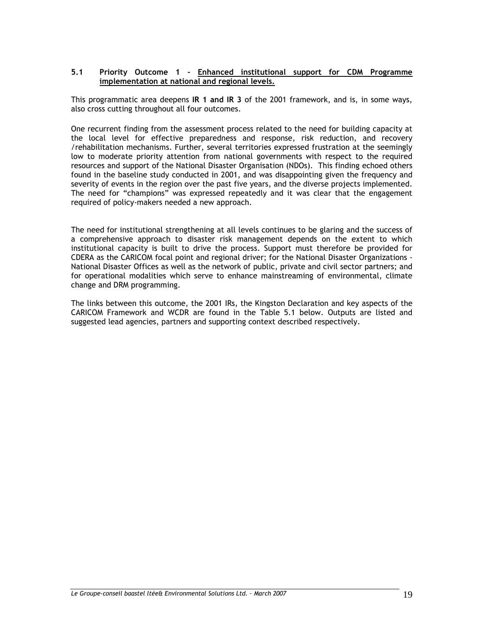#### **5.1 Priority Outcome 1 - Enhanced institutional support for CDM Programme implementation at national and regional levels.**

This programmatic area deepens **IR 1 and IR 3** of the 2001 framework, and is, in some ways, also cross cutting throughout all four outcomes.

One recurrent finding from the assessment process related to the need for building capacity at the local level for effective preparedness and response, risk reduction, and recovery /rehabilitation mechanisms. Further, several territories expressed frustration at the seemingly low to moderate priority attention from national governments with respect to the required resources and support of the National Disaster Organisation (NDOs). This finding echoed others found in the baseline study conducted in 2001, and was disappointing given the frequency and severity of events in the region over the past five years, and the diverse projects implemented. The need for "champions" was expressed repeatedly and it was clear that the engagement required of policy-makers needed a new approach.

The need for institutional strengthening at all levels continues to be glaring and the success of a comprehensive approach to disaster risk management depends on the extent to which institutional capacity is built to drive the process. Support must therefore be provided for CDERA as the CARICOM focal point and regional driver; for the National Disaster Organizations - National Disaster Offices as well as the network of public, private and civil sector partners; and for operational modalities which serve to enhance mainstreaming of environmental, climate change and DRM programming.

The links between this outcome, the 2001 IRs, the Kingston Declaration and key aspects of the CARICOM Framework and WCDR are found in the Table 5.1 below. Outputs are listed and suggested lead agencies, partners and supporting context described respectively.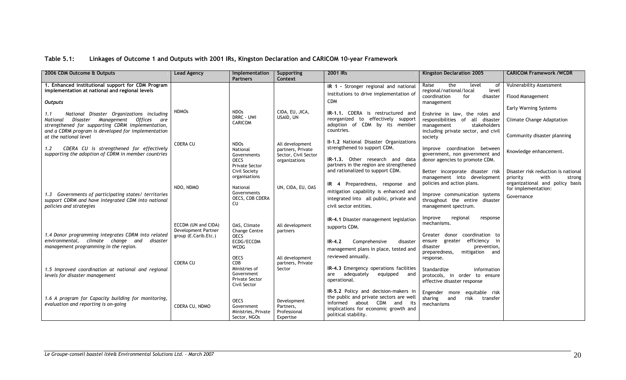# **Table 5.1: Linkages of Outcome 1 and Outputs with 2001 IRs, Kingston Declaration and CARICOM 10-year Framework**

| 2006 CDM Outcome & Outputs                                                                                                                                                                                | <b>Lead Agency</b>                          | Implementation<br><b>Partners</b>                                | Supporting<br>Context                                 | 2001 IRs                                                                                                                                                                         | Kingston Declaration 2005                                                                                                               | <b>CARICOM Framework /WCDR</b>                                                                       |
|-----------------------------------------------------------------------------------------------------------------------------------------------------------------------------------------------------------|---------------------------------------------|------------------------------------------------------------------|-------------------------------------------------------|----------------------------------------------------------------------------------------------------------------------------------------------------------------------------------|-----------------------------------------------------------------------------------------------------------------------------------------|------------------------------------------------------------------------------------------------------|
| 1. Enhanced institutional support for CDM Program                                                                                                                                                         |                                             |                                                                  |                                                       | IR 1 - Stronger regional and national                                                                                                                                            | Raise<br>the<br>level<br>0f                                                                                                             | <b>Vulnerability Assessment</b>                                                                      |
| implementation at national and regional levels<br><b>Outputs</b>                                                                                                                                          |                                             |                                                                  |                                                       | institutions to drive implementation of<br><b>CDM</b>                                                                                                                            | regional/national/local<br>level<br>coordination<br>disaster<br>for<br>management                                                       | <b>Flood Management</b>                                                                              |
|                                                                                                                                                                                                           | <b>NDMOs</b>                                | <b>NDOs</b>                                                      | CIDA, EU, JICA,                                       | IR-1.1. CDERA is restructured and                                                                                                                                                |                                                                                                                                         | <b>Early Warning Systems</b>                                                                         |
| National Disaster Organizations including<br>1.1<br>Disaster Management Offices are<br>National<br>strengthened for supporting CDRM implementation,<br>and a CDRM program is developed for implementation |                                             | DRRC - UWI<br><b>CARICOM</b>                                     | USAID, UN                                             | reorganized to effectively support<br>adoption of CDM by its member<br>countries.                                                                                                | Enshrine in law, the roles and<br>responsibilities of all disaster<br>management<br>stakeholders<br>including private sector, and civil | <b>Climate Change Adaptation</b><br>Community disaster planning                                      |
| at the national level<br>CDERA CU is strengthened for effectively<br>$1.2^{\circ}$                                                                                                                        | <b>CDERA CU</b>                             | <b>NDOs</b><br>National                                          | All development<br>partners, Private                  | II-1.2 National Disaster Organizations<br>strengthened to support CDM.                                                                                                           | society<br>Improve coordination between                                                                                                 | Knowledge enhancement.                                                                               |
| supporting the adoption of CDRM in member countries                                                                                                                                                       |                                             | Governments<br><b>OECS</b><br><b>Private Sector</b>              | Sector, Civil Sector<br>organizations                 | IR-1.3. Other research and data<br>partners in the region are strengthened                                                                                                       | government, non government and<br>donor agencies to promote CDM.                                                                        |                                                                                                      |
|                                                                                                                                                                                                           |                                             | Civil Society<br>organisations                                   |                                                       | and rationalized to support CDM.                                                                                                                                                 | Better incorporate disaster risk<br>management into development<br>policies and action plans.                                           | Disaster risk reduction is national<br>with<br>priority<br>strong<br>organizational and policy basis |
| 1.3 Governments of participating states/ territories                                                                                                                                                      | NDO, NDMO                                   | National<br>Governments<br>OECS, CDB CDERA                       | UN, CIDA, EU, OAS                                     | IR 4 Preparedness, response and<br>mitigation capability is enhanced and<br>integrated into all public, private and                                                              | Improve communication systems                                                                                                           | for implementation:<br>Governance                                                                    |
| support CDRM and have integrated CDM into national<br>policies and strategies                                                                                                                             |                                             | CU                                                               |                                                       | civil sector entities.                                                                                                                                                           | throughout the entire disaster<br>management spectrum.                                                                                  |                                                                                                      |
|                                                                                                                                                                                                           | ECCDM (UN and CIDA)                         | OAS, Climate                                                     | All development                                       | IR-4.1 Disaster management legislation<br>supports CDM.                                                                                                                          | Improve<br>regional<br>response<br>mechanisms.                                                                                          |                                                                                                      |
| 1.4 Donor programming integrates CDRM into related<br>environmental, climate change and<br>disaster                                                                                                       | Development Partner<br>group (E.Carib.Etc.) | <b>Change Centre</b><br><b>OECS</b><br>ECDG/ECCDM                | partners                                              | Comprehensive<br>$IR-4.2$<br>disaster                                                                                                                                            | Greater donor coordination to<br>greater efficiency in<br>ensure                                                                        |                                                                                                      |
| management programming in the region.                                                                                                                                                                     |                                             | <b>WCDG</b><br><b>OECS</b>                                       | All development                                       | management plans in place, tested and<br>reviewed annually.                                                                                                                      | disaster<br>prevention,<br>preparedness,<br>mitigation and<br>response.                                                                 |                                                                                                      |
| 1.5 Improved coordination at national and regional                                                                                                                                                        | <b>CDERA CU</b>                             | CDB<br>Ministries of                                             | partners, Private<br>Sector                           | IR-4.3 Emergency operations facilities                                                                                                                                           | Standardize<br>information                                                                                                              |                                                                                                      |
| levels for disaster management                                                                                                                                                                            |                                             | Government<br><b>Private Sector</b><br>Civil Sector              |                                                       | adequately<br>equipped<br>are<br>and<br>operational.                                                                                                                             | protocols, in order to ensure<br>effective disaster response                                                                            |                                                                                                      |
| 1.6 A program for Capacity building for monitoring,<br>evaluation and reporting is on-going                                                                                                               | CDERA CU, NDMO                              | <b>OECS</b><br>Government<br>Ministries, Private<br>Sector, NGOs | Development<br>Partners,<br>Professional<br>Expertise | IR-5.2 Policy and decision-makers in<br>the public and private sectors are well<br>informed about CDM and<br>its<br>implications for economic growth and<br>political stability. | Engender more equitable risk<br>sharing<br>and<br>risk<br>transfer<br>mechanisms                                                        |                                                                                                      |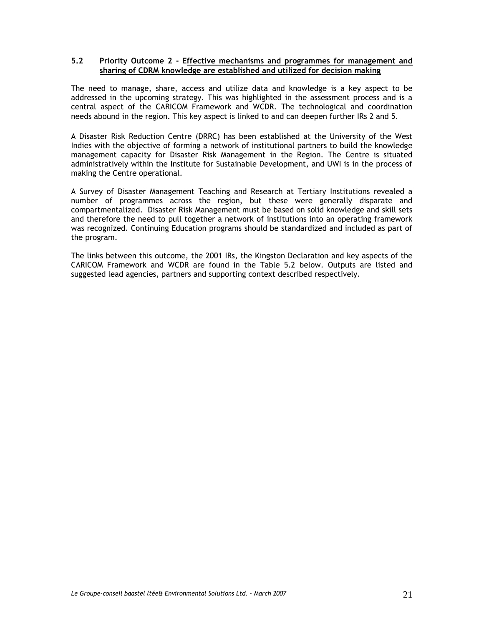#### **5.2 Priority Outcome 2 - Effective mechanisms and programmes for management and sharing of CDRM knowledge are established and utilized for decision making**

The need to manage, share, access and utilize data and knowledge is a key aspect to be addressed in the upcoming strategy. This was highlighted in the assessment process and is a central aspect of the CARICOM Framework and WCDR. The technological and coordination needs abound in the region. This key aspect is linked to and can deepen further IRs 2 and 5.

A Disaster Risk Reduction Centre (DRRC) has been established at the University of the West Indies with the objective of forming a network of institutional partners to build the knowledge management capacity for Disaster Risk Management in the Region. The Centre is situated administratively within the Institute for Sustainable Development, and UWI is in the process of making the Centre operational.

A Survey of Disaster Management Teaching and Research at Tertiary Institutions revealed a number of programmes across the region, but these were generally disparate and compartmentalized. Disaster Risk Management must be based on solid knowledge and skill sets and therefore the need to pull together a network of institutions into an operating framework was recognized. Continuing Education programs should be standardized and included as part of the program.

The links between this outcome, the 2001 IRs, the Kingston Declaration and key aspects of the CARICOM Framework and WCDR are found in the Table 5.2 below. Outputs are listed and suggested lead agencies, partners and supporting context described respectively.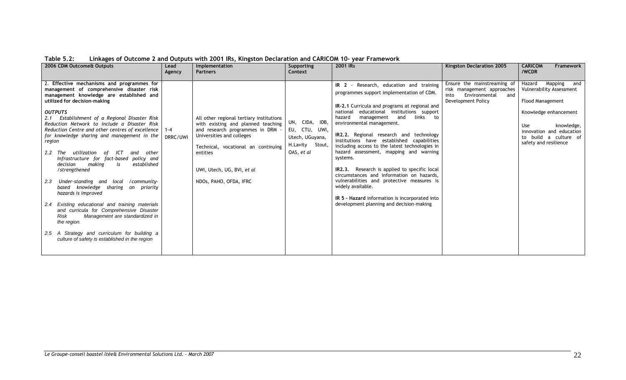| 2006 CDM Outcome& Outputs                                                                                                                                                                                                                                                                                                                                                                                                                                                                                                                                                                                                                                                                                                                                                                                                                                                                                                                 | Lead                | Implementation                                                                                                                                                                                                                                           | Supporting                                                                          | 2001 IRs                                                                                                                                                                                                                                                                                                                                                                                                                                                                                                                                                                                                                                                                                                                            | Kingston Declaration 2005                                                                                       | <b>CARICOM</b><br>Framework                                                                                                                                                                                        |
|-------------------------------------------------------------------------------------------------------------------------------------------------------------------------------------------------------------------------------------------------------------------------------------------------------------------------------------------------------------------------------------------------------------------------------------------------------------------------------------------------------------------------------------------------------------------------------------------------------------------------------------------------------------------------------------------------------------------------------------------------------------------------------------------------------------------------------------------------------------------------------------------------------------------------------------------|---------------------|----------------------------------------------------------------------------------------------------------------------------------------------------------------------------------------------------------------------------------------------------------|-------------------------------------------------------------------------------------|-------------------------------------------------------------------------------------------------------------------------------------------------------------------------------------------------------------------------------------------------------------------------------------------------------------------------------------------------------------------------------------------------------------------------------------------------------------------------------------------------------------------------------------------------------------------------------------------------------------------------------------------------------------------------------------------------------------------------------------|-----------------------------------------------------------------------------------------------------------------|--------------------------------------------------------------------------------------------------------------------------------------------------------------------------------------------------------------------|
|                                                                                                                                                                                                                                                                                                                                                                                                                                                                                                                                                                                                                                                                                                                                                                                                                                                                                                                                           | Agency              | <b>Partners</b>                                                                                                                                                                                                                                          | Context                                                                             |                                                                                                                                                                                                                                                                                                                                                                                                                                                                                                                                                                                                                                                                                                                                     |                                                                                                                 | /WCDR                                                                                                                                                                                                              |
| 2. Effective mechanisms and programmes for<br>management of comprehensive disaster risk<br>management knowledge are established and<br>utilized for decision-making<br><b>OUTPUTS</b><br>Establishment of a Regional Disaster Risk<br>2.1<br>Reduction Network to include a Disaster Risk<br>Reduction Centre and other centres of excellence<br>for knowledge sharing and management in the<br>region<br>utilization<br>of ICT<br>other<br>2.2 The<br>and<br>Infrastructure for fact-based policy and<br>making<br>established<br>decision<br>is<br>/strengthened<br>Under-standing and local /community-<br>2.3<br>based knowledge sharing on priority<br>hazards is improved<br>2.4 Existing educational and training materials<br>and curricula for Comprehensive Disaster<br>Management are standardized in<br>Risk<br>the region.<br>2.5 A Strategy and curriculum for building a<br>culture of safety is established in the region | $1 - 4$<br>DRRC/UWI | All other regional tertiary institutions<br>with existing and planned teaching<br>and research programmes in DRM<br>Universities and colleges<br>Technical, vocational an continuing<br>entities<br>UWI, Utech, UG, BVI, et al<br>NDOs, PAHO, OFDA, IFRC | UN, CIDA, IDB,<br>EU, CTU, UWI,<br>Utech, UGuyana,<br>H.Lavity Stout,<br>OAS, et al | IR 2 - Research, education and training<br>programmes support implementation of CDM.<br>IR-2.1 Curricula and programs at regional and<br>educational institutions support<br>national<br>hazard<br>links to<br>management<br>and<br>environmental management.<br><b>IR2.2.</b> Regional research and technology<br>institutions have established capabilities<br>including access to the latest technologies in<br>hazard assessment, mapping and warning<br>systems.<br>IR2.3. Research is applied to specific local<br>circumstances and information on hazards,<br>vulnerabilities and protective measures is<br>widely available.<br>IR 5 - Hazard information is incorporated into<br>development planning and decision-making | Ensure the mainstreaming of<br>risk management approaches<br>Environmental<br>and<br>into<br>Development Policy | Mapping<br>and<br>Hazard<br>Vulnerability Assessment<br><b>Flood Management</b><br>Knowledge enhancement<br><b>Use</b><br>knowledge,<br>innovation and education<br>to build a culture of<br>safety and resilience |

# **Table 5.2: Linkages of Outcome 2 and Outputs with 2001 IRs, Kingston Declaration and CARICOM 10- year Framework**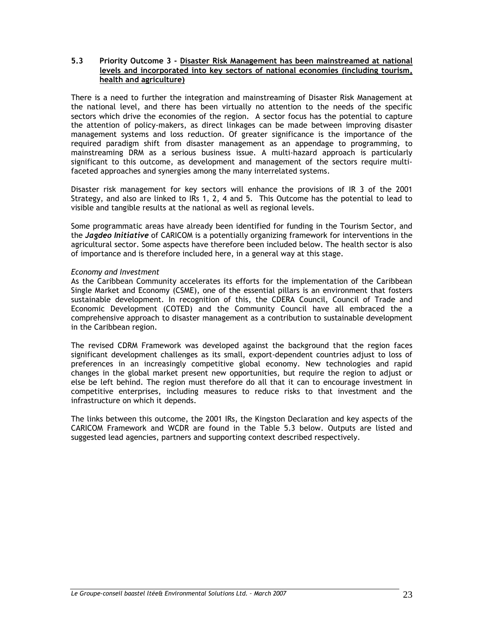#### **5.3 Priority Outcome 3 - Disaster Risk Management has been mainstreamed at national levels and incorporated into key sectors of national economies (including tourism, health and agriculture)**

There is a need to further the integration and mainstreaming of Disaster Risk Management at the national level, and there has been virtually no attention to the needs of the specific sectors which drive the economies of the region. A sector focus has the potential to capture the attention of policy-makers, as direct linkages can be made between improving disaster management systems and loss reduction. Of greater significance is the importance of the required paradigm shift from disaster management as an appendage to programming, to mainstreaming DRM as a serious business issue. A multi-hazard approach is particularly significant to this outcome, as development and management of the sectors require multifaceted approaches and synergies among the many interrelated systems.

Disaster risk management for key sectors will enhance the provisions of IR 3 of the 2001 Strategy, and also are linked to IRs 1, 2, 4 and 5. This Outcome has the potential to lead to visible and tangible results at the national as well as regional levels.

Some programmatic areas have already been identified for funding in the Tourism Sector, and the *Jagdeo Initiative* of CARICOM is a potentially organizing framework for interventions in the agricultural sector. Some aspects have therefore been included below. The health sector is also of importance and is therefore included here, in a general way at this stage.

#### *Economy and Investment*

As the Caribbean Community accelerates its efforts for the implementation of the Caribbean Single Market and Economy (CSME), one of the essential pillars is an environment that fosters sustainable development. In recognition of this, the CDERA Council, Council of Trade and Economic Development (COTED) and the Community Council have all embraced the a comprehensive approach to disaster management as a contribution to sustainable development in the Caribbean region.

The revised CDRM Framework was developed against the background that the region faces significant development challenges as its small, export-dependent countries adjust to loss of preferences in an increasingly competitive global economy. New technologies and rapid changes in the global market present new opportunities, but require the region to adjust or else be left behind. The region must therefore do all that it can to encourage investment in competitive enterprises, including measures to reduce risks to that investment and the infrastructure on which it depends.

The links between this outcome, the 2001 IRs, the Kingston Declaration and key aspects of the CARICOM Framework and WCDR are found in the Table 5.3 below. Outputs are listed and suggested lead agencies, partners and supporting context described respectively.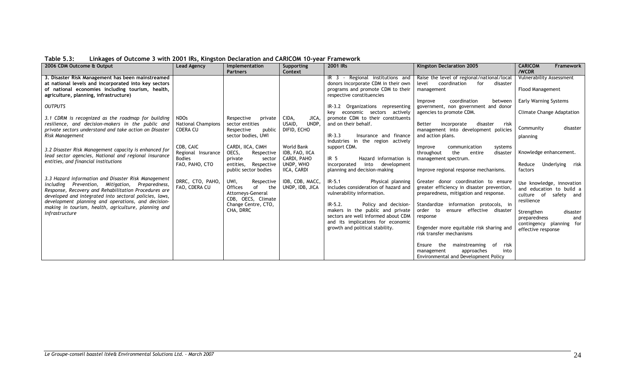| 3. Disaster Risk Management has been mainstreamed<br>IR 3 - Regional institutions and<br>Raise the level of regional/national/local<br><b>Vulnerability Assessment</b><br>donors incorporate CDM in their own<br>at national levels and incorporated into key sectors<br>level<br>coordination<br>for<br>disaster<br>Flood Management<br>of national economies including tourism, health,<br>programs and promote CDM to their<br>management<br>agriculture, planning, infrastructure)<br>respective constituencies<br>Early Warning Systems<br>coordination<br>Improve<br>between<br><b>OUTPUTS</b><br>IR-3.2 Organizations representing<br>government, non government and donor<br>key economic sectors actively<br>agencies to promote CDM.<br>Climate Change Adaptation<br>promote CDM to their constituents<br>3.1 CDRM is recognized as the roadmap for building<br>CIDA,<br>JICA,<br><b>NDOs</b><br>Respective<br>private<br>UNDP,<br>resilience, and decision-makers in the public and<br><b>National Champions</b><br>USAID,<br>and on their behalf.<br>sector entities<br>incorporate<br>Better<br>disaster<br>risk<br>disaster<br>Community<br>private sectors understand and take action on Disaster<br><b>CDERA CU</b><br>management into development policies<br>Respective<br>public<br>DIFID, ECHO<br>sector bodies, UWI<br>$IR-3.3$<br>Risk Management<br>Insurance and finance<br>and action plans.<br>planning<br>industries in the region actively<br>CDB, CAIC<br>CARDI, IICA, CIMH<br>World Bank<br>support CDM.<br>communication<br>Improve<br>systems<br>3.2 Disaster Risk Management capacity is enhanced for<br>Knowledge enhancement.<br>Regional Insurance<br>OECS,<br>IDB, FAO, IICA<br>Respective<br>throughout<br>entire<br>disaster<br>the<br>lead sector agencies, National and regional insurance<br><b>Bodies</b><br>Hazard information is<br>CARDI, PAHO<br>IR <sub>5</sub><br>management spectrum.<br>private<br>sector<br>entities, and financial institutions<br>UNDP, WHO<br>FAO, PAHO, CTO<br>Respective<br>into development<br>incorporated<br>Reduce<br>entities,<br>IICA, CARDI<br>planning and decision-making<br>Improve regional response mechanisms.<br>public sector bodies<br>factors<br>3.3 Hazard information and Disaster Risk Management<br>DRRC, CTO, PAHO,<br>Respective<br>IDB, CDB, MACC,<br>UWI,<br>$IR-5.1$<br>Physical planning<br>Greater donor coordination to ensure<br>including Prevention, Mitigation, Preparedness,<br>includes consideration of hazard and<br>FAO, CDERA CU<br>UNDP, IDB, JICA<br>greater efficiency in disaster prevention,<br>Offices<br>of<br>the<br>Response, Recovery and Rehabilitation Procedures are<br>Attorneys-General<br>vulnerability information.<br>preparedness, mitigation and response.<br>culture of<br>developed and integrated into sectoral policies, laws,<br>CDB, OECS, Climate<br>resilience<br>development planning and operations, and decision-<br>Change Centre, CTO,<br>Standardize information protocols, in<br>$IR-5.2.$<br>Policy and decision-<br>making in tourism, health, agriculture, planning and<br>CHA, DRRC<br>makers in the public and private<br>order to<br>ensure effective disaster<br>Strengthen<br>disaster<br>infrastructure<br>sectors are well informed about CDM<br>response<br>preparedness<br>and<br>and its implications for economic<br>growth and political stability.<br>Engender more equitable risk sharing and<br>effective response<br>risk transfer mechanisms | Emings of Outcome 5 mins 200 miles, inspects becamation and ChineCom to year Frame morn<br>2006 CDM Outcome & Output | Lead Agency | Implementation  | Supporting | 2001 IRs | Kingston Declaration 2005                 | <b>CARICOM</b><br>Framework                                                                                                 |
|---------------------------------------------------------------------------------------------------------------------------------------------------------------------------------------------------------------------------------------------------------------------------------------------------------------------------------------------------------------------------------------------------------------------------------------------------------------------------------------------------------------------------------------------------------------------------------------------------------------------------------------------------------------------------------------------------------------------------------------------------------------------------------------------------------------------------------------------------------------------------------------------------------------------------------------------------------------------------------------------------------------------------------------------------------------------------------------------------------------------------------------------------------------------------------------------------------------------------------------------------------------------------------------------------------------------------------------------------------------------------------------------------------------------------------------------------------------------------------------------------------------------------------------------------------------------------------------------------------------------------------------------------------------------------------------------------------------------------------------------------------------------------------------------------------------------------------------------------------------------------------------------------------------------------------------------------------------------------------------------------------------------------------------------------------------------------------------------------------------------------------------------------------------------------------------------------------------------------------------------------------------------------------------------------------------------------------------------------------------------------------------------------------------------------------------------------------------------------------------------------------------------------------------------------------------------------------------------------------------------------------------------------------------------------------------------------------------------------------------------------------------------------------------------------------------------------------------------------------------------------------------------------------------------------------------------------------------------------------------------------------------------------------------------------------------------------------------------------------------------------------------------------------------------------------------------------------------------------------------------------------------------------------------------------------------------------------------------------------------------------------------------------------------------------------------------------------------------------------------------------------------------|----------------------------------------------------------------------------------------------------------------------|-------------|-----------------|------------|----------|-------------------------------------------|-----------------------------------------------------------------------------------------------------------------------------|
| approaches<br>into<br>management                                                                                                                                                                                                                                                                                                                                                                                                                                                                                                                                                                                                                                                                                                                                                                                                                                                                                                                                                                                                                                                                                                                                                                                                                                                                                                                                                                                                                                                                                                                                                                                                                                                                                                                                                                                                                                                                                                                                                                                                                                                                                                                                                                                                                                                                                                                                                                                                                                                                                                                                                                                                                                                                                                                                                                                                                                                                                                                                                                                                                                                                                                                                                                                                                                                                                                                                                                                                                                                                                    |                                                                                                                      |             | <b>Partners</b> | Context    |          | risk<br>Ensure the<br>mainstreaming<br>of | /WCDR<br>Underlying risk<br>Use knowledge, innovation<br>and education to build a<br>safety and<br>contingency planning for |

**Table 5.3: Linkages of Outcome 3 with 2001 IRs, Kingston Declaration and CARICOM 10-year Framework**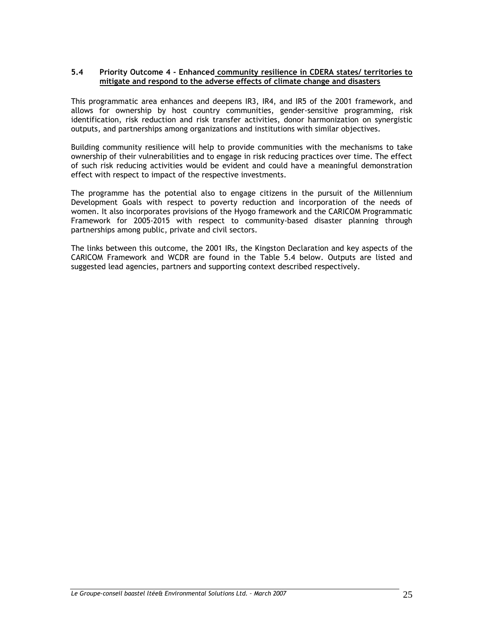#### **5.4 Priority Outcome 4 - Enhanced community resilience in CDERA states/ territories to mitigate and respond to the adverse effects of climate change and disasters**

This programmatic area enhances and deepens IR3, IR4, and IR5 of the 2001 framework, and allows for ownership by host country communities, gender-sensitive programming, risk identification, risk reduction and risk transfer activities, donor harmonization on synergistic outputs, and partnerships among organizations and institutions with similar objectives.

Building community resilience will help to provide communities with the mechanisms to take ownership of their vulnerabilities and to engage in risk reducing practices over time. The effect of such risk reducing activities would be evident and could have a meaningful demonstration effect with respect to impact of the respective investments.

The programme has the potential also to engage citizens in the pursuit of the Millennium Development Goals with respect to poverty reduction and incorporation of the needs of women. It also incorporates provisions of the Hyogo framework and the CARICOM Programmatic Framework for 2005-2015 with respect to community-based disaster planning through partnerships among public, private and civil sectors.

The links between this outcome, the 2001 IRs, the Kingston Declaration and key aspects of the CARICOM Framework and WCDR are found in the Table 5.4 below. Outputs are listed and suggested lead agencies, partners and supporting context described respectively.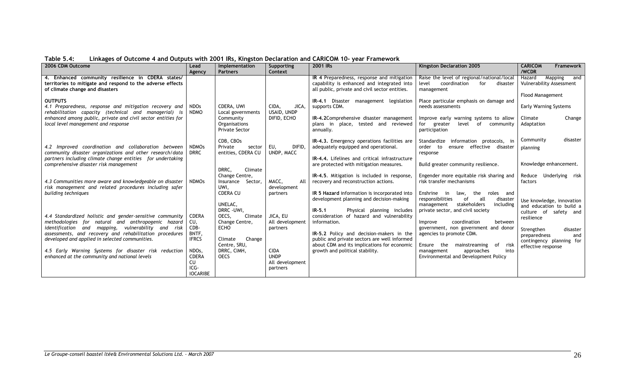| 2006 CDM Outcome                                                                                                                                                                                                                                                                  | Lead<br>Agency                                         | Implementation<br><b>Partners</b>                                                                     | Supporting<br>Context                                     | 2001 IRs                                                                                                                                                                                                                                       | Kingston Declaration 2005                                                                                                                                                                               | <b>CARICOM</b><br><b>Framework</b><br>/WCDR                                                                                            |
|-----------------------------------------------------------------------------------------------------------------------------------------------------------------------------------------------------------------------------------------------------------------------------------|--------------------------------------------------------|-------------------------------------------------------------------------------------------------------|-----------------------------------------------------------|------------------------------------------------------------------------------------------------------------------------------------------------------------------------------------------------------------------------------------------------|---------------------------------------------------------------------------------------------------------------------------------------------------------------------------------------------------------|----------------------------------------------------------------------------------------------------------------------------------------|
| 4. Enhanced community resilience in CDERA states/<br>territories to mitigate and respond to the adverse effects<br>of climate change and disasters                                                                                                                                |                                                        |                                                                                                       |                                                           | IR 4 Preparedness, response and mitigation<br>capability is enhanced and integrated into<br>all public, private and civil sector entities.                                                                                                     | Raise the level of regional/national/local<br>coordination<br>level<br>for<br>disaster<br>management                                                                                                    | Hazard<br>Mapping<br>and<br>Vulnerability Assessment                                                                                   |
| <b>OUTPUTS</b><br>4.1 Preparedness, response and mitigation recovery and<br>rehabilitation capacity (technical and managerial) is<br>enhanced among public, private and civil sector entities for<br>local level management and response                                          | <b>NDOs</b><br><b>NDMO</b>                             | CDERA, UWI<br>Local governments<br>Community<br>Organisations<br><b>Private Sector</b>                | CIDA,<br>JICA,<br>USAID, UNDP<br>DIFID, ECHO              | IR-4.1 Disaster management legislation<br>supports CDM.<br>IR-4,2Comprehensive disaster management<br>plans in place, tested and reviewed<br>annually.                                                                                         | Place particular emphasis on damage and<br>needs assessments<br>Improve early warning systems to allow<br>for greater<br>level of community<br>participation                                            | <b>Flood Management</b><br>Early Warning Systems<br>Change<br>Climate<br>Adaptation                                                    |
| 4.2 Improved coordination and collaboration between<br>community disaster organizations and other research/data<br>partners including climate change entities for undertaking<br>comprehensive disaster risk management                                                           | <b>NDMOs</b><br><b>DRRC</b>                            | CDB, CBOs<br>Private<br>sector<br>entities, CDERA CU                                                  | DIFID.<br>EU.<br>UNDP, MACC                               | IR-4.3. Emergency operations facilities are<br>adequately equipped and operational.<br>IR-4.4. Lifelines and critical infrastructure<br>are protected with mitigation measures.                                                                | Standardize information protocols, in<br>ensure effective disaster<br>order to<br>response<br>Build greater community resilience.                                                                       | disaster<br>Community<br>planning<br>Knowledge enhancement.                                                                            |
| 4.3 Communities more aware and knowledgeable on disaster<br>risk management and related procedures including safer<br>building techniques                                                                                                                                         | <b>NDMOs</b>                                           | DRRC.<br>Climate<br>Change Centre,<br>Insurance Sector.<br>UWI,<br><b>CDERA CU</b><br>UNELAC,         | MACC,<br>All<br>development<br>partners                   | IR-4.5. Mitigation is included in response,<br>recovery and reconstruction actions.<br>IR 5 Hazard information is incorporated into<br>development planning and decision-making                                                                | Engender more equitable risk sharing and<br>risk transfer mechanisms<br>Enshrine in<br>the<br>law,<br>roles and<br>all<br>responsibilities<br>of<br>disaster<br>stakeholders<br>including<br>management | Reduce Underlying risk<br>factors<br>Use knowledge, innovation<br>and education to build a                                             |
| 4.4 Standardized holistic and gender-sensitive community<br>methodologies for natural and anthropogenic hazard<br>identification and mapping, vulnerability and risk<br>assessments, and recovery and rehabilitation procedures<br>developed and applied in selected communities. | <b>CDERA</b><br>CU,<br>CDB-<br>BNTF,<br><b>IFRCS</b>   | DRRC - UWI,<br>OECS,<br>Climate<br>Change Centre,<br><b>ECHO</b><br>Climate<br>Change<br>Centre, SRU, | JICA, EU<br>All development<br>partners                   | $IR-5.1$<br>Physical planning includes<br>consideration of hazard and vulnerability<br>information.<br>IR-5.2 Policy and decision-makers in the<br>public and private sectors are well informed<br>about CDM and its implications for economic | private sector, and civil society<br>coordination<br>between<br>Improve<br>government, non government and donor<br>agencies to promote CDM.<br>Ensure the<br>risk<br>mainstreaming<br>of                | culture of safety and<br>resilience<br>Strengthen<br>disaster<br>preparedness<br>and<br>contingency planning for<br>effective response |
| 4.5 Early Warning Systems for disaster risk reduction<br>enhanced at the community and national levels                                                                                                                                                                            | NDOs,<br><b>CDERA</b><br>CU<br>ICG-<br><b>IOCARIBE</b> | DRRC, CIMH,<br><b>OECS</b>                                                                            | <b>CIDA</b><br><b>UNDP</b><br>All development<br>partners | growth and political stability.                                                                                                                                                                                                                | into<br>approaches<br>management<br>Environmental and Development Policy                                                                                                                                |                                                                                                                                        |

**Table 5.4: Linkages of Outcome 4 and Outputs with 2001 IRs, Kingston Declaration and CARICOM 10- year Framework**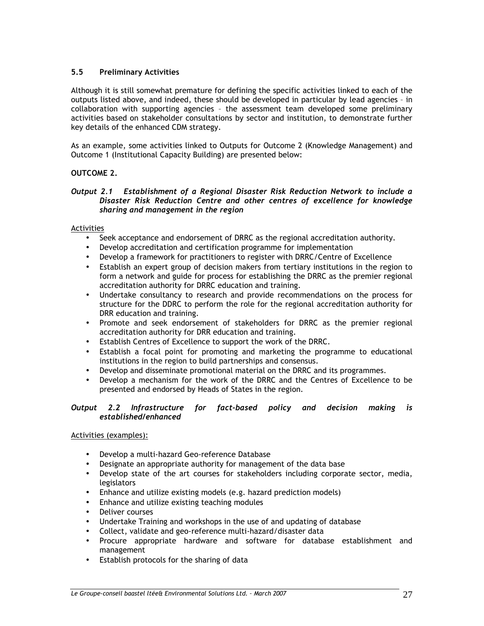# **5.5 Preliminary Activities**

Although it is still somewhat premature for defining the specific activities linked to each of the outputs listed above, and indeed, these should be developed in particular by lead agencies – in collaboration with supporting agencies – the assessment team developed some preliminary activities based on stakeholder consultations by sector and institution, to demonstrate further key details of the enhanced CDM strategy.

As an example, some activities linked to Outputs for Outcome 2 (Knowledge Management) and Outcome 1 (Institutional Capacity Building) are presented below:

### **OUTCOME 2.**

#### *Output 2.1 Establishment of a Regional Disaster Risk Reduction Network to include a Disaster Risk Reduction Centre and other centres of excellence for knowledge sharing and management in the region*

### Activities

- Seek acceptance and endorsement of DRRC as the regional accreditation authority.
- Develop accreditation and certification programme for implementation
- Develop a framework for practitioners to register with DRRC/Centre of Excellence
- Establish an expert group of decision makers from tertiary institutions in the region to form a network and guide for process for establishing the DRRC as the premier regional accreditation authority for DRRC education and training.
- Undertake consultancy to research and provide recommendations on the process for structure for the DDRC to perform the role for the regional accreditation authority for DRR education and training.
- Promote and seek endorsement of stakeholders for DRRC as the premier regional accreditation authority for DRR education and training.
- Establish Centres of Excellence to support the work of the DRRC.
- Establish a focal point for promoting and marketing the programme to educational institutions in the region to build partnerships and consensus.
- Develop and disseminate promotional material on the DRRC and its programmes.
- Develop a mechanism for the work of the DRRC and the Centres of Excellence to be presented and endorsed by Heads of States in the region.

#### *Output 2.2 Infrastructure for fact-based policy and decision making is established/enhanced*

### Activities (examples):

- Develop a multi-hazard Geo-reference Database
- Designate an appropriate authority for management of the data base
- Develop state of the art courses for stakeholders including corporate sector, media, legislators
- Enhance and utilize existing models (e.g. hazard prediction models)
- Enhance and utilize existing teaching modules
- Deliver courses
- Undertake Training and workshops in the use of and updating of database
- Collect, validate and geo-reference multi-hazard/disaster data
- Procure appropriate hardware and software for database establishment and management
- Establish protocols for the sharing of data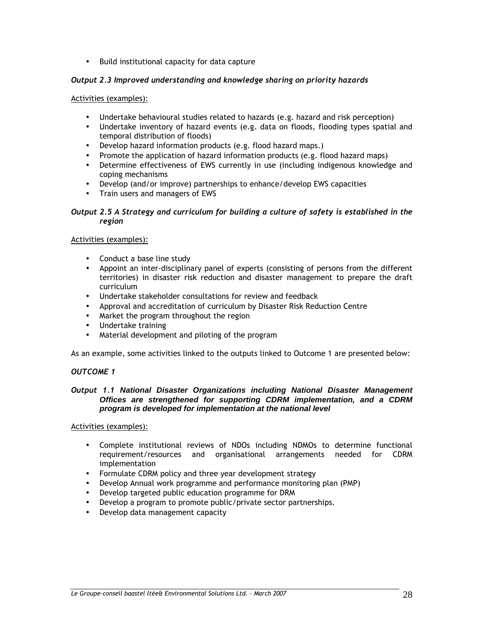• Build institutional capacity for data capture

## *Output 2.3 Improved understanding and knowledge sharing on priority hazards*

#### Activities (examples):

- Undertake behavioural studies related to hazards (e.g. hazard and risk perception)
- Undertake inventory of hazard events (e.g. data on floods, flooding types spatial and temporal distribution of floods)
- Develop hazard information products (e.g. flood hazard maps.)
- Promote the application of hazard information products (e.g. flood hazard maps)
- Determine effectiveness of EWS currently in use (including indigenous knowledge and coping mechanisms
- Develop (and/or improve) partnerships to enhance/develop EWS capacities
- Train users and managers of EWS

### *Output 2.5 A Strategy and curriculum for building a culture of safety is established in the region*

### Activities (examples):

- Conduct a base line study
- Appoint an inter-disciplinary panel of experts (consisting of persons from the different territories) in disaster risk reduction and disaster management to prepare the draft curriculum
- Undertake stakeholder consultations for review and feedback
- Approval and accreditation of curriculum by Disaster Risk Reduction Centre
- Market the program throughout the region
- Undertake training
- Material development and piloting of the program

As an example, some activities linked to the outputs linked to Outcome 1 are presented below:

### *OUTCOME 1*

#### *Output 1.1* **National Disaster Organizations including National Disaster Management Offices are strengthened for supporting CDRM implementation, and a CDRM program is developed for implementation at the national level**

#### Activities (examples):

- Complete institutional reviews of NDOs including NDMOs to determine functional requirement/resources and organisational arrangements needed for CDRM implementation
- Formulate CDRM policy and three year development strategy
- Develop Annual work programme and performance monitoring plan (PMP)
- Develop targeted public education programme for DRM
- Develop a program to promote public/private sector partnerships.
- Develop data management capacity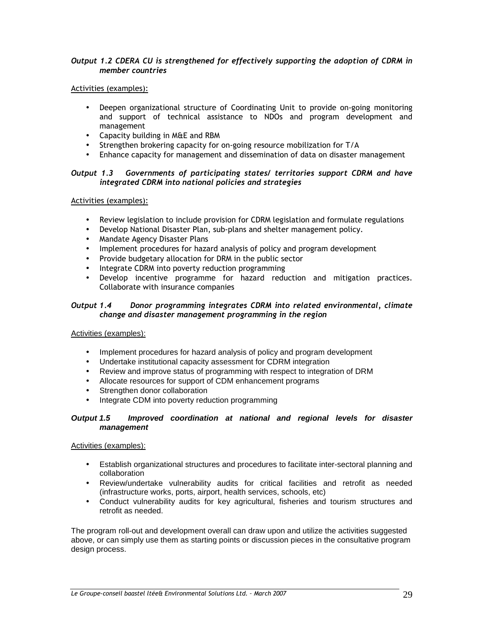#### *Output 1.2 CDERA CU is strengthened for effectively supporting the adoption of CDRM in member countries*

### Activities (examples):

- Deepen organizational structure of Coordinating Unit to provide on-going monitoring and support of technical assistance to NDOs and program development and management
- Capacity building in M&E and RBM
- Strengthen brokering capacity for on-going resource mobilization for T/A
- Enhance capacity for management and dissemination of data on disaster management

#### *Output 1.3 Governments of participating states/ territories support CDRM and have integrated CDRM into national policies and strategies*

#### Activities (examples):

- Review legislation to include provision for CDRM legislation and formulate regulations
- Develop National Disaster Plan, sub-plans and shelter management policy.
- Mandate Agency Disaster Plans
- Implement procedures for hazard analysis of policy and program development
- Provide budgetary allocation for DRM in the public sector
- Integrate CDRM into poverty reduction programming
- Develop incentive programme for hazard reduction and mitigation practices. Collaborate with insurance companies

#### *Output 1.4 Donor programming integrates CDRM into related environmental, climate change and disaster management programming in the region*

### Activities (examples):

- Implement procedures for hazard analysis of policy and program development
- Undertake institutional capacity assessment for CDRM integration
- Review and improve status of programming with respect to integration of DRM
- Allocate resources for support of CDM enhancement programs
- Strengthen donor collaboration
- Integrate CDM into poverty reduction programming

#### **Output 1.5 Improved coordination at national and regional levels for disaster management**

### Activities (examples):

- Establish organizational structures and procedures to facilitate inter-sectoral planning and collaboration
- Review/undertake vulnerability audits for critical facilities and retrofit as needed (infrastructure works, ports, airport, health services, schools, etc)
- Conduct vulnerability audits for key agricultural, fisheries and tourism structures and retrofit as needed.

The program roll-out and development overall can draw upon and utilize the activities suggested above, or can simply use them as starting points or discussion pieces in the consultative program design process.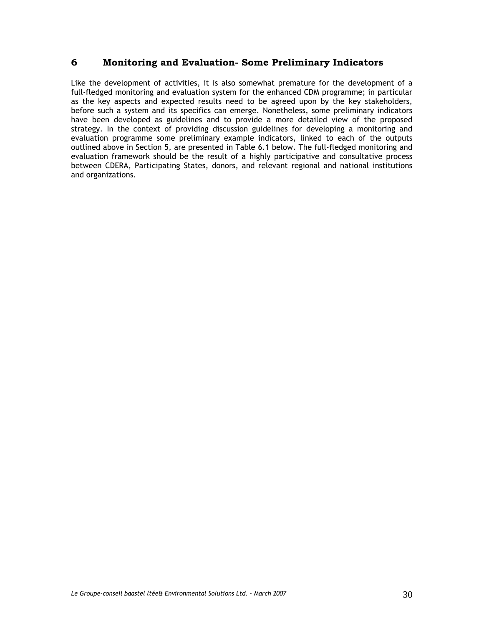# **6 Monitoring and Evaluation- Some Preliminary Indicators**

Like the development of activities, it is also somewhat premature for the development of a full-fledged monitoring and evaluation system for the enhanced CDM programme; in particular as the key aspects and expected results need to be agreed upon by the key stakeholders, before such a system and its specifics can emerge. Nonetheless, some preliminary indicators have been developed as guidelines and to provide a more detailed view of the proposed strategy. In the context of providing discussion guidelines for developing a monitoring and evaluation programme some preliminary example indicators, linked to each of the outputs outlined above in Section 5, are presented in Table 6.1 below. The full-fledged monitoring and evaluation framework should be the result of a highly participative and consultative process between CDERA, Participating States, donors, and relevant regional and national institutions and organizations.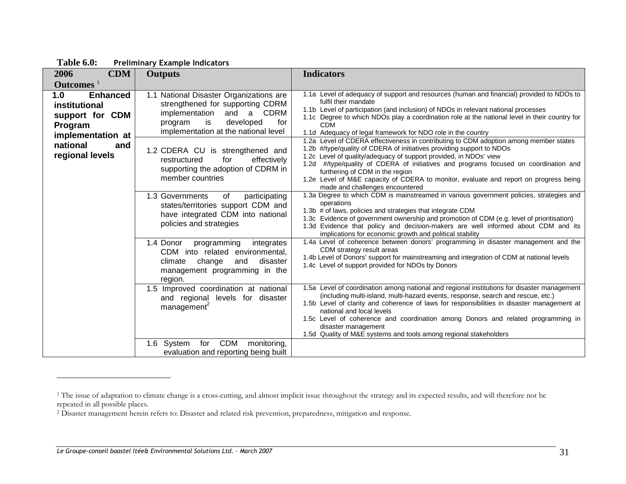| <b>CDM</b><br>2006                                                                                                               | <b>Outputs</b>                                                                                                                                                                                                                                                                                                                            | <b>Indicators</b>                                                                                                                                                                                                                                                                                                                                                                                                                                                                                                                                                                                                                                                                                                                                                                                                                                 |
|----------------------------------------------------------------------------------------------------------------------------------|-------------------------------------------------------------------------------------------------------------------------------------------------------------------------------------------------------------------------------------------------------------------------------------------------------------------------------------------|---------------------------------------------------------------------------------------------------------------------------------------------------------------------------------------------------------------------------------------------------------------------------------------------------------------------------------------------------------------------------------------------------------------------------------------------------------------------------------------------------------------------------------------------------------------------------------------------------------------------------------------------------------------------------------------------------------------------------------------------------------------------------------------------------------------------------------------------------|
| Outcomes <sup>1</sup>                                                                                                            |                                                                                                                                                                                                                                                                                                                                           |                                                                                                                                                                                                                                                                                                                                                                                                                                                                                                                                                                                                                                                                                                                                                                                                                                                   |
| <b>Enhanced</b><br>1.0<br>institutional<br>support for CDM<br>Program<br>implementation at<br>national<br>and<br>regional levels | 1.1 National Disaster Organizations are<br>strengthened for supporting CDRM<br>and<br><b>CDRM</b><br>implementation<br>a<br>developed<br>is<br>for<br>program<br>implementation at the national level<br>1.2 CDERA CU is strengthened and<br>effectively<br>restructured<br>for<br>supporting the adoption of CDRM in<br>member countries | 1.1a Level of adequacy of support and resources (human and financial) provided to NDOs to<br>fulfil their mandate<br>1.1b Level of participation (and inclusion) of NDOs in relevant national processes<br>1.1c Degree to which NDOs play a coordination role at the national level in their country for<br><b>CDM</b><br>1.1d Adequacy of legal framework for NDO role in the country<br>1.2a Level of CDERA effectiveness in contributing to CDM adoption among member states<br>1.2b #/type/quality of CDERA of initiatives providing support to NDOs<br>1.2c Level of quality/adequacy of support provided, in NDOs' view<br>1.2d #/type/quality of CDERA of initiatives and programs focused on coordination and<br>furthering of CDM in the region<br>1.2e Level of M&E capacity of CDERA to monitor, evaluate and report on progress being |
|                                                                                                                                  | 1.3 Governments<br>participating<br>of<br>states/territories support CDM and<br>have integrated CDM into national<br>policies and strategies<br>1.4 Donor<br>programming<br>integrates<br>CDM into related environmental,<br>change<br>disaster<br>climate<br>and<br>management programming in the<br>region.                             | made and challenges encountered<br>1.3a Degree to which CDM is mainstreamed in various government policies, strategies and<br>operations<br>1.3b # of laws, policies and strategies that integrate CDM<br>1.3c Evidence of government ownership and promotion of CDM (e.g. level of prioritisation)<br>1.3d Evidence that policy and decision-makers are well informed about CDM and its<br>implications for economic growth and political stability<br>1.4a Level of coherence between donors' programming in disaster management and the<br>CDM strategy result areas<br>1.4b Level of Donors' support for mainstreaming and integration of CDM at national levels<br>1.4c Level of support provided for NDOs by Donors                                                                                                                         |
|                                                                                                                                  | 1.5 Improved coordination at national<br>and regional levels for disaster<br>management                                                                                                                                                                                                                                                   | 1.5a Level of coordination among national and regional institutions for disaster management<br>(including multi-island, multi-hazard events, response, search and rescue, etc.)<br>1.5b Level of clarity and coherence of laws for responsibilities in disaster management at<br>national and local levels<br>1.5c Level of coherence and coordination among Donors and related programming in<br>disaster management<br>1.5d Quality of M&E systems and tools among regional stakeholders                                                                                                                                                                                                                                                                                                                                                        |
|                                                                                                                                  | <b>CDM</b><br>1.6 System<br>for<br>monitoring,<br>evaluation and reporting being built                                                                                                                                                                                                                                                    |                                                                                                                                                                                                                                                                                                                                                                                                                                                                                                                                                                                                                                                                                                                                                                                                                                                   |

**Table 6.0: Preliminary Example Indicators**

<sup>&</sup>lt;sup>1</sup> The issue of adaptation to climate change is a cross-cutting, and almost implicit issue throughout the strategy and its expected results, and will therefore not be repeated in all possible places.

<sup>&</sup>lt;sup>2</sup> Disaster management herein refers to: Disaster and related risk prevention, preparedness, mitigation and response.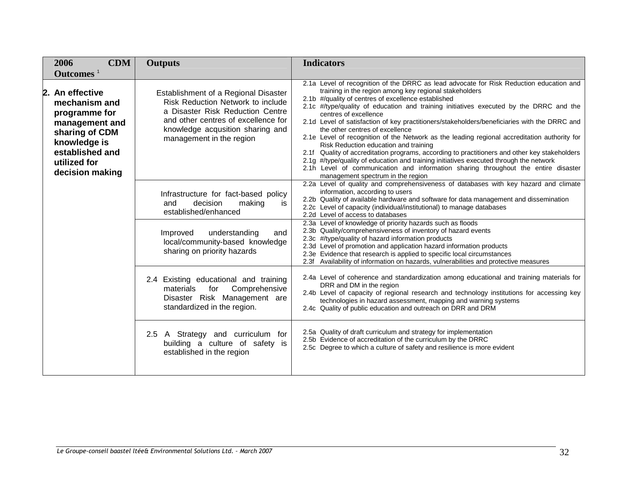|  | <b>CDM</b><br>2006<br>Outcomes <sup>1</sup>                                                                                                                 | <b>Outputs</b>                                                                                                                                                                                                       | <b>Indicators</b>                                                                                                                                                                                                                                                                                                                                                                                                                                                                                                                                                                                                                                                                                                                                                                                                                                                                                                             |
|--|-------------------------------------------------------------------------------------------------------------------------------------------------------------|----------------------------------------------------------------------------------------------------------------------------------------------------------------------------------------------------------------------|-------------------------------------------------------------------------------------------------------------------------------------------------------------------------------------------------------------------------------------------------------------------------------------------------------------------------------------------------------------------------------------------------------------------------------------------------------------------------------------------------------------------------------------------------------------------------------------------------------------------------------------------------------------------------------------------------------------------------------------------------------------------------------------------------------------------------------------------------------------------------------------------------------------------------------|
|  | 2. An effective<br>mechanism and<br>programme for<br>management and<br>sharing of CDM<br>knowledge is<br>established and<br>utilized for<br>decision making | Establishment of a Regional Disaster<br>Risk Reduction Network to include<br>a Disaster Risk Reduction Centre<br>and other centres of excellence for<br>knowledge acqusition sharing and<br>management in the region | 2.1a Level of recognition of the DRRC as lead advocate for Risk Reduction education and<br>training in the region among key regional stakeholders<br>2.1b #/quality of centres of excellence established<br>2.1c #/type/quality of education and training initiatives executed by the DRRC and the<br>centres of excellence<br>2.1d Level of satisfaction of key practitioners/stakeholders/beneficiaries with the DRRC and<br>the other centres of excellence<br>2.1e Level of recognition of the Network as the leading regional accreditation authority for<br>Risk Reduction education and training<br>2.1f Quality of accreditation programs, according to practitioners and other key stakeholders<br>2.1g #/type/quality of education and training initiatives executed through the network<br>2.1h Level of communication and information sharing throughout the entire disaster<br>management spectrum in the region |
|  |                                                                                                                                                             | Infrastructure for fact-based policy<br>decision<br>making<br>and<br>is<br>established/enhanced                                                                                                                      | 2.2a Level of quality and comprehensiveness of databases with key hazard and climate<br>information, according to users<br>2.2b Quality of available hardware and software for data management and dissemination<br>2.2c Level of capacity (individual/institutional) to manage databases<br>2.2d Level of access to databases                                                                                                                                                                                                                                                                                                                                                                                                                                                                                                                                                                                                |
|  |                                                                                                                                                             | understanding<br>Improved<br>and<br>local/community-based knowledge<br>sharing on priority hazards                                                                                                                   | 2.3a Level of knowledge of priority hazards such as floods<br>2.3b Quality/comprehensiveness of inventory of hazard events<br>2.3c #/type/quality of hazard information products<br>2.3d Level of promotion and application hazard information products<br>2.3e Evidence that research is applied to specific local circumstances<br>2.3f Availability of information on hazards, vulnerabilities and protective measures                                                                                                                                                                                                                                                                                                                                                                                                                                                                                                     |
|  |                                                                                                                                                             | 2.4 Existing educational and training<br>for<br>Comprehensive<br>materials<br>Disaster Risk Management are<br>standardized in the region.                                                                            | 2.4a Level of coherence and standardization among educational and training materials for<br>DRR and DM in the region<br>2.4b Level of capacity of regional research and technology institutions for accessing key<br>technologies in hazard assessment, mapping and warning systems<br>2.4c Quality of public education and outreach on DRR and DRM                                                                                                                                                                                                                                                                                                                                                                                                                                                                                                                                                                           |
|  |                                                                                                                                                             | 2.5 A Strategy and curriculum for<br>building a culture of safety is<br>established in the region                                                                                                                    | 2.5a Quality of draft curriculum and strategy for implementation<br>2.5b Evidence of accreditation of the curriculum by the DRRC<br>2.5c Degree to which a culture of safety and resilience is more evident                                                                                                                                                                                                                                                                                                                                                                                                                                                                                                                                                                                                                                                                                                                   |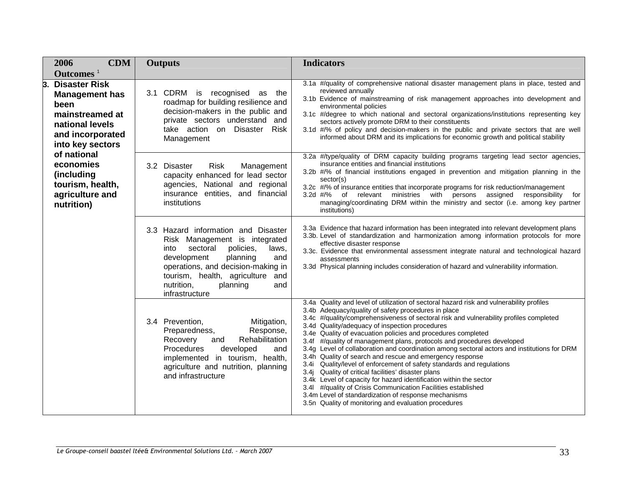| <b>CDM</b><br>2006                                                                                                                        | <b>Outputs</b>                                                                                                                                                                                                                                                                   | <b>Indicators</b>                                                                                                                                                                                                                                                                                                                                                                                                                                                                                                                                                                                                                                                                                                                                                                                                                                                                                                                                                                          |
|-------------------------------------------------------------------------------------------------------------------------------------------|----------------------------------------------------------------------------------------------------------------------------------------------------------------------------------------------------------------------------------------------------------------------------------|--------------------------------------------------------------------------------------------------------------------------------------------------------------------------------------------------------------------------------------------------------------------------------------------------------------------------------------------------------------------------------------------------------------------------------------------------------------------------------------------------------------------------------------------------------------------------------------------------------------------------------------------------------------------------------------------------------------------------------------------------------------------------------------------------------------------------------------------------------------------------------------------------------------------------------------------------------------------------------------------|
| Outcomes $1$                                                                                                                              |                                                                                                                                                                                                                                                                                  |                                                                                                                                                                                                                                                                                                                                                                                                                                                                                                                                                                                                                                                                                                                                                                                                                                                                                                                                                                                            |
| 3.<br><b>Disaster Risk</b><br><b>Management has</b><br>been<br>mainstreamed at<br>national levels<br>and incorporated<br>into key sectors | 3.1 CDRM is recognised as the<br>roadmap for building resilience and<br>decision-makers in the public and<br>private sectors understand and<br>take action on Disaster Risk<br>Management                                                                                        | 3.1a #/quality of comprehensive national disaster management plans in place, tested and<br>reviewed annually<br>3.1b Evidence of mainstreaming of risk management approaches into development and<br>environmental policies<br>3.1c #/degree to which national and sectoral organizations/institutions representing key<br>sectors actively promote DRM to their constituents<br>3.1d #/% of policy and decision-makers in the public and private sectors that are well<br>informed about DRM and its implications for economic growth and political stability                                                                                                                                                                                                                                                                                                                                                                                                                             |
| of national<br>economies<br>(including<br>tourism, health,<br>agriculture and<br>nutrition)                                               | 3.2<br><b>Disaster</b><br><b>Risk</b><br>Management<br>capacity enhanced for lead sector<br>agencies, National and regional<br>insurance entities, and financial<br>institutions                                                                                                 | 3.2a #/type/quality of DRM capacity building programs targeting lead sector agencies,<br>insurance entities and financial institutions<br>3.2b #/% of financial institutions engaged in prevention and mitigation planning in the<br>sector(s)<br>3.2c #/% of insurance entities that incorporate programs for risk reduction/management<br>3.2d #/% of relevant ministries with persons assigned<br>responsibility for<br>managing/coordinating DRM within the ministry and sector (i.e. among key partner<br>institutions)                                                                                                                                                                                                                                                                                                                                                                                                                                                               |
|                                                                                                                                           | 3.3 Hazard information and Disaster<br>Risk Management is integrated<br>policies,<br>into<br>sectoral<br>laws,<br>development<br>planning<br>and<br>operations, and decision-making in<br>tourism, health, agriculture<br>and<br>nutrition,<br>planning<br>and<br>infrastructure | 3.3a Evidence that hazard information has been integrated into relevant development plans<br>3.3b. Level of standardization and harmonization among information protocols for more<br>effective disaster response<br>3.3c. Evidence that environmental assessment integrate natural and technological hazard<br>assessments<br>3.3d Physical planning includes consideration of hazard and vulnerability information.                                                                                                                                                                                                                                                                                                                                                                                                                                                                                                                                                                      |
|                                                                                                                                           | 3.4 Prevention,<br>Mitigation,<br>Preparedness,<br>Response,<br>Rehabilitation<br>Recovery<br>and<br>Procedures<br>developed<br>and<br>implemented in tourism, health,<br>agriculture and nutrition, planning<br>and infrastructure                                              | 3.4a Quality and level of utilization of sectoral hazard risk and vulnerability profiles<br>3.4b Adequacy/quality of safety procedures in place<br>3.4c #/quality/comprehensiveness of sectoral risk and vulnerability profiles completed<br>3.4d Quality/adequacy of inspection procedures<br>3.4e Quality of evacuation policies and procedures completed<br>3.4f #/quality of management plans, protocols and procedures developed<br>3.4g Level of collaboration and coordination among sectoral actors and institutions for DRM<br>3.4h Quality of search and rescue and emergency response<br>Quality/level of enforcement of safety standards and regulations<br>3.4i<br>3.4j Quality of critical facilities' disaster plans<br>3.4k Level of capacity for hazard identification within the sector<br>3.41 #/quality of Crisis Communication Facilities established<br>3.4m Level of standardization of response mechanisms<br>3.5n Quality of monitoring and evaluation procedures |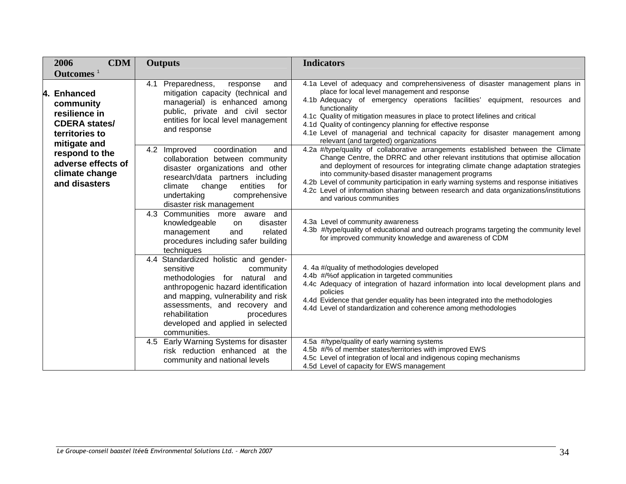|  | <b>CDM</b><br>2006                                                                                  | <b>Outputs</b>                                                                                                                                                                                                                                                                                          | <b>Indicators</b>                                                                                                                                                                                                                                                                                                                                                                                                                                                                                                              |
|--|-----------------------------------------------------------------------------------------------------|---------------------------------------------------------------------------------------------------------------------------------------------------------------------------------------------------------------------------------------------------------------------------------------------------------|--------------------------------------------------------------------------------------------------------------------------------------------------------------------------------------------------------------------------------------------------------------------------------------------------------------------------------------------------------------------------------------------------------------------------------------------------------------------------------------------------------------------------------|
|  | Outcomes <sup>1</sup>                                                                               |                                                                                                                                                                                                                                                                                                         |                                                                                                                                                                                                                                                                                                                                                                                                                                                                                                                                |
|  | 4. Enhanced<br>community<br>resilience in<br><b>CDERA</b> states/<br>territories to<br>mitigate and | 4.1 Preparedness,<br>response<br>and<br>mitigation capacity (technical and<br>managerial) is enhanced among<br>public, private and civil sector<br>entities for local level management<br>and response                                                                                                  | 4.1a Level of adequacy and comprehensiveness of disaster management plans in<br>place for local level management and response<br>4.1b Adequacy of emergency operations facilities' equipment, resources and<br>functionality<br>4.1c Quality of mitigation measures in place to protect lifelines and critical<br>4.1d Quality of contingency planning for effective response<br>4.1e Level of managerial and technical capacity for disaster management among<br>relevant (and targeted) organizations                        |
|  | respond to the<br>adverse effects of<br>climate change<br>and disasters                             | coordination<br>Improved<br>4.2<br>and<br>collaboration between community<br>disaster organizations and other<br>research/data partners including<br>climate<br>change<br>entities<br>for<br>undertaking<br>comprehensive<br>disaster risk management                                                   | 4.2a #/type/quality of collaborative arrangements established between the Climate<br>Change Centre, the DRRC and other relevant institutions that optimise allocation<br>and deployment of resources for integrating climate change adaptation strategies<br>into community-based disaster management programs<br>4.2b Level of community participation in early warning systems and response initiatives<br>4.2c Level of information sharing between research and data organizations/institutions<br>and various communities |
|  |                                                                                                     | $\overline{4.3}$ Communities more aware and<br>knowledgeable<br>disaster<br>on<br>related<br>management<br>and<br>procedures including safer building<br>techniques                                                                                                                                     | 4.3a Level of community awareness<br>4.3b #/type/quality of educational and outreach programs targeting the community level<br>for improved community knowledge and awareness of CDM                                                                                                                                                                                                                                                                                                                                           |
|  |                                                                                                     | Standardized holistic and gender-<br>4.4<br>sensitive<br>community<br>methodologies for natural and<br>anthropogenic hazard identification<br>and mapping, vulnerability and risk<br>assessments, and recovery and<br>rehabilitation<br>procedures<br>developed and applied in selected<br>communities. | 4. 4a #/quality of methodologies developed<br>4.4b #/% of application in targeted communities<br>4.4c Adequacy of integration of hazard information into local development plans and<br>policies<br>4.4d Evidence that gender equality has been integrated into the methodologies<br>4.4d Level of standardization and coherence among methodologies                                                                                                                                                                           |
|  |                                                                                                     | Early Warning Systems for disaster<br>4.5<br>risk reduction enhanced at the<br>community and national levels                                                                                                                                                                                            | 4.5a #/type/quality of early warning systems<br>4.5b #/% of member states/territories with improved EWS<br>4.5c Level of integration of local and indigenous coping mechanisms<br>4.5d Level of capacity for EWS management                                                                                                                                                                                                                                                                                                    |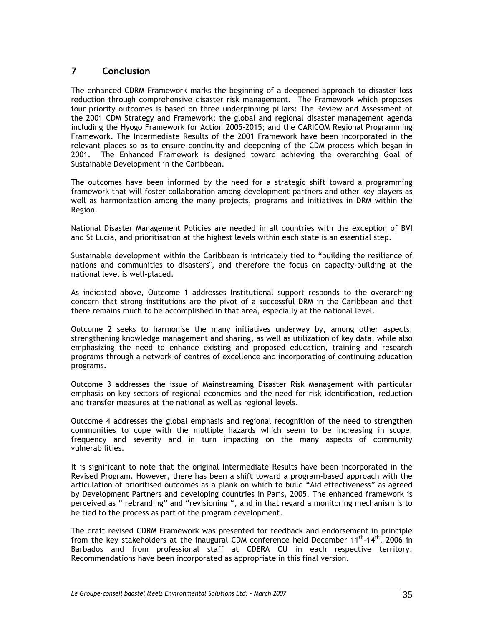# **7 Conclusion**

The enhanced CDRM Framework marks the beginning of a deepened approach to disaster loss reduction through comprehensive disaster risk management. The Framework which proposes four priority outcomes is based on three underpinning pillars: The Review and Assessment of the 2001 CDM Strategy and Framework; the global and regional disaster management agenda including the Hyogo Framework for Action 2005-2015; and the CARICOM Regional Programming Framework. The Intermediate Results of the 2001 Framework have been incorporated in the relevant places so as to ensure continuity and deepening of the CDM process which began in 2001. The Enhanced Framework is designed toward achieving the overarching Goal of Sustainable Development in the Caribbean.

The outcomes have been informed by the need for a strategic shift toward a programming framework that will foster collaboration among development partners and other key players as well as harmonization among the many projects, programs and initiatives in DRM within the Region.

National Disaster Management Policies are needed in all countries with the exception of BVI and St Lucia, and prioritisation at the highest levels within each state is an essential step.

Sustainable development within the Caribbean is intricately tied to "building the resilience of nations and communities to disasters", and therefore the focus on capacity-building at the national level is well-placed.

As indicated above, Outcome 1 addresses Institutional support responds to the overarching concern that strong institutions are the pivot of a successful DRM in the Caribbean and that there remains much to be accomplished in that area, especially at the national level.

Outcome 2 seeks to harmonise the many initiatives underway by, among other aspects, strengthening knowledge management and sharing, as well as utilization of key data, while also emphasizing the need to enhance existing and proposed education, training and research programs through a network of centres of excellence and incorporating of continuing education programs.

Outcome 3 addresses the issue of Mainstreaming Disaster Risk Management with particular emphasis on key sectors of regional economies and the need for risk identification, reduction and transfer measures at the national as well as regional levels.

Outcome 4 addresses the global emphasis and regional recognition of the need to strengthen communities to cope with the multiple hazards which seem to be increasing in scope, frequency and severity and in turn impacting on the many aspects of community vulnerabilities.

It is significant to note that the original Intermediate Results have been incorporated in the Revised Program. However, there has been a shift toward a program-based approach with the articulation of prioritised outcomes as a plank on which to build "Aid effectiveness" as agreed by Development Partners and developing countries in Paris, 2005. The enhanced framework is perceived as " rebranding" and "revisioning ", and in that regard a monitoring mechanism is to be tied to the process as part of the program development.

The draft revised CDRM Framework was presented for feedback and endorsement in principle from the key stakeholders at the inaugural CDM conference held December  $11<sup>th</sup>·14<sup>th</sup>$ , 2006 in Barbados and from professional staff at CDERA CU in each respective territory. Recommendations have been incorporated as appropriate in this final version.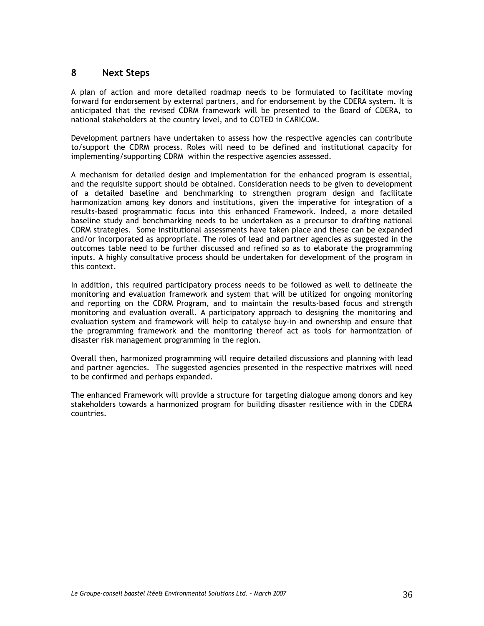# **8 Next Steps**

A plan of action and more detailed roadmap needs to be formulated to facilitate moving forward for endorsement by external partners, and for endorsement by the CDERA system. It is anticipated that the revised CDRM framework will be presented to the Board of CDERA, to national stakeholders at the country level, and to COTED in CARICOM.

Development partners have undertaken to assess how the respective agencies can contribute to/support the CDRM process. Roles will need to be defined and institutional capacity for implementing/supporting CDRM within the respective agencies assessed.

A mechanism for detailed design and implementation for the enhanced program is essential, and the requisite support should be obtained. Consideration needs to be given to development of a detailed baseline and benchmarking to strengthen program design and facilitate harmonization among key donors and institutions, given the imperative for integration of a results-based programmatic focus into this enhanced Framework. Indeed, a more detailed baseline study and benchmarking needs to be undertaken as a precursor to drafting national CDRM strategies. Some institutional assessments have taken place and these can be expanded and/or incorporated as appropriate. The roles of lead and partner agencies as suggested in the outcomes table need to be further discussed and refined so as to elaborate the programming inputs. A highly consultative process should be undertaken for development of the program in this context.

In addition, this required participatory process needs to be followed as well to delineate the monitoring and evaluation framework and system that will be utilized for ongoing monitoring and reporting on the CDRM Program, and to maintain the results-based focus and strength monitoring and evaluation overall. A participatory approach to designing the monitoring and evaluation system and framework will help to catalyse buy-in and ownership and ensure that the programming framework and the monitoring thereof act as tools for harmonization of disaster risk management programming in the region.

Overall then, harmonized programming will require detailed discussions and planning with lead and partner agencies. The suggested agencies presented in the respective matrixes will need to be confirmed and perhaps expanded.

The enhanced Framework will provide a structure for targeting dialogue among donors and key stakeholders towards a harmonized program for building disaster resilience with in the CDERA countries.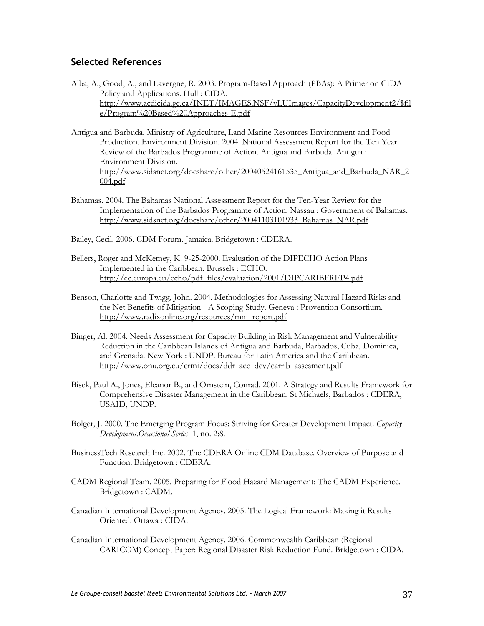# **Selected References**

- Alba, A., Good, A., and Lavergne, R. 2003. Program-Based Approach (PBAs): A Primer on CIDA Policy and Applications. Hull : CIDA. http://www.acdicida.gc.ca/INET/IMAGES.NSF/vLUImages/CapacityDevelopment2/\$fil e/Program%20Based%20Approaches-E.pdf
- Antigua and Barbuda. Ministry of Agriculture, Land Marine Resources Environment and Food Production. Environment Division. 2004. National Assessment Report for the Ten Year Review of the Barbados Programme of Action. Antigua and Barbuda. Antigua : Environment Division. http://www.sidsnet.org/docshare/other/20040524161535\_Antigua\_and\_Barbuda\_NAR\_2 004.pdf
- Bahamas. 2004. The Bahamas National Assessment Report for the Ten-Year Review for the Implementation of the Barbados Programme of Action. Nassau : Government of Bahamas. http://www.sidsnet.org/docshare/other/20041103101933\_Bahamas\_NAR.pdf
- Bailey, Cecil. 2006. CDM Forum. Jamaica. Bridgetown : CDERA.
- Bellers, Roger and McKemey, K. 9-25-2000. Evaluation of the DIPECHO Action Plans Implemented in the Caribbean. Brussels : ECHO. http://ec.europa.eu/echo/pdf\_files/evaluation/2001/DIPCARIBFREP4.pdf
- Benson, Charlotte and Twigg, John. 2004. Methodologies for Assessing Natural Hazard Risks and the Net Benefits of Mitigation - A Scoping Study. Geneva : Provention Consortium. http://www.radixonline.org/resources/mm\_report.pdf
- Binger, Al. 2004. Needs Assessment for Capacity Building in Risk Management and Vulnerability Reduction in the Caribbean Islands of Antigua and Barbuda, Barbados, Cuba, Dominica, and Grenada. New York : UNDP. Bureau for Latin America and the Caribbean. http://www.onu.org.cu/crmi/docs/ddr\_acc\_dev/carrib\_assesment.pdf
- Bisek, Paul A., Jones, Eleanor B., and Ornstein, Conrad. 2001. A Strategy and Results Framework for Comprehensive Disaster Management in the Caribbean. St Michaels, Barbados : CDERA, USAID, UNDP.
- Bolger, J. 2000. The Emerging Program Focus: Striving for Greater Development Impact. *Capacity Development.Occasional Series* 1, no. 2:8.
- BusinessTech Research Inc. 2002. The CDERA Online CDM Database. Overview of Purpose and Function. Bridgetown : CDERA.
- CADM Regional Team. 2005. Preparing for Flood Hazard Management: The CADM Experience. Bridgetown : CADM.
- Canadian International Development Agency. 2005. The Logical Framework: Making it Results Oriented. Ottawa : CIDA.
- Canadian International Development Agency. 2006. Commonwealth Caribbean (Regional CARICOM) Concept Paper: Regional Disaster Risk Reduction Fund. Bridgetown : CIDA.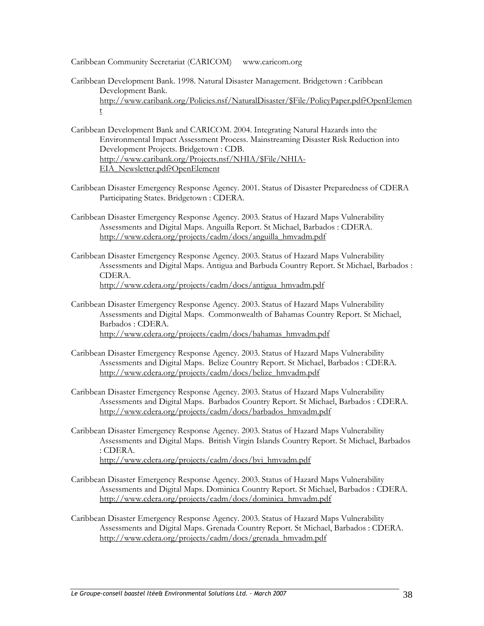Caribbean Community Secretariat (CARICOM) www.caricom.org

- Caribbean Development Bank. 1998. Natural Disaster Management. Bridgetown : Caribbean Development Bank. http://www.caribank.org/Policies.nsf/NaturalDisaster/\$File/PolicyPaper.pdf?OpenElemen t
- Caribbean Development Bank and CARICOM. 2004. Integrating Natural Hazards into the Environmental Impact Assessment Process. Mainstreaming Disaster Risk Reduction into Development Projects. Bridgetown : CDB. http://www.caribank.org/Projects.nsf/NHIA/\$File/NHIA-EIA\_Newsletter.pdf?OpenElement
- Caribbean Disaster Emergency Response Agency. 2001. Status of Disaster Preparedness of CDERA Participating States. Bridgetown : CDERA.
- Caribbean Disaster Emergency Response Agency. 2003. Status of Hazard Maps Vulnerability Assessments and Digital Maps. Anguilla Report. St Michael, Barbados : CDERA. http://www.cdera.org/projects/cadm/docs/anguilla\_hmvadm.pdf
- Caribbean Disaster Emergency Response Agency. 2003. Status of Hazard Maps Vulnerability Assessments and Digital Maps. Antigua and Barbuda Country Report. St Michael, Barbados : CDERA. http://www.cdera.org/projects/cadm/docs/antigua\_hmvadm.pdf
- Caribbean Disaster Emergency Response Agency. 2003. Status of Hazard Maps Vulnerability Assessments and Digital Maps. Commonwealth of Bahamas Country Report. St Michael, Barbados : CDERA. http://www.cdera.org/projects/cadm/docs/bahamas\_hmvadm.pdf
- Caribbean Disaster Emergency Response Agency. 2003. Status of Hazard Maps Vulnerability Assessments and Digital Maps. Belize Country Report. St Michael, Barbados : CDERA. http://www.cdera.org/projects/cadm/docs/belize\_hmvadm.pdf
- Caribbean Disaster Emergency Response Agency. 2003. Status of Hazard Maps Vulnerability Assessments and Digital Maps. Barbados Country Report. St Michael, Barbados : CDERA. http://www.cdera.org/projects/cadm/docs/barbados\_hmvadm.pdf
- Caribbean Disaster Emergency Response Agency. 2003. Status of Hazard Maps Vulnerability Assessments and Digital Maps. British Virgin Islands Country Report. St Michael, Barbados : CDERA. http://www.cdera.org/projects/cadm/docs/bvi\_hmvadm.pdf
- Caribbean Disaster Emergency Response Agency. 2003. Status of Hazard Maps Vulnerability Assessments and Digital Maps. Dominica Country Report. St Michael, Barbados : CDERA. http://www.cdera.org/projects/cadm/docs/dominica\_hmvadm.pdf
- Caribbean Disaster Emergency Response Agency. 2003. Status of Hazard Maps Vulnerability Assessments and Digital Maps. Grenada Country Report. St Michael, Barbados : CDERA. http://www.cdera.org/projects/cadm/docs/grenada\_hmvadm.pdf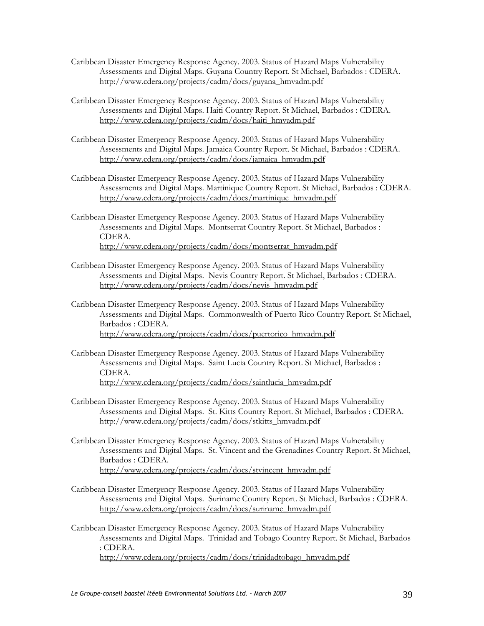- Caribbean Disaster Emergency Response Agency. 2003. Status of Hazard Maps Vulnerability Assessments and Digital Maps. Guyana Country Report. St Michael, Barbados : CDERA. http://www.cdera.org/projects/cadm/docs/guyana\_hmvadm.pdf
- Caribbean Disaster Emergency Response Agency. 2003. Status of Hazard Maps Vulnerability Assessments and Digital Maps. Haiti Country Report. St Michael, Barbados : CDERA. http://www.cdera.org/projects/cadm/docs/haiti\_hmvadm.pdf
- Caribbean Disaster Emergency Response Agency. 2003. Status of Hazard Maps Vulnerability Assessments and Digital Maps. Jamaica Country Report. St Michael, Barbados : CDERA. http://www.cdera.org/projects/cadm/docs/jamaica\_hmvadm.pdf
- Caribbean Disaster Emergency Response Agency. 2003. Status of Hazard Maps Vulnerability Assessments and Digital Maps. Martinique Country Report. St Michael, Barbados : CDERA. http://www.cdera.org/projects/cadm/docs/martinique\_hmvadm.pdf
- Caribbean Disaster Emergency Response Agency. 2003. Status of Hazard Maps Vulnerability Assessments and Digital Maps. Montserrat Country Report. St Michael, Barbados : CDERA. http://www.cdera.org/projects/cadm/docs/montserrat\_hmvadm.pdf
- Caribbean Disaster Emergency Response Agency. 2003. Status of Hazard Maps Vulnerability Assessments and Digital Maps. Nevis Country Report. St Michael, Barbados : CDERA. http://www.cdera.org/projects/cadm/docs/nevis\_hmvadm.pdf
- Caribbean Disaster Emergency Response Agency. 2003. Status of Hazard Maps Vulnerability Assessments and Digital Maps. Commonwealth of Puerto Rico Country Report. St Michael, Barbados : CDERA. http://www.cdera.org/projects/cadm/docs/puertorico\_hmvadm.pdf
- Caribbean Disaster Emergency Response Agency. 2003. Status of Hazard Maps Vulnerability Assessments and Digital Maps. Saint Lucia Country Report. St Michael, Barbados : CDERA. http://www.cdera.org/projects/cadm/docs/saintlucia\_hmvadm.pdf
- Caribbean Disaster Emergency Response Agency. 2003. Status of Hazard Maps Vulnerability Assessments and Digital Maps. St. Kitts Country Report. St Michael, Barbados : CDERA. http://www.cdera.org/projects/cadm/docs/stkitts\_hmvadm.pdf
- Caribbean Disaster Emergency Response Agency. 2003. Status of Hazard Maps Vulnerability Assessments and Digital Maps. St. Vincent and the Grenadines Country Report. St Michael, Barbados : CDERA. http://www.cdera.org/projects/cadm/docs/stvincent\_hmvadm.pdf
- Caribbean Disaster Emergency Response Agency. 2003. Status of Hazard Maps Vulnerability Assessments and Digital Maps. Suriname Country Report. St Michael, Barbados : CDERA. http://www.cdera.org/projects/cadm/docs/suriname\_hmvadm.pdf
- Caribbean Disaster Emergency Response Agency. 2003. Status of Hazard Maps Vulnerability Assessments and Digital Maps. Trinidad and Tobago Country Report. St Michael, Barbados : CDERA. http://www.cdera.org/projects/cadm/docs/trinidadtobago\_hmvadm.pdf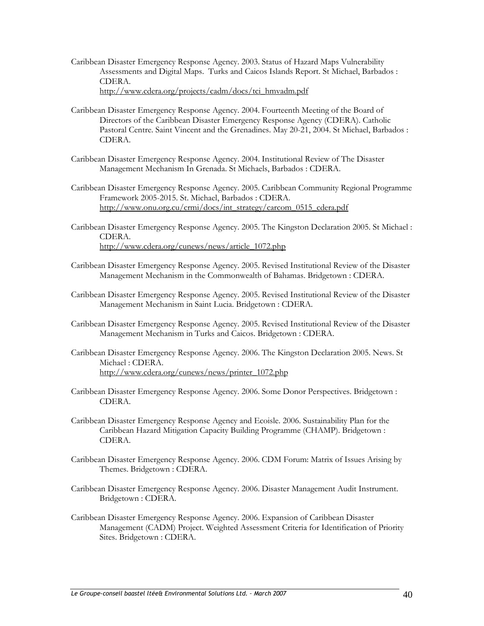- Caribbean Disaster Emergency Response Agency. 2003. Status of Hazard Maps Vulnerability Assessments and Digital Maps. Turks and Caicos Islands Report. St Michael, Barbados : CDERA. http://www.cdera.org/projects/cadm/docs/tci\_hmvadm.pdf
- Caribbean Disaster Emergency Response Agency. 2004. Fourteenth Meeting of the Board of Directors of the Caribbean Disaster Emergency Response Agency (CDERA). Catholic Pastoral Centre. Saint Vincent and the Grenadines. May 20-21, 2004. St Michael, Barbados : CDERA.
- Caribbean Disaster Emergency Response Agency. 2004. Institutional Review of The Disaster Management Mechanism In Grenada. St Michaels, Barbados : CDERA.
- Caribbean Disaster Emergency Response Agency. 2005. Caribbean Community Regional Programme Framework 2005-2015. St. Michael, Barbados : CDERA. http://www.onu.org.cu/crmi/docs/int\_strategy/carcom\_0515\_cdera.pdf
- Caribbean Disaster Emergency Response Agency. 2005. The Kingston Declaration 2005. St Michael : CDERA. http://www.cdera.org/cunews/news/article\_1072.php
- Caribbean Disaster Emergency Response Agency. 2005. Revised Institutional Review of the Disaster Management Mechanism in the Commonwealth of Bahamas. Bridgetown : CDERA.
- Caribbean Disaster Emergency Response Agency. 2005. Revised Institutional Review of the Disaster Management Mechanism in Saint Lucia. Bridgetown : CDERA.
- Caribbean Disaster Emergency Response Agency. 2005. Revised Institutional Review of the Disaster Management Mechanism in Turks and Caicos. Bridgetown : CDERA.
- Caribbean Disaster Emergency Response Agency. 2006. The Kingston Declaration 2005. News. St Michael : CDERA. http://www.cdera.org/cunews/news/printer\_1072.php
- Caribbean Disaster Emergency Response Agency. 2006. Some Donor Perspectives. Bridgetown : CDERA.
- Caribbean Disaster Emergency Response Agency and Ecoisle. 2006. Sustainability Plan for the Caribbean Hazard Mitigation Capacity Building Programme (CHAMP). Bridgetown : CDERA.
- Caribbean Disaster Emergency Response Agency. 2006. CDM Forum: Matrix of Issues Arising by Themes. Bridgetown : CDERA.
- Caribbean Disaster Emergency Response Agency. 2006. Disaster Management Audit Instrument. Bridgetown : CDERA.
- Caribbean Disaster Emergency Response Agency. 2006. Expansion of Caribbean Disaster Management (CADM) Project. Weighted Assessment Criteria for Identification of Priority Sites. Bridgetown : CDERA.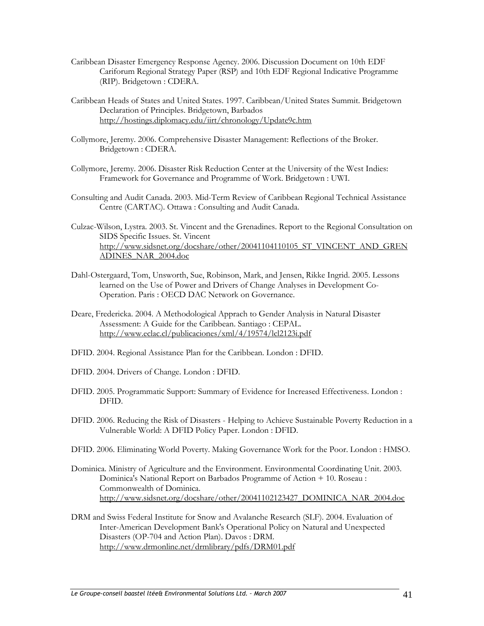- Caribbean Disaster Emergency Response Agency. 2006. Discussion Document on 10th EDF Cariforum Regional Strategy Paper (RSP) and 10th EDF Regional Indicative Programme (RIP). Bridgetown : CDERA.
- Caribbean Heads of States and United States. 1997. Caribbean/United States Summit. Bridgetown Declaration of Principles. Bridgetown, Barbados http://hostings.diplomacy.edu/iirt/chronology/Update9c.htm
- Collymore, Jeremy. 2006. Comprehensive Disaster Management: Reflections of the Broker. Bridgetown : CDERA.
- Collymore, Jeremy. 2006. Disaster Risk Reduction Center at the University of the West Indies: Framework for Governance and Programme of Work. Bridgetown : UWI.
- Consulting and Audit Canada. 2003. Mid-Term Review of Caribbean Regional Technical Assistance Centre (CARTAC). Ottawa : Consulting and Audit Canada.
- Culzac-Wilson, Lystra. 2003. St. Vincent and the Grenadines. Report to the Regional Consultation on SIDS Specific Issues. St. Vincent http://www.sidsnet.org/docshare/other/20041104110105\_ST\_VINCENT\_AND\_GREN ADINES\_NAR\_2004.doc
- Dahl-Ostergaard, Tom, Unsworth, Sue, Robinson, Mark, and Jensen, Rikke Ingrid. 2005. Lessons learned on the Use of Power and Drivers of Change Analyses in Development Co-Operation. Paris : OECD DAC Network on Governance.
- Deare, Fredericka. 2004. A Methodological Apprach to Gender Analysis in Natural Disaster Assessment: A Guide for the Caribbean. Santiago : CEPAL. http://www.eclac.cl/publicaciones/xml/4/19574/lcl2123i.pdf
- DFID. 2004. Regional Assistance Plan for the Caribbean. London : DFID.
- DFID. 2004. Drivers of Change. London : DFID.
- DFID. 2005. Programmatic Support: Summary of Evidence for Increased Effectiveness. London : DFID.
- DFID. 2006. Reducing the Risk of Disasters Helping to Achieve Sustainable Poverty Reduction in a Vulnerable World: A DFID Policy Paper. London : DFID.
- DFID. 2006. Eliminating World Poverty. Making Governance Work for the Poor. London : HMSO.
- Dominica. Ministry of Agriculture and the Environment. Environmental Coordinating Unit. 2003. Dominica's National Report on Barbados Programme of Action + 10. Roseau : Commonwealth of Dominica. http://www.sidsnet.org/docshare/other/20041102123427\_DOMINICA\_NAR\_2004.doc
- DRM and Swiss Federal Institute for Snow and Avalanche Research (SLF). 2004. Evaluation of Inter-American Development Bank's Operational Policy on Natural and Unexpected Disasters (OP-704 and Action Plan). Davos : DRM. http://www.drmonline.net/drmlibrary/pdfs/DRM01.pdf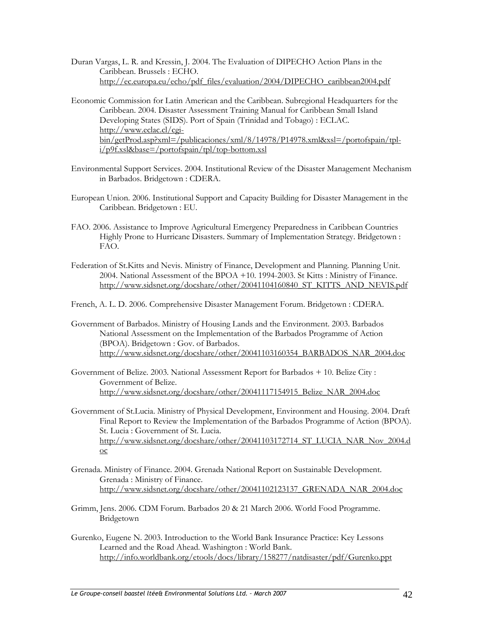Duran Vargas, L. R. and Kressin, J. 2004. The Evaluation of DIPECHO Action Plans in the Caribbean. Brussels : ECHO. http://ec.europa.eu/echo/pdf\_files/evaluation/2004/DIPECHO\_caribbean2004.pdf

Economic Commission for Latin American and the Caribbean. Subregional Headquarters for the Caribbean. 2004. Disaster Assessment Training Manual for Caribbean Small Island Developing States (SIDS). Port of Spain (Trinidad and Tobago) : ECLAC. http://www.eclac.cl/cgibin/getProd.asp?xml=/publicaciones/xml/8/14978/P14978.xml&xsl=/portofspain/tpli/p9f.xsl&base=/portofspain/tpl/top-bottom.xsl

- Environmental Support Services. 2004. Institutional Review of the Disaster Management Mechanism in Barbados. Bridgetown : CDERA.
- European Union. 2006. Institutional Support and Capacity Building for Disaster Management in the Caribbean. Bridgetown : EU.
- FAO. 2006. Assistance to Improve Agricultural Emergency Preparedness in Caribbean Countries Highly Prone to Hurricane Disasters. Summary of Implementation Strategy. Bridgetown : FAO.
- Federation of St.Kitts and Nevis. Ministry of Finance, Development and Planning. Planning Unit. 2004. National Assessment of the BPOA +10. 1994-2003. St Kitts : Ministry of Finance. http://www.sidsnet.org/docshare/other/20041104160840\_ST\_KITTS\_AND\_NEVIS.pdf

French, A. L. D. 2006. Comprehensive Disaster Management Forum. Bridgetown : CDERA.

- Government of Barbados. Ministry of Housing Lands and the Environment. 2003. Barbados National Assessment on the Implementation of the Barbados Programme of Action (BPOA). Bridgetown : Gov. of Barbados. http://www.sidsnet.org/docshare/other/20041103160354\_BARBADOS\_NAR\_2004.doc
- Government of Belize. 2003. National Assessment Report for Barbados + 10. Belize City : Government of Belize. http://www.sidsnet.org/docshare/other/20041117154915\_Belize\_NAR\_2004.doc
- Government of St.Lucia. Ministry of Physical Development, Environment and Housing. 2004. Draft Final Report to Review the Implementation of the Barbados Programme of Action (BPOA). St. Lucia : Government of St. Lucia. http://www.sidsnet.org/docshare/other/20041103172714\_ST\_LUCIA\_NAR\_Nov\_2004.d oc
- Grenada. Ministry of Finance. 2004. Grenada National Report on Sustainable Development. Grenada : Ministry of Finance. http://www.sidsnet.org/docshare/other/20041102123137\_GRENADA\_NAR\_2004.doc
- Grimm, Jens. 2006. CDM Forum. Barbados 20 & 21 March 2006. World Food Programme. Bridgetown
- Gurenko, Eugene N. 2003. Introduction to the World Bank Insurance Practice: Key Lessons Learned and the Road Ahead. Washington : World Bank. http://info.worldbank.org/etools/docs/library/158277/natdisaster/pdf/Gurenko.ppt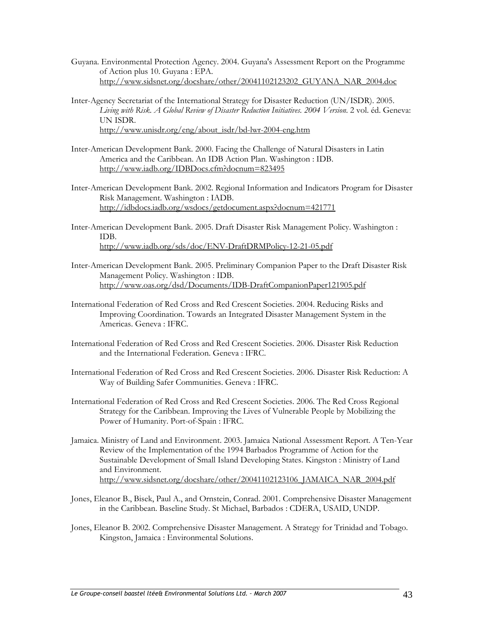- Guyana. Environmental Protection Agency. 2004. Guyana's Assessment Report on the Programme of Action plus 10. Guyana : EPA. http://www.sidsnet.org/docshare/other/20041102123202\_GUYANA\_NAR\_2004.doc
- Inter-Agency Secretariat of the International Strategy for Disaster Reduction (UN/ISDR). 2005. *Living with Risk. A Global Review of Disaster Reduction Initiatives. 2004 Version*. 2 vol. éd. Geneva: UN ISDR. http://www.unisdr.org/eng/about\_isdr/bd-lwr-2004-eng.htm
- Inter-American Development Bank. 2000. Facing the Challenge of Natural Disasters in Latin America and the Caribbean. An IDB Action Plan. Washington : IDB. http://www.iadb.org/IDBDocs.cfm?docnum=823495
- Inter-American Development Bank. 2002. Regional Information and Indicators Program for Disaster Risk Management. Washington : IADB. http://idbdocs.iadb.org/wsdocs/getdocument.aspx?docnum=421771
- Inter-American Development Bank. 2005. Draft Disaster Risk Management Policy. Washington : IDB. http://www.iadb.org/sds/doc/ENV-DraftDRMPolicy-12-21-05.pdf
- Inter-American Development Bank. 2005. Preliminary Companion Paper to the Draft Disaster Risk Management Policy. Washington : IDB. http://www.oas.org/dsd/Documents/IDB-DraftCompanionPaper121905.pdf
- International Federation of Red Cross and Red Crescent Societies. 2004. Reducing Risks and Improving Coordination. Towards an Integrated Disaster Management System in the Americas. Geneva : IFRC.
- International Federation of Red Cross and Red Crescent Societies. 2006. Disaster Risk Reduction and the International Federation. Geneva : IFRC.
- International Federation of Red Cross and Red Crescent Societies. 2006. Disaster Risk Reduction: A Way of Building Safer Communities. Geneva : IFRC.
- International Federation of Red Cross and Red Crescent Societies. 2006. The Red Cross Regional Strategy for the Caribbean. Improving the Lives of Vulnerable People by Mobilizing the Power of Humanity. Port-of-Spain : IFRC.
- Jamaica. Ministry of Land and Environment. 2003. Jamaica National Assessment Report. A Ten-Year Review of the Implementation of the 1994 Barbados Programme of Action for the Sustainable Development of Small Island Developing States. Kingston : Ministry of Land and Environment. http://www.sidsnet.org/docshare/other/20041102123106\_JAMAICA\_NAR\_2004.pdf
- Jones, Eleanor B., Bisek, Paul A., and Ornstein, Conrad. 2001. Comprehensive Disaster Management in the Caribbean. Baseline Study. St Michael, Barbados : CDERA, USAID, UNDP.
- Jones, Eleanor B. 2002. Comprehensive Disaster Management. A Strategy for Trinidad and Tobago. Kingston, Jamaica : Environmental Solutions.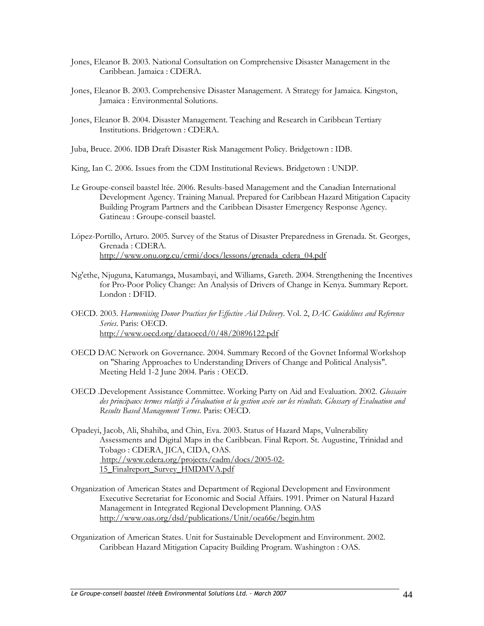- Jones, Eleanor B. 2003. National Consultation on Comprehensive Disaster Management in the Caribbean. Jamaica : CDERA.
- Jones, Eleanor B. 2003. Comprehensive Disaster Management. A Strategy for Jamaica. Kingston, Jamaica : Environmental Solutions.
- Jones, Eleanor B. 2004. Disaster Management. Teaching and Research in Caribbean Tertiary Institutions. Bridgetown : CDERA.
- Juba, Bruce. 2006. IDB Draft Disaster Risk Management Policy. Bridgetown : IDB.
- King, Ian C. 2006. Issues from the CDM Institutional Reviews. Bridgetown : UNDP.
- Le Groupe-conseil baastel ltée. 2006. Results-based Management and the Canadian International Development Agency. Training Manual. Prepared for Caribbean Hazard Mitigation Capacity Building Program Partners and the Caribbean Disaster Emergency Response Agency. Gatineau : Groupe-conseil baastel.
- López-Portillo, Arturo. 2005. Survey of the Status of Disaster Preparedness in Grenada. St. Georges, Grenada : CDERA. http://www.onu.org.cu/crmi/docs/lessons/grenada\_cdera\_04.pdf
- Ng'ethe, Njuguna, Katumanga, Musambayi, and Williams, Gareth. 2004. Strengthening the Incentives for Pro-Poor Policy Change: An Analysis of Drivers of Change in Kenya. Summary Report. London : DFID.
- OECD. 2003. *Harmonising Donor Practices for Effective Aid Delivery*. Vol. 2, *DAC Guidelines and Reference Series*. Paris: OECD. http://www.oecd.org/dataoecd/0/48/20896122.pdf
- OECD DAC Network on Governance. 2004. Summary Record of the Govnet Informal Workshop on "Sharing Approaches to Understanding Drivers of Change and Political Analysis". Meeting Held 1-2 June 2004. Paris : OECD.
- OECD .Development Assistance Committee. Working Party on Aid and Evaluation. 2002. *Glossaire des principaux termes relatifs à l'évaluation et la gestion axée sur les résultats. Glossary of Evaluation and Results Based Management Terms*. Paris: OECD.
- Opadeyi, Jacob, Ali, Shahiba, and Chin, Eva. 2003. Status of Hazard Maps, Vulnerability Assessments and Digital Maps in the Caribbean. Final Report. St. Augustine, Trinidad and Tobago : CDERA, JICA, CIDA, OAS. http://www.cdera.org/projects/cadm/docs/2005-02- 15\_Finalreport\_Survey\_HMDMVA.pdf
- Organization of American States and Department of Regional Development and Environment Executive Secretariat for Economic and Social Affairs. 1991. Primer on Natural Hazard Management in Integrated Regional Development Planning. OAS http://www.oas.org/dsd/publications/Unit/oea66e/begin.htm
- Organization of American States. Unit for Sustainable Development and Environment. 2002. Caribbean Hazard Mitigation Capacity Building Program. Washington : OAS.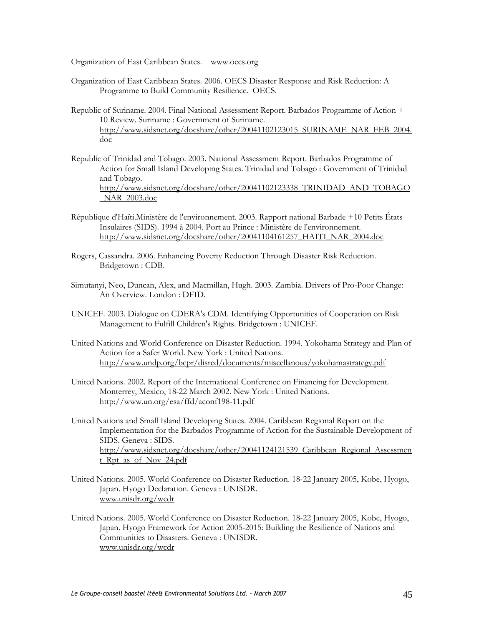Organization of East Caribbean States. www.oecs.org

- Organization of East Caribbean States. 2006. OECS Disaster Response and Risk Reduction: A Programme to Build Community Resilience. OECS.
- Republic of Suriname. 2004. Final National Assessment Report. Barbados Programme of Action + 10 Review. Suriname : Government of Suriname. http://www.sidsnet.org/docshare/other/20041102123015\_SURINAME\_NAR\_FEB\_2004. doc
- Republic of Trinidad and Tobago. 2003. National Assessment Report. Barbados Programme of Action for Small Island Developing States. Trinidad and Tobago : Government of Trinidad and Tobago. http://www.sidsnet.org/docshare/other/20041102123338\_TRINIDAD\_AND\_TOBAGO \_NAR\_2003.doc
- République d'Haïti.Ministère de l'environnement. 2003. Rapport national Barbade +10 Petits États Insulaires (SIDS). 1994 à 2004. Port au Prince : Ministère de l'environnement. http://www.sidsnet.org/docshare/other/20041104161257\_HAITI\_NAR\_2004.doc
- Rogers, Cassandra. 2006. Enhancing Poverty Reduction Through Disaster Risk Reduction. Bridgetown : CDB.
- Simutanyi, Neo, Duncan, Alex, and Macmillan, Hugh. 2003. Zambia. Drivers of Pro-Poor Change: An Overview. London : DFID.
- UNICEF. 2003. Dialogue on CDERA's CDM. Identifying Opportunities of Cooperation on Risk Management to Fulfill Children's Rights. Bridgetown : UNICEF.
- United Nations and World Conference on Disaster Reduction. 1994. Yokohama Strategy and Plan of Action for a Safer World. New York : United Nations. http://www.undp.org/bcpr/disred/documents/miscellanous/yokohamastrategy.pdf
- United Nations. 2002. Report of the International Conference on Financing for Development. Monterrey, Mexico, 18-22 March 2002. New York : United Nations. http://www.un.org/esa/ffd/aconf198-11.pdf
- United Nations and Small Island Developing States. 2004. Caribbean Regional Report on the Implementation for the Barbados Programme of Action for the Sustainable Development of SIDS. Geneva : SIDS. http://www.sidsnet.org/docshare/other/20041124121539\_Caribbean\_Regional\_Assessmen t\_Rpt\_as\_of\_Nov\_24.pdf
- United Nations. 2005. World Conference on Disaster Reduction. 18-22 January 2005, Kobe, Hyogo, Japan. Hyogo Declaration. Geneva : UNISDR. www.unisdr.org/wcdr
- United Nations. 2005. World Conference on Disaster Reduction. 18-22 January 2005, Kobe, Hyogo, Japan. Hyogo Framework for Action 2005-2015: Building the Resilience of Nations and Communities to Disasters. Geneva : UNISDR. www.unisdr.org/wcdr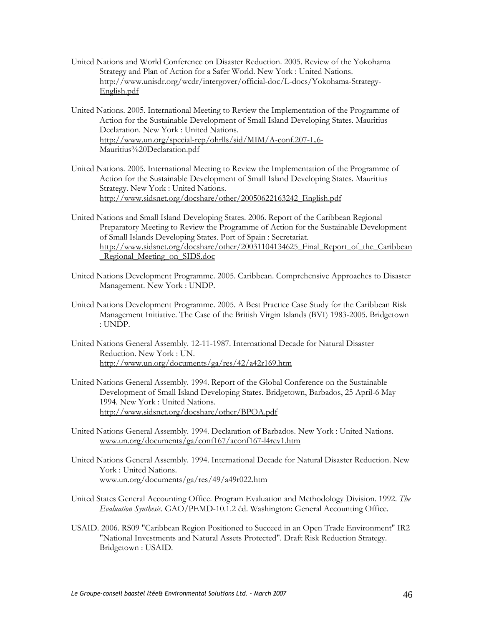- United Nations and World Conference on Disaster Reduction. 2005. Review of the Yokohama Strategy and Plan of Action for a Safer World. New York : United Nations. http://www.unisdr.org/wcdr/intergover/official-doc/L-docs/Yokohama-Strategy-English.pdf
- United Nations. 2005. International Meeting to Review the Implementation of the Programme of Action for the Sustainable Development of Small Island Developing States. Mauritius Declaration. New York : United Nations. http://www.un.org/special-rep/ohrlls/sid/MIM/A-conf.207-L.6- Mauritius%20Declaration.pdf
- United Nations. 2005. International Meeting to Review the Implementation of the Programme of Action for the Sustainable Development of Small Island Developing States. Mauritius Strategy. New York : United Nations. http://www.sidsnet.org/docshare/other/20050622163242\_English.pdf
- United Nations and Small Island Developing States. 2006. Report of the Caribbean Regional Preparatory Meeting to Review the Programme of Action for the Sustainable Development of Small Islands Developing States. Port of Spain : Secretariat. http://www.sidsnet.org/docshare/other/20031104134625\_Final\_Report\_of\_the\_Caribbean Regional Meeting on SIDS.doc
- United Nations Development Programme. 2005. Caribbean. Comprehensive Approaches to Disaster Management. New York : UNDP.
- United Nations Development Programme. 2005. A Best Practice Case Study for the Caribbean Risk Management Initiative. The Case of the British Virgin Islands (BVI) 1983-2005. Bridgetown : UNDP.
- United Nations General Assembly. 12-11-1987. International Decade for Natural Disaster Reduction. New York : UN. http://www.un.org/documents/ga/res/42/a42r169.htm
- United Nations General Assembly. 1994. Report of the Global Conference on the Sustainable Development of Small Island Developing States. Bridgetown, Barbados, 25 April-6 May 1994. New York : United Nations. http://www.sidsnet.org/docshare/other/BPOA.pdf
- United Nations General Assembly. 1994. Declaration of Barbados. New York : United Nations. www.un.org/documents/ga/conf167/aconf167-l4rev1.htm
- United Nations General Assembly. 1994. International Decade for Natural Disaster Reduction. New York : United Nations. www.un.org/documents/ga/res/49/a49r022.htm
- United States General Accounting Office. Program Evaluation and Methodology Division. 1992. *The Evaluation Synthesis*. GAO/PEMD-10.1.2 éd. Washington: General Accounting Office.
- USAID. 2006. RS09 "Caribbean Region Positioned to Succeed in an Open Trade Environment" IR2 "National Investments and Natural Assets Protected". Draft Risk Reduction Strategy. Bridgetown : USAID.